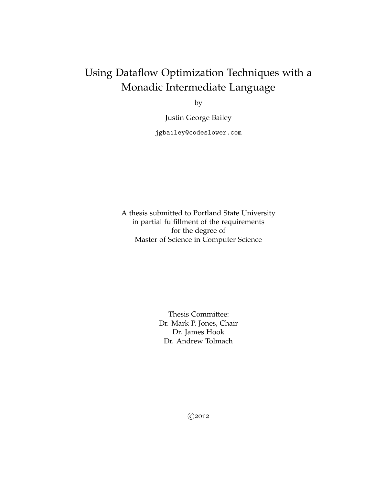# Using Dataflow Optimization Techniques with a Monadic Intermediate Language

by

Justin George Bailey

jgbailey@codeslower.com

A thesis submitted to Portland State University in partial fulfillment of the requirements for the degree of Master of Science in Computer Science

> Thesis Committee: Dr. Mark P. Jones, Chair Dr. James Hook Dr. Andrew Tolmach

> > $@{}^{2012}$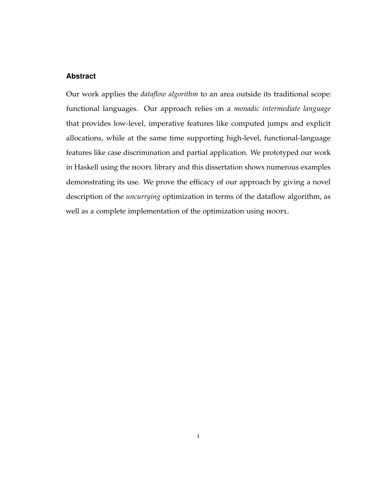#### **Abstract**

Our work applies the *dataflow algorithm* to an area outside its traditional scope: functional languages. Our approach relies on a *monadic intermediate language* that provides low-level, imperative features like computed jumps and explicit allocations, while at the same time supporting high-level, functional-language features like case discrimination and partial application. We prototyped our work in Haskell using the HOOPL library and this dissertation shows numerous examples demonstrating its use. We prove the efficacy of our approach by giving a novel description of the *uncurrying* optimization in terms of the dataflow algorithm, as well as a complete implementation of the optimization using HOOPL.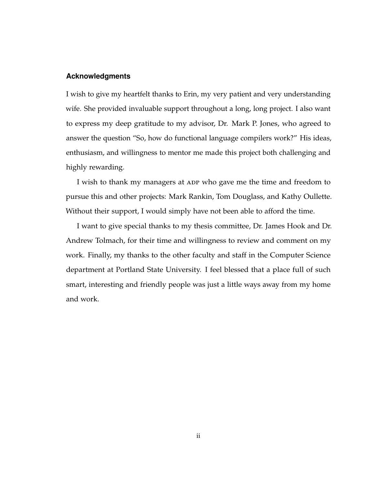#### **Acknowledgments**

I wish to give my heartfelt thanks to Erin, my very patient and very understanding wife. She provided invaluable support throughout a long, long project. I also want to express my deep gratitude to my advisor, Dr. Mark P. Jones, who agreed to answer the question "So, how do functional language compilers work?" His ideas, enthusiasm, and willingness to mentor me made this project both challenging and highly rewarding.

I wish to thank my managers at ADP who gave me the time and freedom to pursue this and other projects: Mark Rankin, Tom Douglass, and Kathy Oullette. Without their support, I would simply have not been able to afford the time.

I want to give special thanks to my thesis committee, Dr. James Hook and Dr. Andrew Tolmach, for their time and willingness to review and comment on my work. Finally, my thanks to the other faculty and staff in the Computer Science department at Portland State University. I feel blessed that a place full of such smart, interesting and friendly people was just a little ways away from my home and work.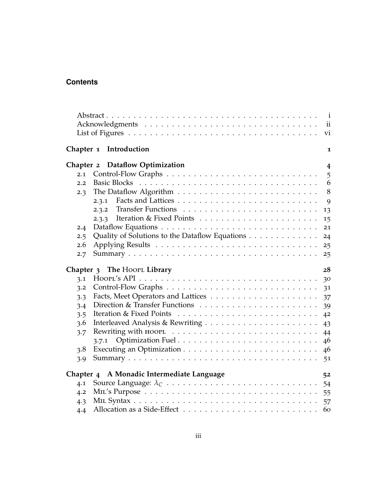## **Contents**

|            |                                                | $\mathbf{i}$            |
|------------|------------------------------------------------|-------------------------|
|            |                                                | $\overline{\mathbf{u}}$ |
|            |                                                | vi                      |
|            | Chapter 1 Introduction                         | 1                       |
|            | Chapter 2 Dataflow Optimization                | $\overline{4}$          |
| 2.1        |                                                | 5                       |
| 2.2        |                                                | 6                       |
| 2.3        |                                                | 8                       |
|            | 2.3.1                                          | 9                       |
|            | 2.3.2                                          | 13                      |
|            |                                                | 15                      |
| 2.4        |                                                | 21                      |
| 2.5        | Quality of Solutions to the Dataflow Equations | 24                      |
| 2.6        |                                                | 25                      |
| 2.7        |                                                | 25                      |
|            | Chapter 3 The Hoopt Library                    | 28                      |
| 3.1        |                                                | 30                      |
|            |                                                |                         |
| 3.2        |                                                |                         |
|            |                                                | 31                      |
| 3.3<br>3.4 |                                                | 37                      |
| 3.5        |                                                | 39<br>42                |
| 3.6        |                                                | 43                      |
| 3.7        |                                                | 44                      |
|            |                                                | 46                      |
| 3.8        |                                                | 46                      |
| 3.9        |                                                | 51                      |
|            |                                                |                         |
| 4.1        | Chapter 4 A Monadic Intermediate Language      | 52                      |
| 4.2        |                                                | 54<br>55                |
| 4.3        |                                                | 57                      |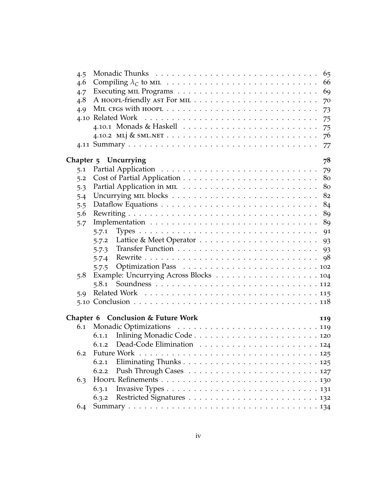| 4.5 |                                    |     |
|-----|------------------------------------|-----|
| 4.6 |                                    | 66  |
| 4.7 |                                    | 69  |
| 4.8 |                                    | 70  |
| 4.9 |                                    | 73  |
|     |                                    | 75  |
|     |                                    | 75  |
|     |                                    | 76  |
|     |                                    | 77  |
|     | Chapter 5 Uncurrying               | 78  |
| 5.1 |                                    | 79  |
| 5.2 |                                    | 80  |
| 5.3 |                                    | 80  |
| 5.4 |                                    | 82  |
| 5.5 |                                    | 84  |
| 5.6 |                                    | 89  |
| 5.7 |                                    |     |
|     | 5.7.1                              |     |
|     | 5.7.2                              |     |
|     | 5.7.3                              |     |
|     | 5.7.4                              |     |
|     | 5.7.5                              |     |
| 5.8 |                                    |     |
|     |                                    |     |
| 5.9 |                                    |     |
|     |                                    |     |
|     | Chapter 6 Conclusion & Future Work | 119 |
|     |                                    |     |
|     | 6.1.1                              |     |
|     |                                    |     |
| 6.2 | <b>Future Work</b>                 |     |
|     | 6.2.1                              |     |
|     | 6.2.2                              |     |
| 6.3 |                                    |     |
|     | 6.3.1                              |     |
|     | 6.3.2                              |     |
| 6.4 |                                    |     |
|     |                                    |     |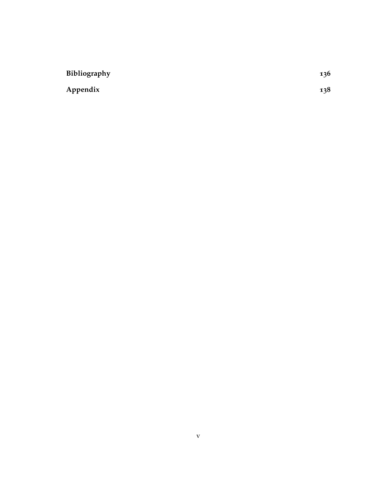| Bibliography | 136 |
|--------------|-----|
| Appendix     | 138 |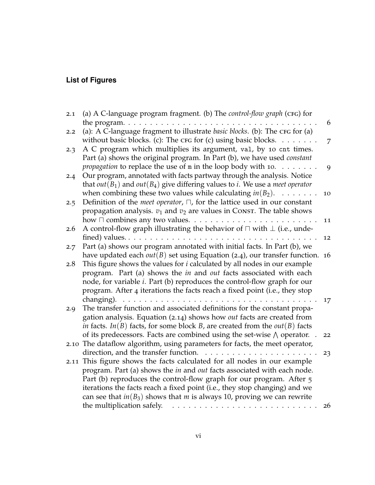# **List of Figures**

| 2.1 | (a) A C-language program fragment. (b) The control-flow graph (CFG) for                                                                                                                                                                     |                |
|-----|---------------------------------------------------------------------------------------------------------------------------------------------------------------------------------------------------------------------------------------------|----------------|
| 2.2 | the program. $\ldots \ldots \ldots \ldots \ldots \ldots \ldots \ldots$<br>(a): A C-language fragment to illustrate basic blocks. (b): The CFG for (a)                                                                                       | 6              |
|     | without basic blocks. (c): The CFG for (c) using basic blocks. $\dots \dots$                                                                                                                                                                | $\overline{7}$ |
| 2.3 | A C program which multiplies its argument, val, by 10 cnt times.<br>Part (a) shows the original program. In Part (b), we have used constant                                                                                                 |                |
| 2.4 | propagation to replace the use of m in the loop body with 10.<br>Our program, annotated with facts partway through the analysis. Notice<br>that $out(B_1)$ and $out(B_4)$ give differing values to <i>i</i> . We use a <i>meet operator</i> | 9              |
| 2.5 | when combining these two values while calculating $in(B_2)$ .<br>Definition of the <i>meet operator</i> , $\sqcap$ , for the lattice used in our constant                                                                                   | 10             |
|     | propagation analysis. $v_1$ and $v_2$ are values in Consr. The table shows                                                                                                                                                                  |                |
|     | how $\sqcap$ combines any two values.                                                                                                                                                                                                       | 11             |
| 2.6 | A control-flow graph illustrating the behavior of $\sqcap$ with $\bot$ (i.e., unde-<br>fined) values. $\dots \dots \dots \dots \dots \dots \dots \dots \dots$                                                                               |                |
|     | Part (a) shows our program annotated with initial facts. In Part (b), we                                                                                                                                                                    | 12             |
| 2.7 | have updated each $out(B)$ set using Equation (2.4), our transfer function. 16                                                                                                                                                              |                |
| 2.8 | This figure shows the values for <i>i</i> calculated by all nodes in our example                                                                                                                                                            |                |
|     | program. Part (a) shows the <i>in</i> and <i>out</i> facts associated with each                                                                                                                                                             |                |
|     | node, for variable <i>i</i> . Part (b) reproduces the control-flow graph for our                                                                                                                                                            |                |
|     | program. After 4 iterations the facts reach a fixed point (i.e., they stop                                                                                                                                                                  |                |
|     | changing). $\ldots \ldots \ldots \ldots \ldots$<br>$\mathbf{r}$ , $\mathbf{r}$ , $\mathbf{r}$                                                                                                                                               | 17             |
| 2.9 | The transfer function and associated definitions for the constant propa-                                                                                                                                                                    |                |
|     | gation analysis. Equation (2.14) shows how out facts are created from                                                                                                                                                                       |                |
|     | in facts. In(B) facts, for some block B, are created from the $out(B)$ facts                                                                                                                                                                |                |
|     | of its predecessors. Facts are combined using the set-wise $\wedge$ operator.                                                                                                                                                               | 22             |
|     | 2.10 The dataflow algorithm, using parameters for facts, the meet operator,                                                                                                                                                                 |                |
|     | direction, and the transfer function.                                                                                                                                                                                                       | 23             |
|     | 2.11 This figure shows the facts calculated for all nodes in our example                                                                                                                                                                    |                |
|     | program. Part (a) shows the <i>in</i> and <i>out</i> facts associated with each node.                                                                                                                                                       |                |
|     | Part (b) reproduces the control-flow graph for our program. After 5                                                                                                                                                                         |                |
|     | iterations the facts reach a fixed point (i.e., they stop changing) and we                                                                                                                                                                  |                |
|     | can see that $in(B_3)$ shows that <i>m</i> is always 10, proving we can rewrite<br>the multiplication safely.                                                                                                                               | 26             |
|     | .                                                                                                                                                                                                                                           |                |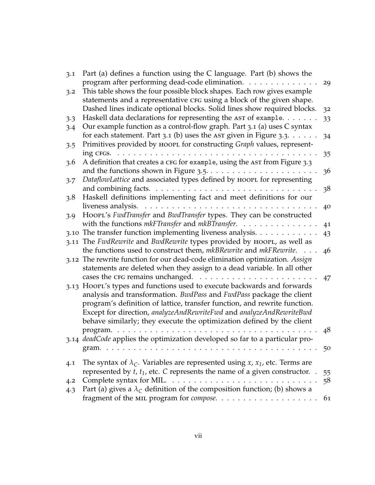| 3.1  | Part (a) defines a function using the C language. Part (b) shows the                                                       |    |
|------|----------------------------------------------------------------------------------------------------------------------------|----|
| 3.2  | program after performing dead-code elimination.<br>This table shows the four possible block shapes. Each row gives example | 29 |
|      | statements and a representative CFG using a block of the given shape.                                                      |    |
|      | Dashed lines indicate optional blocks. Solid lines show required blocks.                                                   | 32 |
| 3.3  | Haskell data declarations for representing the AST of example.                                                             | 33 |
| 3.4  | Our example function as a control-flow graph. Part 3.1 (a) uses C syntax                                                   |    |
|      | for each statement. Part 3.1 (b) uses the AST given in Figure 3.3. $\dots$ .                                               | 34 |
| 3.5  | Primitives provided by HOOPL for constructing Graph values, represent-                                                     |    |
|      | ing <b>CFGS</b> .<br>$\mathbf{1}$<br>A definition that creates a CFG for example, using the AST from Figure 3.3            | 35 |
| 3.6  |                                                                                                                            | 36 |
| 3.7  | DataflowLattice and associated types defined by HOOPL for representing                                                     |    |
|      |                                                                                                                            | 38 |
| 3.8  | Haskell definitions implementing fact and meet definitions for our                                                         |    |
|      | liveness analysis.                                                                                                         | 40 |
| 3.9  | HoorL's FwdTransfer and BwdTransfer types. They can be constructed                                                         |    |
|      | with the functions mkFTransfer and mkBTransfer.                                                                            | 41 |
| 3.10 | The transfer function implementing liveness analysis.                                                                      | 43 |
| 3.11 | The FwdRewrite and BwdRewrite types provided by HOOPL, as well as                                                          |    |
|      | the functions used to construct them, mkBRewrite and mkFRewrite.                                                           | 46 |
|      | 3.12 The rewrite function for our dead-code elimination optimization. Assign                                               |    |
|      | statements are deleted when they assign to a dead variable. In all other                                                   |    |
|      |                                                                                                                            | 47 |
| 3.13 | HoorL's types and functions used to execute backwards and forwards                                                         |    |
|      | analysis and transformation. BwdPass and FwdPass package the client                                                        |    |
|      | program's definition of lattice, transfer function, and rewrite function.                                                  |    |
|      | Except for direction, analyzeAndRewriteFwd and analyzeAndRewriteBwd                                                        |    |
|      | behave similarly; they execute the optimization defined by the client                                                      |    |
|      | program<br>3.14 deadCode applies the optimization developed so far to a particular pro-                                    | 48 |
|      | .                                                                                                                          |    |
|      |                                                                                                                            | 50 |
| 4.1  | The syntax of $\lambda_c$ . Variables are represented using x, $x_1$ , etc. Terms are                                      |    |
|      | represented by $t$ , $t_1$ , etc. C represents the name of a given constructor. .                                          | 55 |
| 4.2  |                                                                                                                            | 58 |
| 4.3  | Part (a) gives a $\lambda_c$ definition of the composition function; (b) shows a                                           |    |
|      |                                                                                                                            | 61 |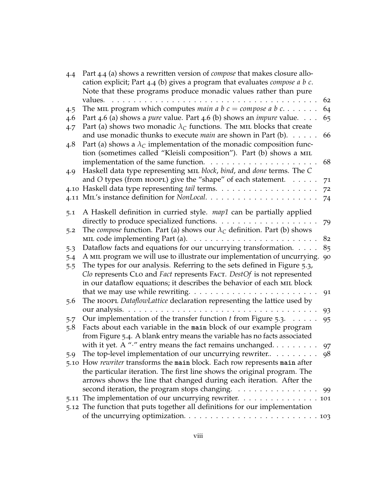| 4.4 | Part 4.4 (a) shows a rewritten version of <i>compose</i> that makes closure allo-<br>cation explicit; Part 4.4 (b) gives a program that evaluates <i>compose a b c</i> .<br>Note that these programs produce monadic values rather than pure |                |
|-----|----------------------------------------------------------------------------------------------------------------------------------------------------------------------------------------------------------------------------------------------|----------------|
|     | values.                                                                                                                                                                                                                                      | 62             |
| 4.5 | The MIL program which computes <i>main a b c</i> = <i>compose a b c</i> .                                                                                                                                                                    | 64             |
| 4.6 | Part 4.6 (a) shows a pure value. Part 4.6 (b) shows an <i>impure</i> value.                                                                                                                                                                  | 65             |
| 4.7 | Part (a) shows two monadic $\lambda_C$ functions. The MIL blocks that create                                                                                                                                                                 |                |
|     | and use monadic thunks to execute <i>main</i> are shown in Part (b). $\dots$ .                                                                                                                                                               | 66             |
| 4.8 | Part (a) shows a $\lambda_c$ implementation of the monadic composition func-                                                                                                                                                                 |                |
|     | tion (sometimes called "Kleisli composition"). Part (b) shows a MIL                                                                                                                                                                          |                |
|     |                                                                                                                                                                                                                                              | 68             |
| 4.9 | Haskell data type representing MIL block, bind, and done terms. The C                                                                                                                                                                        |                |
|     | and O types (from HOOPL) give the "shape" of each statement.                                                                                                                                                                                 | 71             |
|     |                                                                                                                                                                                                                                              | 7 <sup>2</sup> |
|     |                                                                                                                                                                                                                                              | 74             |
| 5.1 | A Haskell definition in curried style. map1 can be partially applied                                                                                                                                                                         |                |
|     | directly to produce specialized functions.                                                                                                                                                                                                   | 79             |
| 5.2 | The <i>compose</i> function. Part (a) shows our $\lambda_C$ definition. Part (b) shows                                                                                                                                                       |                |
|     | MIL code implementing Part (a).                                                                                                                                                                                                              | 82             |
| 5.3 | Dataflow facts and equations for our uncurrying transformation.                                                                                                                                                                              | 85             |
| 5.4 | A MIL program we will use to illustrate our implementation of uncurrying.                                                                                                                                                                    | 90             |
| 5.5 | The types for our analysis. Referring to the sets defined in Figure 5.3,                                                                                                                                                                     |                |
|     | Clo represents CLO and Fact represents FACT. DestOf is not represented                                                                                                                                                                       |                |
|     | in our dataflow equations; it describes the behavior of each MIL block                                                                                                                                                                       |                |
|     | that we may use while rewriting. $\dots \dots \dots \dots \dots$                                                                                                                                                                             | 91             |
| 5.6 | The HOOPL DataflowLattice declaration representing the lattice used by                                                                                                                                                                       |                |
|     |                                                                                                                                                                                                                                              | 93             |
| 5.7 | Our implementation of the transfer function $t$ from Figure 5.3.<br>$\cdots$                                                                                                                                                                 | 95             |
| 5.8 | Facts about each variable in the main block of our example program                                                                                                                                                                           |                |
|     | from Figure 5.4. A blank entry means the variable has no facts associated                                                                                                                                                                    |                |
|     | with it yet. A " $\cdot$ " entry means the fact remains unchanged. $\dots$                                                                                                                                                                   | 97             |
| 5.9 |                                                                                                                                                                                                                                              | 98             |
|     | 5.10 How rewriter transforms the main block. Each row represents main after                                                                                                                                                                  |                |
|     | the particular iteration. The first line shows the original program. The                                                                                                                                                                     |                |
|     | arrows shows the line that changed during each iteration. After the                                                                                                                                                                          |                |
|     | second iteration, the program stops changing.                                                                                                                                                                                                | 99             |
|     | 5.11 The implementation of our uncurrying rewriter. 101                                                                                                                                                                                      |                |
|     | 5.12 The function that puts together all definitions for our implementation                                                                                                                                                                  |                |
|     |                                                                                                                                                                                                                                              |                |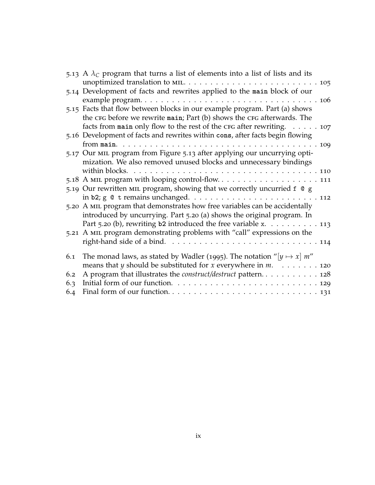|     | 5.13 A $\lambda_c$ program that turns a list of elements into a list of lists and its                      |  |
|-----|------------------------------------------------------------------------------------------------------------|--|
|     |                                                                                                            |  |
|     | 5.14 Development of facts and rewrites applied to the main block of our                                    |  |
|     | example program. $\ldots \ldots \ldots \ldots \ldots \ldots \ldots \ldots \ldots \ldots \ldots \ldots 106$ |  |
|     | 5.15 Facts that flow between blocks in our example program. Part (a) shows                                 |  |
|     | the CFG before we rewrite main; Part (b) shows the CFG afterwards. The                                     |  |
|     | facts from main only flow to the rest of the CFG after rewriting. $\dots \dots$ 107                        |  |
|     | 5.16 Development of facts and rewrites within cons, after facts begin flowing                              |  |
|     |                                                                                                            |  |
|     | 5.17 Our MIL program from Figure 5.13 after applying our uncurrying opti-                                  |  |
|     | mization. We also removed unused blocks and unnecessary bindings                                           |  |
|     |                                                                                                            |  |
|     |                                                                                                            |  |
|     | 5.19 Our rewritten MIL program, showing that we correctly uncurried f @ g                                  |  |
|     |                                                                                                            |  |
|     | 5.20 A MIL program that demonstrates how free variables can be accidentally                                |  |
|     | introduced by uncurrying. Part 5.20 (a) shows the original program. In                                     |  |
|     | Part 5.20 (b), rewriting b2 introduced the free variable x. $\dots \dots \dots \dots$ 113                  |  |
|     | 5.21 A MIL program demonstrating problems with "call" expressions on the                                   |  |
|     |                                                                                                            |  |
|     |                                                                                                            |  |
| 6.1 | The monad laws, as stated by Wadler (1995). The notation "[ $y \mapsto x$ ] $m$ "                          |  |
|     | means that <i>y</i> should be substituted for <i>x</i> everywhere in <i>m</i> . 120                        |  |
| 6.2 | A program that illustrates the <i>construct/destruct</i> pattern. 128                                      |  |
| 6.3 |                                                                                                            |  |
| 6.4 |                                                                                                            |  |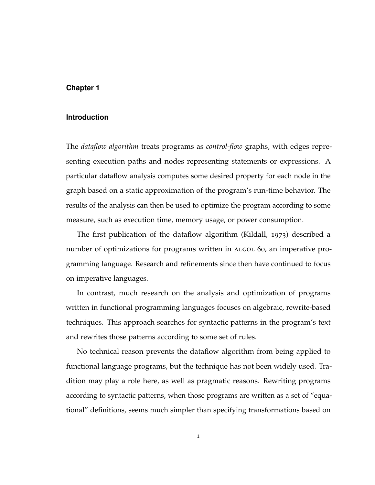### **Chapter 1**

#### **Introduction**

The *dataflow algorithm* treats programs as *control-flow* graphs, with edges representing execution paths and nodes representing statements or expressions. A particular dataflow analysis computes some desired property for each node in the graph based on a static approximation of the program's run-time behavior. The results of the analysis can then be used to optimize the program according to some measure, such as execution time, memory usage, or power consumption.

The first publication of the dataflow algorithm (Kildall, 1973) described a number of optimizations for programs written in ALGOL 60, an imperative programming language. Research and refinements since then have continued to focus on imperative languages.

In contrast, much research on the analysis and optimization of programs written in functional programming languages focuses on algebraic, rewrite-based techniques. This approach searches for syntactic patterns in the program's text and rewrites those patterns according to some set of rules.

No technical reason prevents the dataflow algorithm from being applied to functional language programs, but the technique has not been widely used. Tradition may play a role here, as well as pragmatic reasons. Rewriting programs according to syntactic patterns, when those programs are written as a set of "equational" definitions, seems much simpler than specifying transformations based on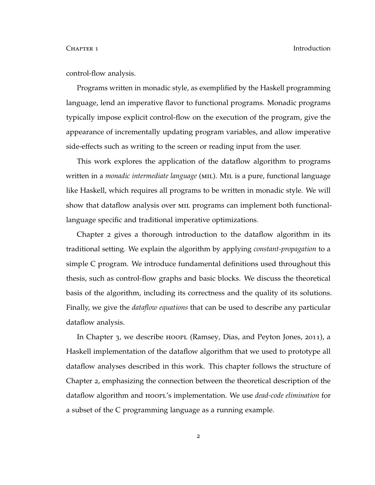control-flow analysis.

Programs written in monadic style, as exemplified by the Haskell programming language, lend an imperative flavor to functional programs. Monadic programs typically impose explicit control-flow on the execution of the program, give the appearance of incrementally updating program variables, and allow imperative side-effects such as writing to the screen or reading input from the user.

This work explores the application of the dataflow algorithm to programs written in a *monadic intermediate language* (MIL). MIL is a pure, functional language like Haskell, which requires all programs to be written in monadic style. We will show that dataflow analysis over MIL programs can implement both functionallanguage specific and traditional imperative optimizations.

Chapter 2 gives a thorough introduction to the dataflow algorithm in its traditional setting. We explain the algorithm by applying *constant-propagation* to a simple C program. We introduce fundamental definitions used throughout this thesis, such as control-flow graphs and basic blocks. We discuss the theoretical basis of the algorithm, including its correctness and the quality of its solutions. Finally, we give the *dataflow equations* that can be used to describe any particular dataflow analysis.

In Chapter 3, we describe hoople (Ramsey, Dias, and Peyton Jones, 2011), a Haskell implementation of the dataflow algorithm that we used to prototype all dataflow analyses described in this work. This chapter follows the structure of Chapter 2, emphasizing the connection between the theoretical description of the dataflow algorithm and *HOOPL's* implementation. We use *dead-code elimination* for a subset of the C programming language as a running example.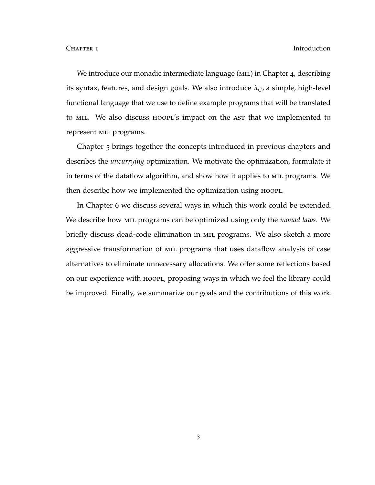CHAPTER 1

We introduce our monadic intermediate language (MIL) in Chapter 4, describing its syntax, features, and design goals. We also introduce  $\lambda_C$ , a simple, high-level functional language that we use to define example programs that will be translated to mil. We also discuss hoopl's impact on the ast that we implemented to represent mil programs.

Chapter 5 brings together the concepts introduced in previous chapters and describes the *uncurrying* optimization. We motivate the optimization, formulate it in terms of the dataflow algorithm, and show how it applies to mil programs. We then describe how we implemented the optimization using hoopl.

In Chapter 6 we discuss several ways in which this work could be extended. We describe how mil programs can be optimized using only the *monad laws*. We briefly discuss dead-code elimination in mil programs. We also sketch a more aggressive transformation of mil programs that uses dataflow analysis of case alternatives to eliminate unnecessary allocations. We offer some reflections based on our experience with HOOPL, proposing ways in which we feel the library could be improved. Finally, we summarize our goals and the contributions of this work.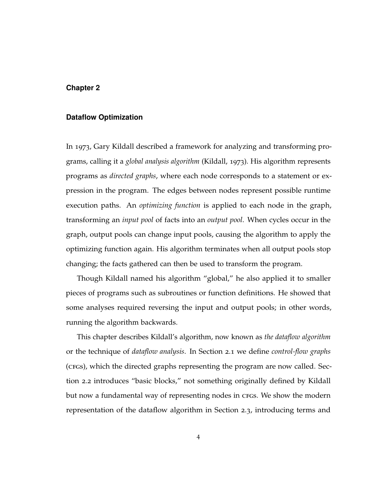### **Chapter 2**

#### **Dataflow Optimization**

In 1973, Gary Kildall described a framework for analyzing and transforming programs, calling it a *global analysis algorithm* (Kildall, 1973). His algorithm represents programs as *directed graphs*, where each node corresponds to a statement or expression in the program. The edges between nodes represent possible runtime execution paths. An *optimizing function* is applied to each node in the graph, transforming an *input pool* of facts into an *output pool*. When cycles occur in the graph, output pools can change input pools, causing the algorithm to apply the optimizing function again. His algorithm terminates when all output pools stop changing; the facts gathered can then be used to transform the program.

Though Kildall named his algorithm "global," he also applied it to smaller pieces of programs such as subroutines or function definitions. He showed that some analyses required reversing the input and output pools; in other words, running the algorithm backwards.

This chapter describes Kildall's algorithm, now known as *the dataflow algorithm* or the technique of *dataflow analysis*. In Section 2.1 we define *control-flow graphs* (CFGs), which the directed graphs representing the program are now called. Section 2.2 introduces "basic blocks," not something originally defined by Kildall but now a fundamental way of representing nodes in CFGs. We show the modern representation of the dataflow algorithm in Section 2.3, introducing terms and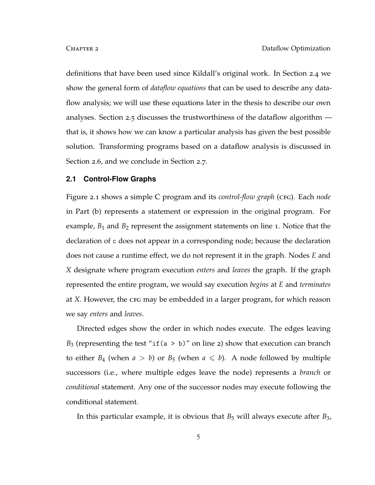definitions that have been used since Kildall's original work. In Section 2.4 we show the general form of *dataflow equations* that can be used to describe any dataflow analysis; we will use these equations later in the thesis to describe our own analyses. Section 2.5 discusses the trustworthiness of the dataflow algorithm that is, it shows how we can know a particular analysis has given the best possible solution. Transforming programs based on a dataflow analysis is discussed in Section 2.6, and we conclude in Section 2.7.

#### **2.1 Control-Flow Graphs**

Figure 2.1 shows a simple C program and its *control-flow graph* (CFG). Each *node* in Part (b) represents a statement or expression in the original program. For example,  $B_1$  and  $B_2$  represent the assignment statements on line 1. Notice that the declaration of c does not appear in a corresponding node; because the declaration does not cause a runtime effect, we do not represent it in the graph. Nodes *E* and *X* designate where program execution *enters* and *leaves* the graph. If the graph represented the entire program, we would say execution *begins* at *E* and *terminates* at *X*. However, the CFG may be embedded in a larger program, for which reason we say *enters* and *leaves*.

Directed edges show the order in which nodes execute. The edges leaving  $B_3$  (representing the test "if(a > b)" on line 2) show that execution can branch to either  $B_4$  (when  $a > b$ ) or  $B_5$  (when  $a \le b$ ). A node followed by multiple successors (i.e., where multiple edges leave the node) represents a *branch* or *conditional* statement. Any one of the successor nodes may execute following the conditional statement.

In this particular example, it is obvious that  $B_5$  will always execute after  $B_3$ ,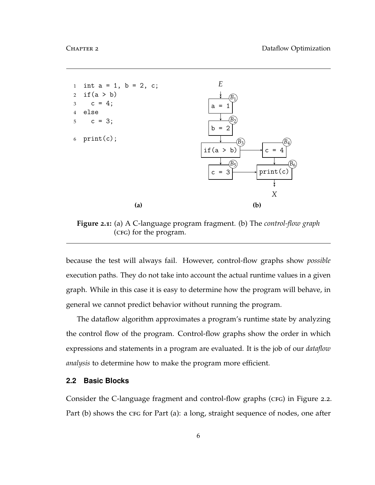

**Figure 2.1:** (a) A C-language program fragment. (b) The *control-flow graph* (cfg) for the program.

because the test will always fail. However, control-flow graphs show *possible* execution paths. They do not take into account the actual runtime values in a given graph. While in this case it is easy to determine how the program will behave, in general we cannot predict behavior without running the program.

The dataflow algorithm approximates a program's runtime state by analyzing the control flow of the program. Control-flow graphs show the order in which expressions and statements in a program are evaluated. It is the job of our *dataflow analysis* to determine how to make the program more efficient.

### **2.2 Basic Blocks**

Consider the C-language fragment and control-flow graphs (CFG) in Figure 2.2. Part (b) shows the CFG for Part (a): a long, straight sequence of nodes, one after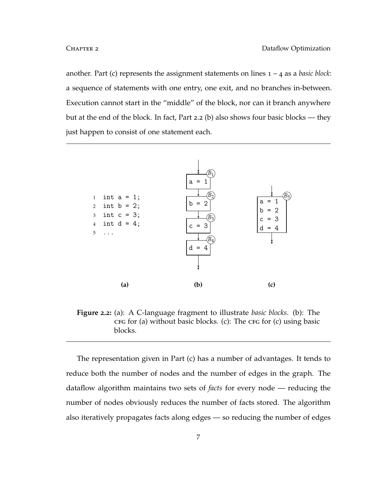another. Part (c) represents the assignment statements on lines 1 – 4 as a *basic block*: a sequence of statements with one entry, one exit, and no branches in-between. Execution cannot start in the "middle" of the block, nor can it branch anywhere but at the end of the block. In fact, Part 2.2 (b) also shows four basic blocks — they just happen to consist of one statement each.



**Figure 2.2:** (a): A C-language fragment to illustrate *basic blocks*. (b): The  $CFG$  for (a) without basic blocks. (c): The  $CFG$  for (c) using basic blocks.

The representation given in Part (c) has a number of advantages. It tends to reduce both the number of nodes and the number of edges in the graph. The dataflow algorithm maintains two sets of *facts* for every node — reducing the number of nodes obviously reduces the number of facts stored. The algorithm also iteratively propagates facts along edges — so reducing the number of edges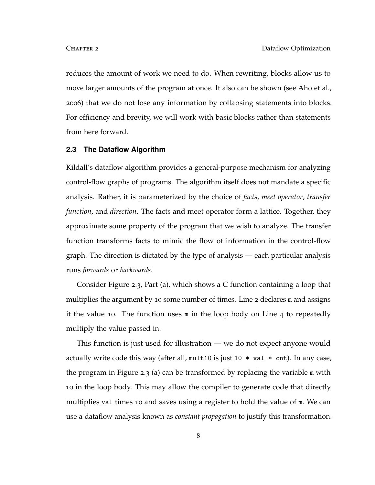reduces the amount of work we need to do. When rewriting, blocks allow us to move larger amounts of the program at once. It also can be shown (see Aho et al., 2006) that we do not lose any information by collapsing statements into blocks. For efficiency and brevity, we will work with basic blocks rather than statements from here forward.

#### **2.3 The Dataflow Algorithm**

Kildall's dataflow algorithm provides a general-purpose mechanism for analyzing control-flow graphs of programs. The algorithm itself does not mandate a specific analysis. Rather, it is parameterized by the choice of *facts*, *meet operator*, *transfer function*, and *direction*. The facts and meet operator form a lattice. Together, they approximate some property of the program that we wish to analyze. The transfer function transforms facts to mimic the flow of information in the control-flow graph. The direction is dictated by the type of analysis — each particular analysis runs *forwards* or *backwards*.

Consider Figure 2.3, Part (a), which shows a C function containing a loop that multiplies the argument by 10 some number of times. Line 2 declares m and assigns it the value 10. The function uses  $m$  in the loop body on Line 4 to repeatedly multiply the value passed in.

This function is just used for illustration — we do not expect anyone would actually write code this way (after all, mult10 is just 10  $*$  val  $*$  cnt). In any case, the program in Figure 2.3 (a) can be transformed by replacing the variable m with 10 in the loop body. This may allow the compiler to generate code that directly multiplies val times 10 and saves using a register to hold the value of m. We can use a dataflow analysis known as *constant propagation* to justify this transformation.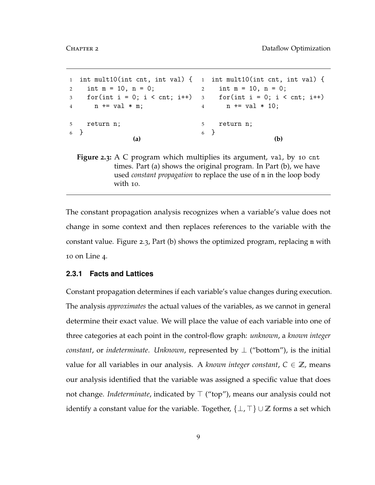```
1 int mult10(int cnt, int val) {
1 int mult10(int cnt, int val) {
2 int m = 10, n = 0;
3 for(int i = 0; i < \text{cnt}; i++) 3
4 n \div = \text{val} \times m;
5 return n;
6 }
                              2 int m = 10, n = 0;
                                   for(int i = 0; i < crit; i++)4 n \neq 10;
                              5 return n;
                              6 }
               (a) (b)
```
**Figure 2.3:** A C program which multiplies its argument, val, by 10 cnt times. Part (a) shows the original program. In Part (b), we have used *constant propagation* to replace the use of m in the loop body with 10.

The constant propagation analysis recognizes when a variable's value does not change in some context and then replaces references to the variable with the constant value. Figure 2.3, Part (b) shows the optimized program, replacing m with 10 on Line 4.

#### **2.3.1 Facts and Lattices**

Constant propagation determines if each variable's value changes during execution. The analysis *approximates* the actual values of the variables, as we cannot in general determine their exact value. We will place the value of each variable into one of three categories at each point in the control-flow graph: *unknown*, a *known integer constant*, or *indeterminate*. *Unknown*, represented by ⊥ ("bottom"), is the initial value for all variables in our analysis. A *known integer constant*,  $C \in \mathbb{Z}$ , means our analysis identified that the variable was assigned a specific value that does not change. *Indeterminate*, indicated by  $\top$  ("top"), means our analysis could not identify a constant value for the variable. Together,  $\{\bot, \top\} \cup \mathbb{Z}$  forms a set which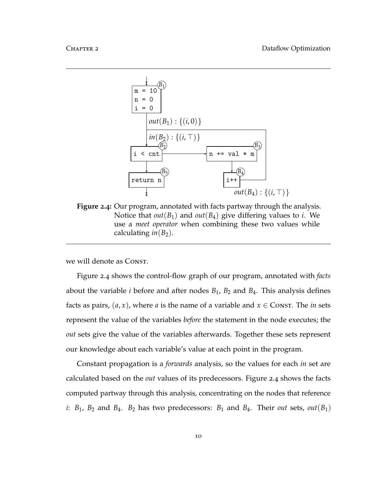

**Figure 2.4:** Our program, annotated with facts partway through the analysis. Notice that *out*( $B_1$ ) and *out*( $B_4$ ) give differing values to *i*. We use a *meet operator* when combining these two values while calculating  $in(B_2)$ .

we will denote as CONST.

Figure 2.4 shows the control-flow graph of our program, annotated with *facts* about the variable *i* before and after nodes *B*1, *B*<sup>2</sup> and *B*4. This analysis defines facts as pairs,  $(a, x)$ , where *a* is the name of a variable and  $x \in \text{Const.}$  The *in* sets represent the value of the variables *before* the statement in the node executes; the *out* sets give the value of the variables afterwards. Together these sets represent our knowledge about each variable's value at each point in the program.

Constant propagation is a *forwards* analysis, so the values for each *in* set are calculated based on the *out* values of its predecessors. Figure 2.4 shows the facts computed partway through this analysis, concentrating on the nodes that reference *i*:  $B_1$ ,  $B_2$  and  $B_4$ .  $B_2$  has two predecessors:  $B_1$  and  $B_4$ . Their *out* sets, *out*( $B_1$ )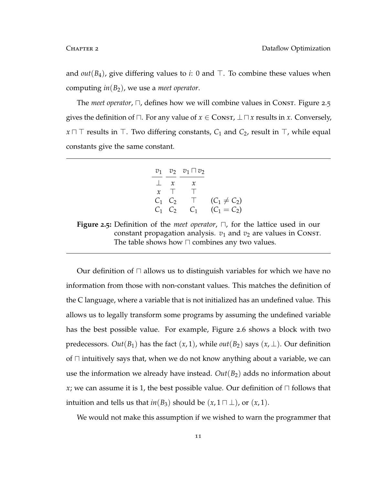and *out*( $B_4$ ), give differing values to *i*: 0 and  $\top$ . To combine these values when computing *in*(*B*2), we use a *meet operator*.

The *meet operator*,  $\Box$ , defines how we will combine values in Const. Figure 2.5 gives the definition of  $\Box$ . For any value of  $x \in \text{Const}, \bot \Box x$  results in *x*. Conversely,  $x \sqcap \top$  results in  $\top$ . Two differing constants,  $C_1$  and  $C_2$ , result in  $\top$ , while equal constants give the same constant.

$$
\begin{array}{c|cc}\n\frac{v_1}{\bot} & \frac{v_2}{x} & \frac{v_1 \sqcap v_2}{x} \\
\hline\n\frac{x}{x} & \uparrow & \uparrow \\
C_1 & C_2 & \uparrow & (C_1 \neq C_2) \\
C_1 & C_2 & C_1 & (C_1 = C_2)\n\end{array}
$$

**Figure** 2.5: Definition of the *meet operator*,  $\Box$ , for the lattice used in our constant propagation analysis.  $v_1$  and  $v_2$  are values in Const. The table shows how  $\sqcap$  combines any two values.

Our definition of  $\Box$  allows us to distinguish variables for which we have no information from those with non-constant values. This matches the definition of the C language, where a variable that is not initialized has an undefined value. This allows us to legally transform some programs by assuming the undefined variable has the best possible value. For example, Figure 2.6 shows a block with two predecessors. *Out*( $B_1$ ) has the fact (*x*, 1), while *out*( $B_2$ ) says (*x*,  $\perp$ ). Our definition of  $\Box$  intuitively says that, when we do not know anything about a variable, we can use the information we already have instead.  $Out(B_2)$  adds no information about *x*; we can assume it is 1, the best possible value. Our definition of  $\sqcap$  follows that intuition and tells us that  $in(B_3)$  should be  $(x, 1 \sqcap \bot)$ , or  $(x, 1)$ .

We would not make this assumption if we wished to warn the programmer that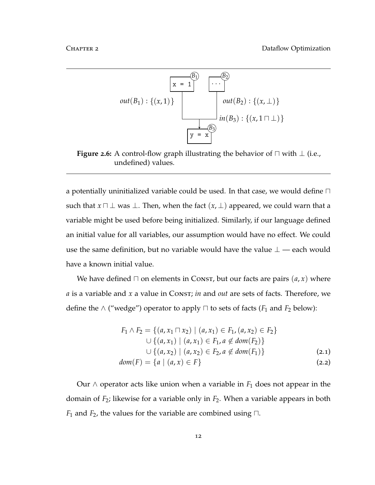

**Figure 2.6:** A control-flow graph illustrating the behavior of  $\Box$  with  $\bot$  (i.e., undefined) values.

a potentially uninitialized variable could be used. In that case, we would define  $\sqcap$ such that  $x \sqcap \bot$  was  $\bot$ . Then, when the fact  $(x, \bot)$  appeared, we could warn that a variable might be used before being initialized. Similarly, if our language defined an initial value for all variables, our assumption would have no effect. We could use the same definition, but no variable would have the value  $\perp$  — each would have a known initial value.

We have defined  $\Box$  on elements in Const, but our facts are pairs  $(a, x)$  where *a* is a variable and *x* a value in Const; *in* and *out* are sets of facts. Therefore, we define the ∧ ("wedge") operator to apply  $\sqcap$  to sets of facts ( $F_1$  and  $F_2$  below):

$$
F_1 \wedge F_2 = \{ (a, x_1 \sqcap x_2) \mid (a, x_1) \in F_1, (a, x_2) \in F_2 \}
$$
  
\n
$$
\cup \{ (a, x_1) \mid (a, x_1) \in F_1, a \notin dom(F_2) \}
$$
  
\n
$$
\cup \{ (a, x_2) \mid (a, x_2) \in F_2, a \notin dom(F_1) \}
$$
  
\n
$$
dom(F) = \{ a \mid (a, x) \in F \}
$$
\n(2.2)

Our  $\wedge$  operator acts like union when a variable in  $F_1$  does not appear in the domain of *F*2; likewise for a variable only in *F*2. When a variable appears in both *F*<sub>1</sub> and *F*<sub>2</sub>, the values for the variable are combined using  $\Box$ .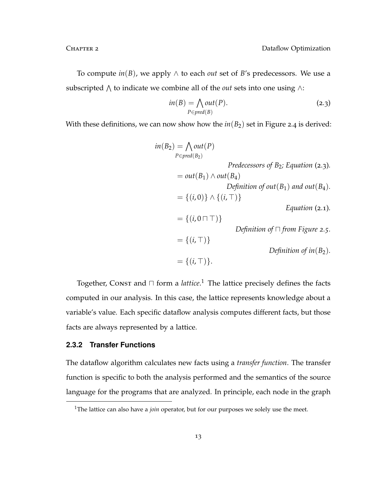To compute  $in(B)$ , we apply ∧ to each *out* set of *B*'s predecessors. We use a subscripted  $\wedge$  to indicate we combine all of the *out* sets into one using ∧:

$$
in(B) = \bigwedge_{P \in pred(B)} out(P).
$$
\n(2.3)

With these definitions, we can now show how the  $in(B_2)$  set in Figure 2.4 is derived:

$$
in(B_2) = \bigwedge out(P)
$$
  
\n
$$
Predict(B_1)
$$
  
\n
$$
= out(B_1) \land out(B_4)
$$
  
\n
$$
Definition of out(B_1) and out(B_4).
$$
  
\n
$$
= \{(i, 0)\} \land \{(i, \top)\}
$$
  
\n
$$
= \{(i, 0 \sqcap \top)\}
$$
  
\n
$$
Definition of \top from Figure 2.5.
$$
  
\n
$$
= \{(i, \top)\}
$$
  
\n
$$
Definition of in(B_2).
$$

Together, Const and  $\Box$  form a *lattice*.<sup>1</sup> The lattice precisely defines the facts computed in our analysis. In this case, the lattice represents knowledge about a variable's value. Each specific dataflow analysis computes different facts, but those facts are always represented by a lattice.

### **2.3.2 Transfer Functions**

The dataflow algorithm calculates new facts using a *transfer function*. The transfer function is specific to both the analysis performed and the semantics of the source language for the programs that are analyzed. In principle, each node in the graph

<sup>&</sup>lt;sup>1</sup>The lattice can also have a *join* operator, but for our purposes we solely use the meet.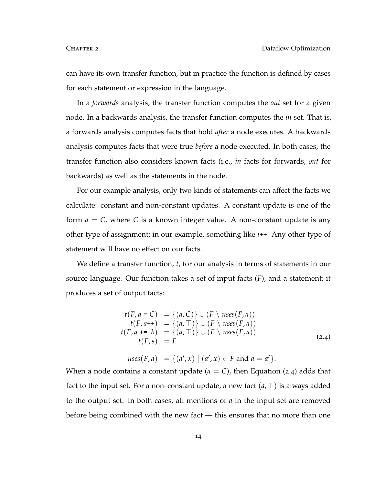can have its own transfer function, but in practice the function is defined by cases for each statement or expression in the language.

In a *forwards* analysis, the transfer function computes the *out* set for a given node. In a backwards analysis, the transfer function computes the *in* set. That is, a forwards analysis computes facts that hold *after* a node executes. A backwards analysis computes facts that were true *before* a node executed. In both cases, the transfer function also considers known facts (i.e., *in* facts for forwards, *out* for backwards) as well as the statements in the node.

For our example analysis, only two kinds of statements can affect the facts we calculate: constant and non-constant updates. A constant update is one of the form *a* = *C*, where *C* is a known integer value. A non-constant update is any other type of assignment; in our example, something like *i*++. Any other type of statement will have no effect on our facts.

We define a transfer function, *t*, for our analysis in terms of statements in our source language. Our function takes a set of input facts (*F*), and a statement; it produces a set of output facts:

$$
t(F, a = C) = \{(a, C)\} \cup (F \setminus uses(F, a))
$$
  
\n
$$
t(F, a^{++}) = \{(a, \top)\} \cup (F \setminus uses(F, a))
$$
  
\n
$$
t(F, a = b) = \{(a, \top)\} \cup (F \setminus uses(F, a))
$$
  
\n
$$
t(F, s) = F
$$
\n(2.4)

 $uses(F, a) = \{(a', x) | (a', x) \in F \text{ and } a = a'\}.$ 

When a node contains a constant update  $(a = C)$ , then Equation (2.4) adds that fact to the input set. For a non–constant update, a new fact  $(a, \top)$  is always added to the output set. In both cases, all mentions of *a* in the input set are removed before being combined with the new fact — this ensures that no more than one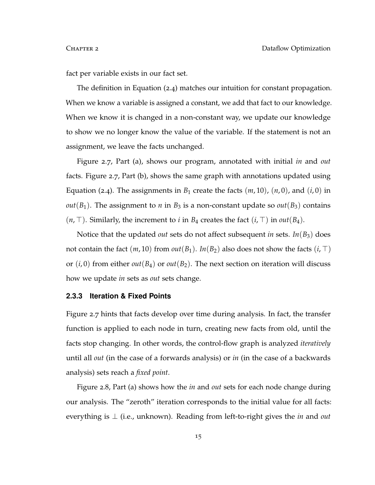fact per variable exists in our fact set.

The definition in Equation (2.4) matches our intuition for constant propagation. When we know a variable is assigned a constant, we add that fact to our knowledge. When we know it is changed in a non-constant way, we update our knowledge to show we no longer know the value of the variable. If the statement is not an assignment, we leave the facts unchanged.

Figure 2.7, Part (a), shows our program, annotated with initial *in* and *out* facts. Figure 2.7, Part (b), shows the same graph with annotations updated using Equation (2.4). The assignments in  $B_1$  create the facts  $(m, 10)$ ,  $(n, 0)$ , and  $(i, 0)$  in *out*( $B_1$ ). The assignment to *n* in  $B_3$  is a non-constant update so *out*( $B_3$ ) contains  $(n, \top)$ . Similarly, the increment to *i* in  $B_4$  creates the fact  $(i, \top)$  in *out*( $B_4$ ).

Notice that the updated *out* sets do not affect subsequent *in* sets. *In*( $B_3$ ) does not contain the fact  $(m, 10)$  from  $out(B_1)$ .  $In(B_2)$  also does not show the facts  $(i, \top)$ or  $(i, 0)$  from either  $out(B_4)$  or  $out(B_2)$ . The next section on iteration will discuss how we update *in* sets as *out* sets change.

#### **2.3.3 Iteration & Fixed Points**

Figure 2.7 hints that facts develop over time during analysis. In fact, the transfer function is applied to each node in turn, creating new facts from old, until the facts stop changing. In other words, the control-flow graph is analyzed *iteratively* until all *out* (in the case of a forwards analysis) or *in* (in the case of a backwards analysis) sets reach a *fixed point*.

Figure 2.8, Part (a) shows how the *in* and *out* sets for each node change during our analysis. The "zeroth" iteration corresponds to the initial value for all facts: everything is ⊥ (i.e., unknown). Reading from left-to-right gives the *in* and *out*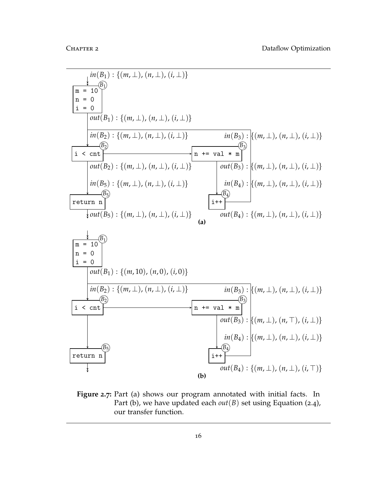

**Figure 2.7:** Part (a) shows our program annotated with initial facts. In Part (b), we have updated each *out*(*B*) set using Equation (2.4), our transfer function.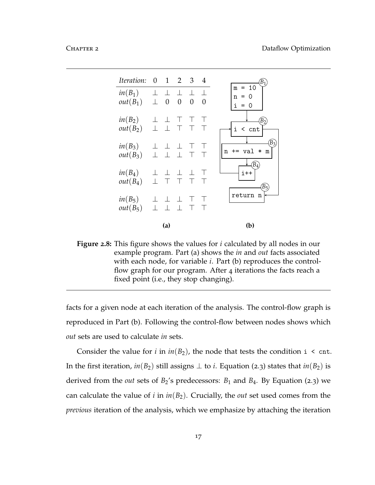

**Figure 2.8:** This figure shows the values for *i* calculated by all nodes in our example program. Part (a) shows the *in* and *out* facts associated with each node, for variable *i*. Part (b) reproduces the controlflow graph for our program. After 4 iterations the facts reach a fixed point (i.e., they stop changing).

facts for a given node at each iteration of the analysis. The control-flow graph is reproduced in Part (b). Following the control-flow between nodes shows which *out* sets are used to calculate *in* sets.

Consider the value for *i* in  $in(B_2)$ , the node that tests the condition i < cnt. In the first iteration,  $in(B_2)$  still assigns  $\perp$  to *i*. Equation (2.3) states that  $in(B_2)$  is derived from the *out* sets of  $B_2$ 's predecessors:  $B_1$  and  $B_4$ . By Equation (2.3) we can calculate the value of  $i$  in  $in(B_2)$ . Crucially, the *out* set used comes from the *previous* iteration of the analysis, which we emphasize by attaching the iteration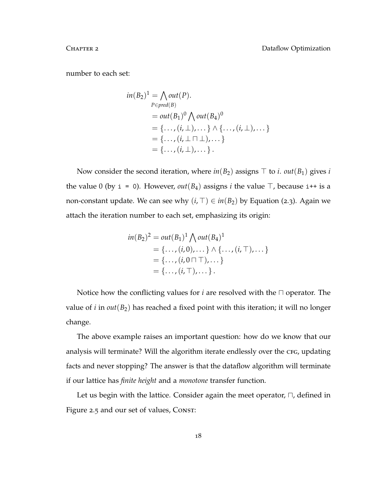number to each set:

$$
in(B_2)^1 = \bigwedge out(P).
$$
  
\n
$$
P\in pred(B)
$$
  
\n
$$
= out(B_1)^0 \bigwedge out(B_4)^0
$$
  
\n
$$
= \{\dots, (i, \perp), \dots\} \wedge \{\dots, (i, \perp), \dots\}
$$
  
\n
$$
= \{\dots, (i, \perp \sqcap \perp), \dots\}
$$
  
\n
$$
= \{\dots, (i, \perp), \dots\}.
$$

Now consider the second iteration, where  $in(B_2)$  assigns  $\top$  to *i*.  $out(B_1)$  gives *i* the value 0 (by  $i = 0$ ). However, *out*( $B_4$ ) assigns *i* the value  $\top$ , because  $i^{++}$  is a non-constant update. We can see why  $(i, \top) \in in(B_2)$  by Equation (2.3). Again we attach the iteration number to each set, emphasizing its origin:

$$
in(B_2)^2 = out(B_1)^1 \bigwedge out(B_4)^1
$$
  
= {..., (i, 0), ... }  $\wedge \{..., (i, \top),...\}$   
= {..., (i, 0  $\sqcap \top$ ), ...}  
= {..., (i, \top), ...}.

Notice how the conflicting values for  $i$  are resolved with the  $\Box$  operator. The value of *i* in  $out(B_2)$  has reached a fixed point with this iteration; it will no longer change.

The above example raises an important question: how do we know that our analysis will terminate? Will the algorithm iterate endlessly over the CFG, updating facts and never stopping? The answer is that the dataflow algorithm will terminate if our lattice has *finite height* and a *monotone* transfer function.

Let us begin with the lattice. Consider again the meet operator,  $\sqcap$ , defined in Figure 2.5 and our set of values, CONST: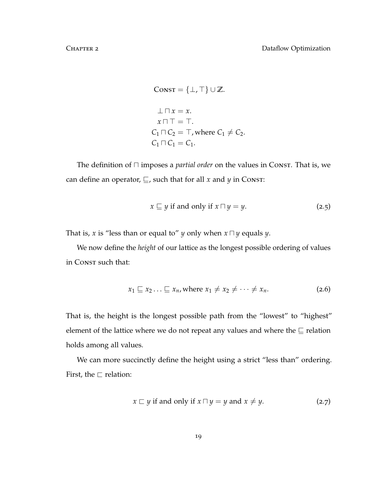$$
Consr = \{\bot, \top\} \cup \mathbb{Z}.
$$
  
\n
$$
\bot \sqcap x = x.
$$
  
\n
$$
x \sqcap \top = \top.
$$
  
\n
$$
C_1 \sqcap C_2 = \top, \text{where } C_1 \neq C_2.
$$
  
\n
$$
C_1 \sqcap C_1 = C_1.
$$

The definition of  $\Box$  imposes a *partial order* on the values in Const. That is, we can define an operator,  $\sqsubseteq$ , such that for all *x* and *y* in Const:

$$
x \sqsubseteq y \text{ if and only if } x \sqcap y = y. \tag{2.5}
$$

That is, *x* is "less than or equal to" *y* only when  $x \sqcap y$  equals *y*.

We now define the *height* of our lattice as the longest possible ordering of values in CONST such that:

$$
x_1 \sqsubseteq x_2 \ldots \sqsubseteq x_n, \text{where } x_1 \neq x_2 \neq \cdots \neq x_n. \tag{2.6}
$$

That is, the height is the longest possible path from the "lowest" to "highest" element of the lattice where we do not repeat any values and where the  $\subseteq$  relation holds among all values.

We can more succinctly define the height using a strict "less than" ordering. First, the  $\sqsubset$  relation:

$$
x \sqsubset y
$$
 if and only if  $x \sqcap y = y$  and  $x \neq y$ . (2.7)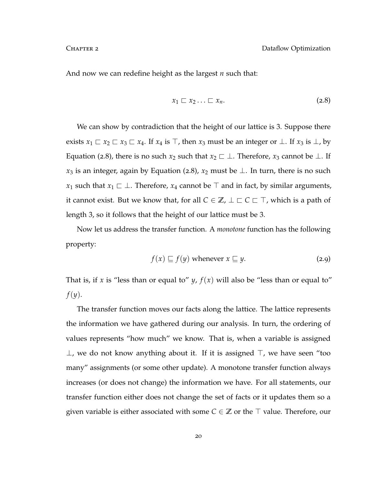And now we can redefine height as the largest *n* such that:

$$
x_1 \sqsubset x_2 \ldots \sqsubset x_n. \tag{2.8}
$$

We can show by contradiction that the height of our lattice is 3. Suppose there exists  $x_1 ⊡ x_2 ⊆ x_3 ⊆ x_4$ . If  $x_4$  is  $⊤$ , then  $x_3$  must be an integer or ⊥. If  $x_3$  is ⊥, by Equation (2.8), there is no such  $x_2$  such that  $x_2 \nightharpoonup \bot$ . Therefore,  $x_3$  cannot be  $\bot$ . If *x*<sup>3</sup> is an integer, again by Equation (2.8), *x*<sup>2</sup> must be ⊥. In turn, there is no such *x*<sub>1</sub> such that  $x_1 \nightharpoonup \bot$ . Therefore,  $x_4$  cannot be  $\top$  and in fact, by similar arguments, it cannot exist. But we know that, for all  $C \in \mathbb{Z}$ ,  $\perp \square C \square \top$ , which is a path of length 3, so it follows that the height of our lattice must be 3.

Now let us address the transfer function. A *monotone* function has the following property:

$$
f(x) \sqsubseteq f(y) \text{ whenever } x \sqsubseteq y. \tag{2.9}
$$

That is, if *x* is "less than or equal to" *y*,  $f(x)$  will also be "less than or equal to" *f*(*y*).

The transfer function moves our facts along the lattice. The lattice represents the information we have gathered during our analysis. In turn, the ordering of values represents "how much" we know. That is, when a variable is assigned ⊥, we do not know anything about it. If it is assigned  $\top$ , we have seen "too many" assignments (or some other update). A monotone transfer function always increases (or does not change) the information we have. For all statements, our transfer function either does not change the set of facts or it updates them so a given variable is either associated with some  $C \in \mathbb{Z}$  or the  $\top$  value. Therefore, our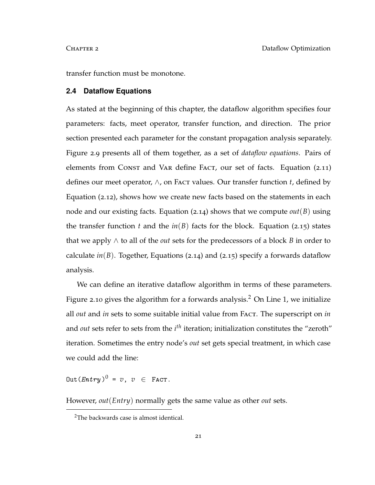transfer function must be monotone.

#### **2.4 Dataflow Equations**

As stated at the beginning of this chapter, the dataflow algorithm specifies four parameters: facts, meet operator, transfer function, and direction. The prior section presented each parameter for the constant propagation analysis separately. Figure 2.9 presents all of them together, as a set of *dataflow equations*. Pairs of elements from Const and Var define Fact, our set of facts. Equation (2.11) defines our meet operator,  $\wedge$ , on Fact values. Our transfer function *t*, defined by Equation (2.12), shows how we create new facts based on the statements in each node and our existing facts. Equation (2.14) shows that we compute *out*(*B*) using the transfer function *t* and the  $in(B)$  facts for the block. Equation (2.15) states that we apply ∧ to all of the *out* sets for the predecessors of a block *B* in order to calculate  $in(B)$ . Together, Equations (2.14) and (2.15) specify a forwards dataflow analysis.

We can define an iterative dataflow algorithm in terms of these parameters. Figure 2.10 gives the algorithm for a forwards analysis.<sup>2</sup> On Line 1, we initialize all *out* and *in* sets to some suitable initial value from Fact. The superscript on *in* and *out* sets refer to sets from the *i th* iteration; initialization constitutes the "zeroth" iteration. Sometimes the entry node's *out* set gets special treatment, in which case we could add the line:

 $\text{Out}(Entry)^0 = v, v \in Factor.$ 

However, *out*(*Entry*) normally gets the same value as other *out* sets.

<sup>2</sup>The backwards case is almost identical.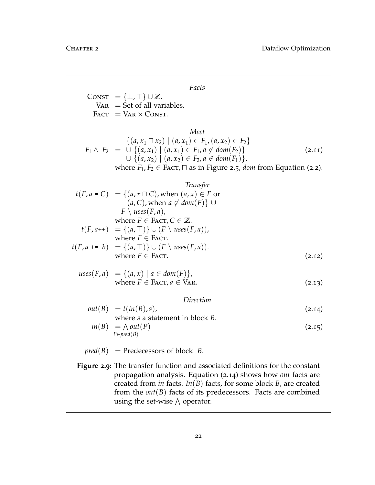#### *Facts*

 $\text{ConvST} = {\{\bot, \top\}} \cup \mathbb{Z}.$  $V_{AR}$  = Set of all variables.  $FACT = VAR \times CONST.$ 

### *Meet*

$$
F_1 \wedge F_2 = \bigcup \{(a, x_1 \sqcap x_2) \mid (a, x_1) \in F_1, (a, x_2) \in F_2\}
$$
  
\n
$$
F_1 \wedge F_2 = \bigcup \{(a, x_1) \mid (a, x_1) \in F_1, a \notin dom(F_2)\}
$$
  
\n
$$
\bigcup \{(a, x_2) \mid (a, x_2) \in F_2, a \notin dom(F_1)\},
$$
  
\nwhere  $F_1, F_2 \in FACT, \sqcap$  as in Figure 2.5, dom from Equation (2.2).

\n
$$
t(F, a = C) = \{(a, x \sqcap C), \text{ when } (a, x) \in F \text{ or } (a, C), \text{ when } a \notin \text{dom}(F)\} \cup
$$
\n
$$
F \setminus \text{uses}(F, a),
$$
\n
$$
\text{where } F \in \text{FACT}, C \in \mathbb{Z}.
$$
\n
$$
t(F, a++) = \{(a, \top)\} \cup (F \setminus \text{uses}(F, a)),
$$
\n
$$
\text{where } F \in \text{FACT}.
$$
\n
$$
t(F, a++) = \{(a, \top)\} \cup (F \setminus \text{uses}(F, a)).
$$
\n
$$
\text{where } F \in \text{FACT}.
$$
\n
$$
(2.12)
$$
\n

$$
uses(F, a) = \{(a, x) \mid a \in dom(F)\},\
$$
  
where  $F \in FacT, a \in VAR.$  (2.13)

### *Direction*

$$
out(B) = t(in(B), s),
$$
  
where s a statement in block B.  

$$
in(B) = A out(D)
$$
 (2.17)

$$
in(B) = \bigwedge_{P \in pred(B)} out(P) \tag{2.15}
$$

- $pred(B)$  = Predecessors of block *B*.
- **Figure 2.9:** The transfer function and associated definitions for the constant propagation analysis. Equation (2.14) shows how *out* facts are created from *in* facts. *In*(*B*) facts, for some block *B*, are created from the  $out(B)$  facts of its predecessors. Facts are combined using the set-wise  $\wedge$  operator.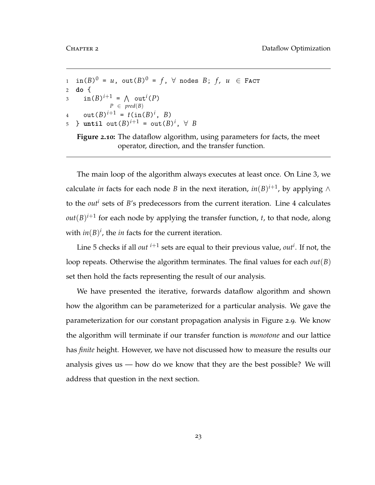```
1 \quad \text{in}(B)^0 = u, \text{out}(B)^0 = f, \forall nodes B; f, u \in FACT
2 do {
\sin(B)^{i+1} = \bigwedge \text{ out}^i(P)P \in pred(B)4 out(B)<sup>i+1</sup> = t(in(B)<sup>i</sup>, B)
5 } \text{until out}(B)^{i+1} = \text{out}(B)^i, \forall B
```
**Figure 2.10:** The dataflow algorithm, using parameters for facts, the meet operator, direction, and the transfer function.

The main loop of the algorithm always executes at least once. On Line 3, we calculate *in* facts for each node *B* in the next iteration,  $in(B)^{i+1}$ , by applying  $\wedge$ to the *out<sup>i</sup>* sets of *B*'s predecessors from the current iteration. Line 4 calculates  $\mathit{out}(B)^{i+1}$  for each node by applying the transfer function, *t*, to that node, along with  $in(B)^i$ , the *in* facts for the current iteration.

Line 5 checks if all *out <sup>i</sup>*+<sup>1</sup> sets are equal to their previous value, *out<sup>i</sup>* . If not, the loop repeats. Otherwise the algorithm terminates. The final values for each *out*(*B*) set then hold the facts representing the result of our analysis.

We have presented the iterative, forwards dataflow algorithm and shown how the algorithm can be parameterized for a particular analysis. We gave the parameterization for our constant propagation analysis in Figure 2.9. We know the algorithm will terminate if our transfer function is *monotone* and our lattice has *finite* height. However, we have not discussed how to measure the results our analysis gives us — how do we know that they are the best possible? We will address that question in the next section.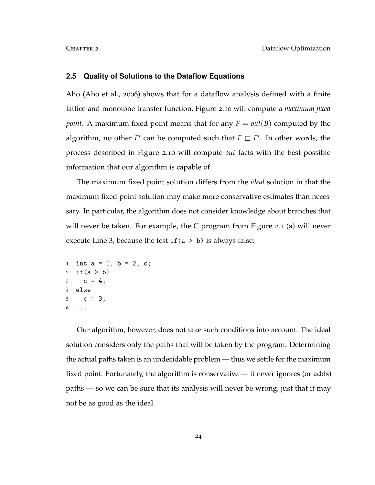#### **2.5 Quality of Solutions to the Dataflow Equations**

Aho (Aho et al., 2006) shows that for a dataflow analysis defined with a finite lattice and monotone transfer function, Figure 2.10 will compute a *maximum fixed point.* A maximum fixed point means that for any  $F = out(B)$  computed by the algorithm, no other  $F'$  can be computed such that  $F \subset F'$ . In other words, the process described in Figure 2.10 will compute *out* facts with the best possible information that our algorithm is capable of.

The maximum fixed point solution differs from the *ideal* solution in that the maximum fixed point solution may make more conservative estimates than necessary. In particular, the algorithm does not consider knowledge about branches that will never be taken. For example, the C program from Figure 2.1 (a) will never execute Line 3, because the test if  $(a > b)$  is always false:

```
1 int a = 1, b = 2, c;
2 if (a > b)3 c = 4;
4 else
5 c = 3;
6 ...
```
Our algorithm, however, does not take such conditions into account. The ideal solution considers only the paths that will be taken by the program. Determining the actual paths taken is an undecidable problem — thus we settle for the maximum fixed point. Fortunately, the algorithm is conservative — it never ignores (or adds) paths — so we can be sure that its analysis will never be wrong, just that it may not be as good as the ideal.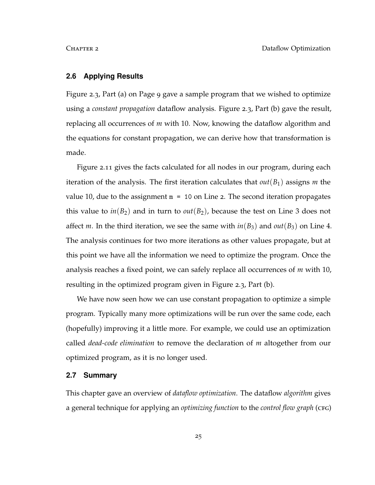#### **2.6 Applying Results**

Figure 2.3, Part (a) on Page 9 gave a sample program that we wished to optimize using a *constant propagation* dataflow analysis. Figure 2.3, Part (b) gave the result, replacing all occurrences of *m* with 10. Now, knowing the dataflow algorithm and the equations for constant propagation, we can derive how that transformation is made.

Figure 2.11 gives the facts calculated for all nodes in our program, during each iteration of the analysis. The first iteration calculates that *out*(*B*1) assigns *m* the value 10, due to the assignment  $m = 10$  on Line 2. The second iteration propagates this value to  $in(B_2)$  and in turn to  $out(B_2)$ , because the test on Line 3 does not affect *m*. In the third iteration, we see the same with  $in(B_3)$  and  $out(B_3)$  on Line 4. The analysis continues for two more iterations as other values propagate, but at this point we have all the information we need to optimize the program. Once the analysis reaches a fixed point, we can safely replace all occurrences of *m* with 10, resulting in the optimized program given in Figure 2.3, Part (b).

We have now seen how we can use constant propagation to optimize a simple program. Typically many more optimizations will be run over the same code, each (hopefully) improving it a little more. For example, we could use an optimization called *dead-code elimination* to remove the declaration of *m* altogether from our optimized program, as it is no longer used.

#### **2.7 Summary**

This chapter gave an overview of *dataflow optimization*. The dataflow *algorithm* gives a general technique for applying an *optimizing function* to the *control flow graph* (cfg)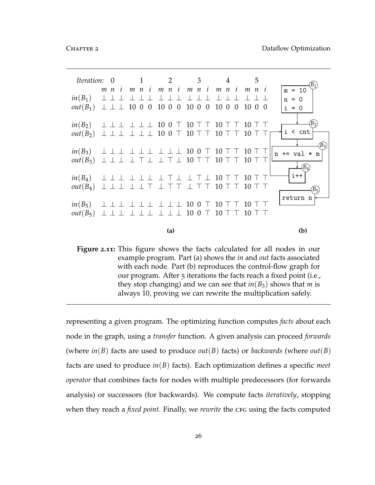

**Figure 2.11:** This figure shows the facts calculated for all nodes in our example program. Part (a) shows the *in* and *out* facts associated with each node. Part (b) reproduces the control-flow graph for our program. After 5 iterations the facts reach a fixed point (i.e., they stop changing) and we can see that  $in(B_3)$  shows that *m* is always 10, proving we can rewrite the multiplication safely.

representing a given program. The optimizing function computes *facts* about each node in the graph, using a *transfer* function. A given analysis can proceed *forwards* (where  $in(B)$  facts are used to produce  $out(B)$  facts) or *backwards* (where  $out(B)$ ) facts are used to produce *in*(*B*) facts). Each optimization defines a specific *meet operator* that combines facts for nodes with multiple predecessors (for forwards analysis) or successors (for backwards). We compute facts *iteratively*, stopping when they reach a *fixed point*. Finally, we *rewrite* the c<sub>FG</sub> using the facts computed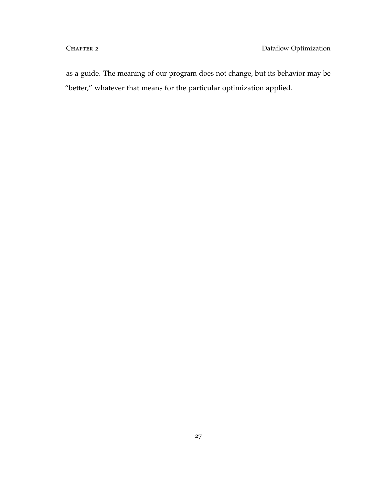as a guide. The meaning of our program does not change, but its behavior may be "better," whatever that means for the particular optimization applied.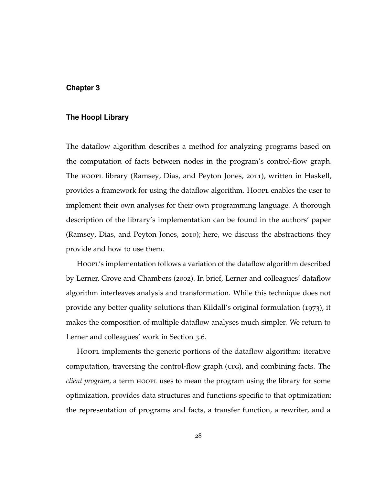## **Chapter 3**

# **The Hoopl Library**

The dataflow algorithm describes a method for analyzing programs based on the computation of facts between nodes in the program's control-flow graph. The hoopl library (Ramsey, Dias, and Peyton Jones, 2011), written in Haskell, provides a framework for using the dataflow algorithm. Hoopl enables the user to implement their own analyses for their own programming language. A thorough description of the library's implementation can be found in the authors' paper (Ramsey, Dias, and Peyton Jones, 2010); here, we discuss the abstractions they provide and how to use them.

Hooplet's implementation follows a variation of the dataflow algorithm described by Lerner, Grove and Chambers (2002). In brief, Lerner and colleagues' dataflow algorithm interleaves analysis and transformation. While this technique does not provide any better quality solutions than Kildall's original formulation (1973), it makes the composition of multiple dataflow analyses much simpler. We return to Lerner and colleagues' work in Section 3.6.

Hoopl implements the generic portions of the dataflow algorithm: iterative computation, traversing the control-flow graph (CFG), and combining facts. The *client program*, a term hoople uses to mean the program using the library for some optimization, provides data structures and functions specific to that optimization: the representation of programs and facts, a transfer function, a rewriter, and a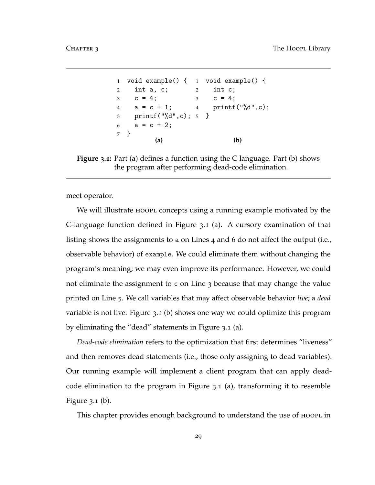```
1 void example() {
1 void example() {
2 int a, c;
3 c = 4;
4 \text{ a } = \text{c } + 1;5 printf("%d",c);
5 }
6 a = c + 2;7 }
                  2 int c;
                  3 c = 4;
                  4 printf("%d",c);
         (a) (b)
```
**Figure 3.1:** Part (a) defines a function using the C language. Part (b) shows the program after performing dead-code elimination.

meet operator.

We will illustrate hoople concepts using a running example motivated by the C-language function defined in Figure 3.1 (a). A cursory examination of that listing shows the assignments to a on Lines 4 and 6 do not affect the output (i.e., observable behavior) of example. We could eliminate them without changing the program's meaning; we may even improve its performance. However, we could not eliminate the assignment to c on Line 3 because that may change the value printed on Line 5. We call variables that may affect observable behavior *live*; a *dead* variable is not live. Figure 3.1 (b) shows one way we could optimize this program by eliminating the "dead" statements in Figure 3.1 (a).

*Dead-code elimination* refers to the optimization that first determines "liveness" and then removes dead statements (i.e., those only assigning to dead variables). Our running example will implement a client program that can apply deadcode elimination to the program in Figure 3.1 (a), transforming it to resemble Figure 3.1 (b).

This chapter provides enough background to understand the use of HOOPL in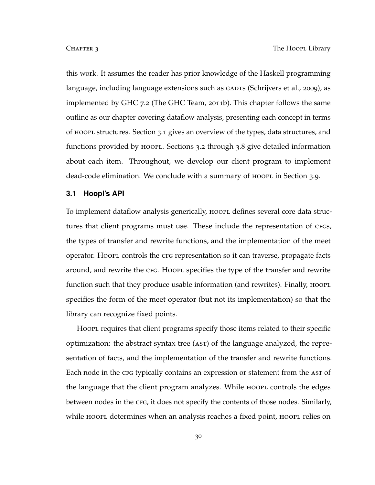this work. It assumes the reader has prior knowledge of the Haskell programming language, including language extensions such as GADTS (Schrijvers et al., 2009), as implemented by GHC 7.2 (The GHC Team, 2011b). This chapter follows the same outline as our chapter covering dataflow analysis, presenting each concept in terms of hoopl structures. Section 3.1 gives an overview of the types, data structures, and functions provided by HOOPL. Sections 3.2 through 3.8 give detailed information about each item. Throughout, we develop our client program to implement dead-code elimination. We conclude with a summary of HOOPL in Section 3.9.

### **3.1 Hoopl's API**

To implement dataflow analysis generically, HOOPL defines several core data structures that client programs must use. These include the representation of cros, the types of transfer and rewrite functions, and the implementation of the meet operator. Hoopl controls the CFG representation so it can traverse, propagate facts around, and rewrite the CFG. Hoople specifies the type of the transfer and rewrite function such that they produce usable information (and rewrites). Finally, HOOPL specifies the form of the meet operator (but not its implementation) so that the library can recognize fixed points.

Hoople requires that client programs specify those items related to their specific optimization: the abstract syntax tree (ast) of the language analyzed, the representation of facts, and the implementation of the transfer and rewrite functions. Each node in the c<sub>FG</sub> typically contains an expression or statement from the AST of the language that the client program analyzes. While hoopl controls the edges between nodes in the CFG, it does not specify the contents of those nodes. Similarly, while hoopl determines when an analysis reaches a fixed point, hoopl relies on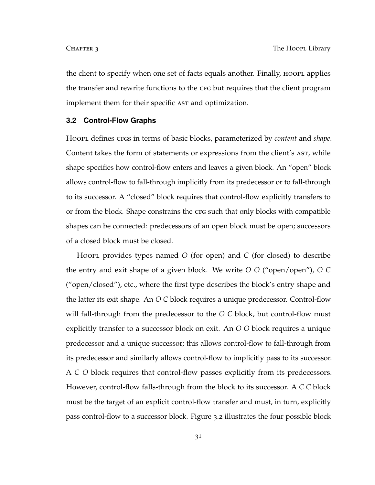the client to specify when one set of facts equals another. Finally, *HOOPL* applies the transfer and rewrite functions to the cfg but requires that the client program implement them for their specific AST and optimization.

## **3.2 Control-Flow Graphs**

Hoopl defines cfgs in terms of basic blocks, parameterized by *content* and *shape*. Content takes the form of statements or expressions from the client's AST, while shape specifies how control-flow enters and leaves a given block. An "open" block allows control-flow to fall-through implicitly from its predecessor or to fall-through to its successor. A "closed" block requires that control-flow explicitly transfers to or from the block. Shape constrains the CFG such that only blocks with compatible shapes can be connected: predecessors of an open block must be open; successors of a closed block must be closed.

Hoopl provides types named *O* (for open) and *C* (for closed) to describe the entry and exit shape of a given block. We write *O O* ("open/open"), *O C* ("open/closed"), etc., where the first type describes the block's entry shape and the latter its exit shape. An *O C* block requires a unique predecessor. Control-flow will fall-through from the predecessor to the *O C* block, but control-flow must explicitly transfer to a successor block on exit. An *O O* block requires a unique predecessor and a unique successor; this allows control-flow to fall-through from its predecessor and similarly allows control-flow to implicitly pass to its successor. A *C O* block requires that control-flow passes explicitly from its predecessors. However, control-flow falls-through from the block to its successor. A *C C* block must be the target of an explicit control-flow transfer and must, in turn, explicitly pass control-flow to a successor block. Figure 3.2 illustrates the four possible block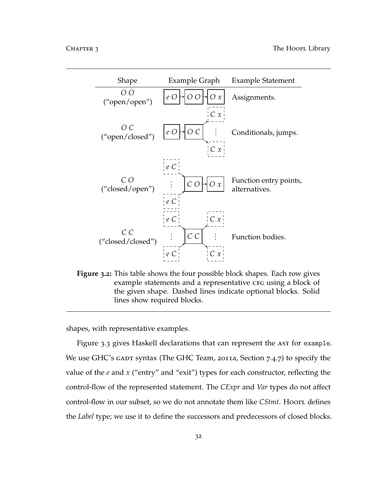

**Figure 3.2:** This table shows the four possible block shapes. Each row gives example statements and a representative CFG using a block of the given shape. Dashed lines indicate optional blocks. Solid lines show required blocks.

shapes, with representative examples.

Figure 3.3 gives Haskell declarations that can represent the AST for example. We use GHC's GADT syntax (The GHC Team, 2011a, Section 7.4.7) to specify the value of the *e* and *x* ("entry" and "exit") types for each constructor, reflecting the control-flow of the represented statement. The *CExpr* and *Var* types do not affect control-flow in our subset, so we do not annotate them like *CStmt*. Hoopt defines the *Label* type; we use it to define the successors and predecessors of closed blocks.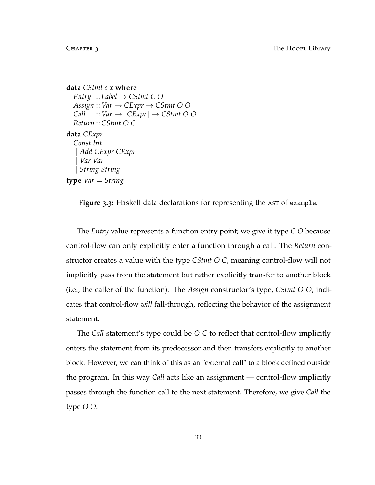```
data CStmt e x where
  Entry :: Label \rightarrow CStmt C O
  Assign :: Var → CExpr → CStmt O O
  Call :: Var \rightarrow [CExpr] \rightarrow CStmt O OReturn :: CStmt O C
data CExpr =Const Int
    | Add CExpr CExpr
    | Var Var
    | String String
type Var = String
```
**Figure** 3.3: Haskell data declarations for representing the AST of example.

The *Entry* value represents a function entry point; we give it type *C O* because control-flow can only explicitly enter a function through a call. The *Return* constructor creates a value with the type *CStmt O C*, meaning control-flow will not implicitly pass from the statement but rather explicitly transfer to another block (i.e., the caller of the function). The *Assign* constructor's type, *CStmt O O*, indicates that control-flow *will* fall-through, reflecting the behavior of the assignment statement.

The *Call* statement's type could be *O C* to reflect that control-flow implicitly enters the statement from its predecessor and then transfers explicitly to another block. However, we can think of this as an "external call" to a block defined outside the program. In this way *Call* acts like an assignment — control-flow implicitly passes through the function call to the next statement. Therefore, we give *Call* the type *O O*.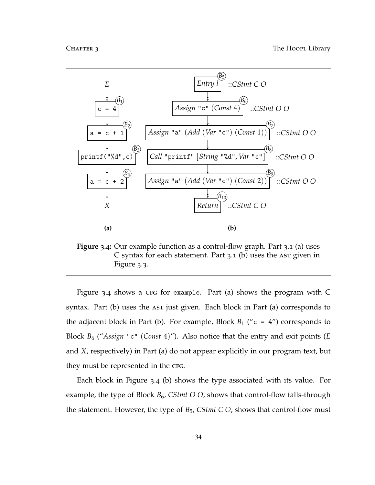

**Figure 3.4:** Our example function as a control-flow graph. Part 3.1 (a) uses C syntax for each statement. Part  $3.1$  (b) uses the AST given in Figure 3.3.

Figure  $3.4$  shows a CFG for example. Part (a) shows the program with C syntax. Part (b) uses the Ast just given. Each block in Part (a) corresponds to the adjacent block in Part (b). For example, Block  $B_1$  ("c = 4") corresponds to Block *B*<sup>6</sup> ("*Assign* "c" (*Const* 4)"). Also notice that the entry and exit points (*E* and *X*, respectively) in Part (a) do not appear explicitly in our program text, but they must be represented in the CFG.

Each block in Figure 3.4 (b) shows the type associated with its value. For example, the type of Block  $B_6$ , *CStmt O O*, shows that control-flow falls-through the statement. However, the type of *B*5, *CStmt C O*, shows that control-flow must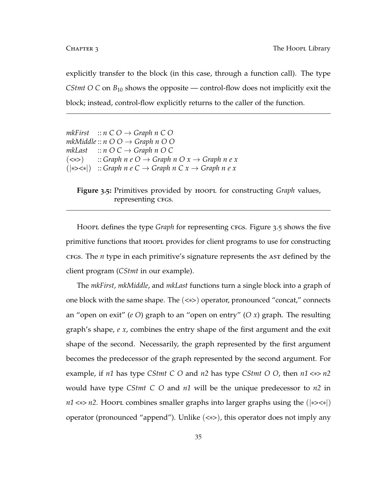explicitly transfer to the block (in this case, through a function call). The type *CStmt O C* on  $B_{10}$  shows the opposite — control-flow does not implicitly exit the block; instead, control-flow explicitly returns to the caller of the function.

```
mkFirst :: n \times O \rightarrow Graph n \times OmkMiddle :: n \times O \rightarrow Graph n \times OmkLast :: n O C \rightarrow Graph n O C(<∗>) :: Graph n e O → Graph n O x → Graph n e x
(|∗><∗|) :: Graph n e C → Graph n C x → Graph n e x
```


Hoopl defines the type *Graph* for representing crgs. Figure 3.5 shows the five primitive functions that hoople provides for client programs to use for constructing cfgs. The *n* type in each primitive's signature represents the ast defined by the client program (*CStmt* in our example).

The *mkFirst*, *mkMiddle*, and *mkLast* functions turn a single block into a graph of one block with the same shape. The (<∗>) operator, pronounced "concat," connects an "open on exit" (*e O*) graph to an "open on entry" (*O x*) graph. The resulting graph's shape, *e x*, combines the entry shape of the first argument and the exit shape of the second. Necessarily, the graph represented by the first argument becomes the predecessor of the graph represented by the second argument. For example, if *n1* has type *CStmt C O* and *n2* has type *CStmt O O*, then *n1* <∗> *n2* would have type *CStmt C O* and *n1* will be the unique predecessor to *n2* in *n1* <\*> *n2*. Hoort combines smaller graphs into larger graphs using the ( $|\gg$ <\*) operator (pronounced "append"). Unlike (<∗>), this operator does not imply any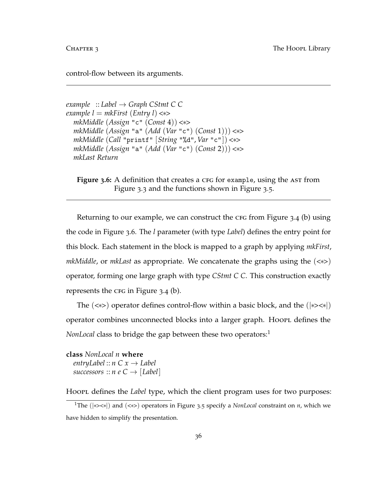control-flow between its arguments.

*example* :: *Label* → *Graph CStmt C C example l* = *mkFirst* (*Entry l*) <∗> *mkMiddle* (*Assign* "c" (*Const* 4)) <∗> *mkMiddle* (*Assign* "a" (*Add* (*Var* "c") (*Const* 1))) <∗> *mkMiddle* (*Call* "printf" [*String* "%d", *Var* "c"]) <∗> *mkMiddle* (*Assign* "a" (*Add* (*Var* "c") (*Const* 2))) <∗> *mkLast Return*

**Figure** 3.6: A definition that creates a CFG for example, using the AST from Figure 3.3 and the functions shown in Figure 3.5.

Returning to our example, we can construct the  $CFC$  from Figure 3.4 (b) using the code in Figure 3.6. The *l* parameter (with type *Label*) defines the entry point for this block. Each statement in the block is mapped to a graph by applying *mkFirst*, *mkMiddle*, or *mkLast* as appropriate. We concatenate the graphs using the (<∗>) operator, forming one large graph with type *CStmt C C*. This construction exactly represents the  $CFG$  in Figure 3.4 (b).

The  $(\ll\gg)$  operator defines control-flow within a basic block, and the  $(\ll\gg\ll\ll)$ operator combines unconnected blocks into a larger graph. Hoopl defines the *NonLocal* class to bridge the gap between these two operators:<sup>1</sup>

**class** *NonLocal n* **where** *entryLabel*  $:: n \subset x \rightarrow$  *Label successors*  $:: n \in C \rightarrow [Label]$ 

Hoopl defines the *Label* type, which the client program uses for two purposes:

<sup>1</sup>The (|∗><∗|) and (<∗>) operators in Figure 3.5 specify a *NonLocal* constraint on *n*, which we have hidden to simplify the presentation.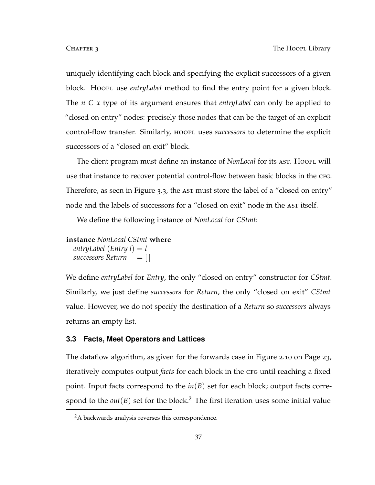uniquely identifying each block and specifying the explicit successors of a given block. Hoopluse *entryLabel* method to find the entry point for a given block. The *n C x* type of its argument ensures that *entryLabel* can only be applied to "closed on entry" nodes: precisely those nodes that can be the target of an explicit control-flow transfer. Similarly, hoopl uses *successors* to determine the explicit successors of a "closed on exit" block.

The client program must define an instance of *NonLocal* for its AST. HoopL will use that instance to recover potential control-flow between basic blocks in the cfg. Therefore, as seen in Figure 3.3, the AST must store the label of a "closed on entry" node and the labels of successors for a "closed on exit" node in the AST itself.

We define the following instance of *NonLocal* for *CStmt*:

**instance** *NonLocal CStmt* **where**

*entryLabel* (*Entry l*)  $=$  *l*  $successors Return = []$ 

We define *entryLabel* for *Entry*, the only "closed on entry" constructor for *CStmt*. Similarly, we just define *successors* for *Return*, the only "closed on exit" *CStmt* value. However, we do not specify the destination of a *Return* so *successors* always returns an empty list.

### **3.3 Facts, Meet Operators and Lattices**

The dataflow algorithm, as given for the forwards case in Figure 2.10 on Page 23, iteratively computes output *facts* for each block in the cfg until reaching a fixed point. Input facts correspond to the *in*(*B*) set for each block; output facts correspond to the  $out(B)$  set for the block.<sup>2</sup> The first iteration uses some initial value

<sup>&</sup>lt;sup>2</sup>A backwards analysis reverses this correspondence.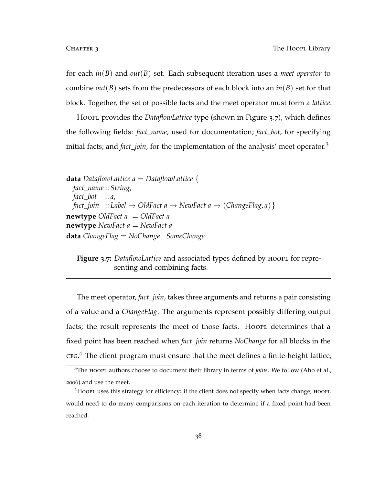for each *in*(*B*) and *out*(*B*) set. Each subsequent iteration uses a *meet operator* to combine *out*(*B*) sets from the predecessors of each block into an  $in(B)$  set for that block. Together, the set of possible facts and the meet operator must form a *lattice*.

Hoopl provides the *DataflowLattice* type (shown in Figure 3.7), which defines the following fields: *fact*\_*name*, used for documentation; *fact*\_*bot*, for specifying initial facts; and *fact*\_*join*, for the implementation of the analysis' meet operator.<sup>3</sup>

```
data DataflowLattice a = DataflowLattice {
  fact_name :: String,
 fact_bot :: a,
 fact_join :: Label \rightarrow OldFact a \rightarrow NewFact a \rightarrow (ChangeFlag, a) }
newtype OldFact a = OldFact a
newtype NewFact a = NewFact a
data ChangeFlag = NoChange | SomeChange
```
**Figure** 3.7: *DataflowLattice* and associated types defined by HOOPL for representing and combining facts.

The meet operator, *fact*\_*join*, takes three arguments and returns a pair consisting of a value and a *ChangeFlag*. The arguments represent possibly differing output facts; the result represents the meet of those facts. Hoopl determines that a fixed point has been reached when *fact*\_*join* returns *NoChange* for all blocks in the  $c$ FG.<sup>4</sup> The client program must ensure that the meet defines a finite-height lattice;

<sup>&</sup>lt;sup>3</sup>The HOOPL authors choose to document their library in terms of *joins*. We follow (Aho et al., 2006) and use the meet.

<sup>&</sup>lt;sup>4</sup>HoopL uses this strategy for efficiency: if the client does not specify when facts change, hoopL would need to do many comparisons on each iteration to determine if a fixed point had been reached.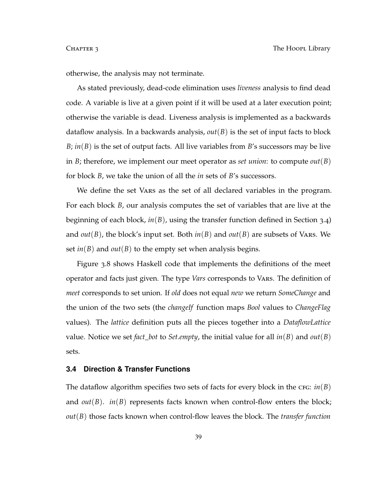otherwise, the analysis may not terminate.

As stated previously, dead-code elimination uses *liveness* analysis to find dead code. A variable is live at a given point if it will be used at a later execution point; otherwise the variable is dead. Liveness analysis is implemented as a backwards dataflow analysis. In a backwards analysis, *out*(*B*) is the set of input facts to block *B*; *in*(*B*) is the set of output facts. All live variables from *B*'s successors may be live in *B*; therefore, we implement our meet operator as *set union*: to compute *out*(*B*) for block *B*, we take the union of all the *in* sets of *B*'s successors.

We define the set Vars as the set of all declared variables in the program. For each block *B*, our analysis computes the set of variables that are live at the beginning of each block, *in*(*B*), using the transfer function defined in Section 3.4) and *out*(*B*), the block's input set. Both *in*(*B*) and *out*(*B*) are subsets of Vars. We set *in*(*B*) and *out*(*B*) to the empty set when analysis begins.

Figure 3.8 shows Haskell code that implements the definitions of the meet operator and facts just given. The type *Vars* corresponds to Vars. The definition of *meet* corresponds to set union. If *old* does not equal *new* we return *SomeChange* and the union of the two sets (the *changeIf* function maps *Bool* values to *ChangeFlag* values). The *lattice* definition puts all the pieces together into a *DataflowLattice* value. Notice we set *fact\_bot* to *Set.empty*, the initial value for all *in*(*B*) and *out*(*B*) sets.

## **3.4 Direction & Transfer Functions**

The dataflow algorithm specifies two sets of facts for every block in the c<sub>FG</sub>:  $in(B)$ and  $out(B)$ .  $in(B)$  represents facts known when control-flow enters the block; *out*(*B*) those facts known when control-flow leaves the block. The *transfer function*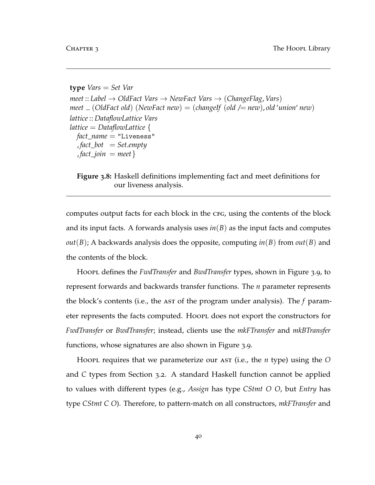```
type Vars = Set Var
meet :: Label → OldFact Vars → NewFact Vars → (ChangeFlag, Vars)
meet \angle (OldFact old) (NewFact new) = (changeIf (old /= new), old 'union' new)
lattice :: DataflowLattice Vars
lattice = DataflowLattice {
  fact_name = "Liveness"
  , fact_bot = Set.empty
  , fact\_join = meet
```
**Figure 3.8:** Haskell definitions implementing fact and meet definitions for our liveness analysis.

computes output facts for each block in the cfg, using the contents of the block and its input facts. A forwards analysis uses *in*(*B*) as the input facts and computes  $out(B)$ ; A backwards analysis does the opposite, computing  $in(B)$  from  $out(B)$  and the contents of the block.

Hoopl defines the *FwdTransfer* and *BwdTransfer* types, shown in Figure 3.9, to represent forwards and backwards transfer functions. The *n* parameter represents the block's contents (i.e., the ast of the program under analysis). The *f* parameter represents the facts computed. Hoopl does not export the constructors for *FwdTransfer* or *BwdTransfer*; instead, clients use the *mkFTransfer* and *mkBTransfer* functions, whose signatures are also shown in Figure 3.9.

Hoopl requires that we parameterize our AST (i.e., the *n* type) using the *O* and *C* types from Section 3.2. A standard Haskell function cannot be applied to values with different types (e.g., *Assign* has type *CStmt O O*, but *Entry* has type *CStmt C O*). Therefore, to pattern-match on all constructors, *mkFTransfer* and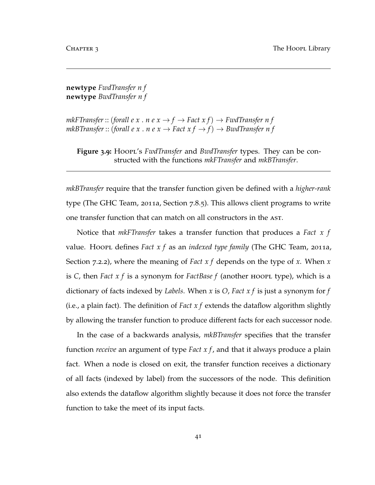**newtype** *FwdTransfer n f* **newtype** *BwdTransfer n f*

*mkFTransfer* :: (*forall e x . n e x*  $\rightarrow$  *f*  $\rightarrow$  *Fact x f*)  $\rightarrow$  *FwdTransfer n f mkBTransfer* :: (*forall e x . n e x*  $\rightarrow$  *Fact x f*  $\rightarrow$  *f*)  $\rightarrow$  *BwdTransfer n f* 

**Figure 3.9:** Hoopl's *FwdTransfer* and *BwdTransfer* types. They can be constructed with the functions *mkFTransfer* and *mkBTransfer*.

*mkBTransfer* require that the transfer function given be defined with a *higher-rank* type (The GHC Team, 2011a, Section 7.8.5). This allows client programs to write one transfer function that can match on all constructors in the ast.

Notice that *mkFTransfer* takes a transfer function that produces a *Fact x f* value. Hoort defines *Fact x f* as an *indexed type family* (The GHC Team, 2011a, Section 7.2.2), where the meaning of *Fact x f* depends on the type of *x*. When *x* is *C*, then *Fact x f* is a synonym for *FactBase f* (another HOOPL type), which is a dictionary of facts indexed by *Labels*. When *x* is *O*, *Fact x f* is just a synonym for *f* (i.e., a plain fact). The definition of *Fact x f* extends the dataflow algorithm slightly by allowing the transfer function to produce different facts for each successor node.

In the case of a backwards analysis, *mkBTransfer* specifies that the transfer function *receive* an argument of type *Fact x f*, and that it always produce a plain fact. When a node is closed on exit, the transfer function receives a dictionary of all facts (indexed by label) from the successors of the node. This definition also extends the dataflow algorithm slightly because it does not force the transfer function to take the meet of its input facts.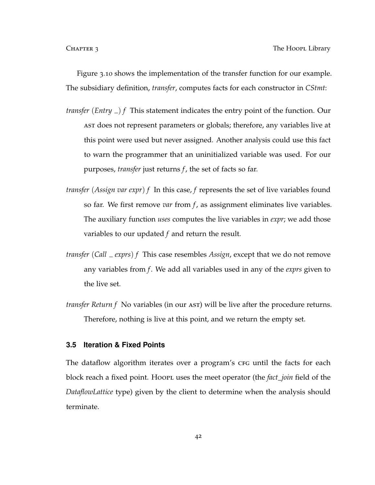Figure 3.10 shows the implementation of the transfer function for our example. The subsidiary definition, *transfer*, computes facts for each constructor in *CStmt*:

- *transfer* (*Entry*  $\Box$ ) *f* This statement indicates the entry point of the function. Our ast does not represent parameters or globals; therefore, any variables live at this point were used but never assigned. Another analysis could use this fact to warn the programmer that an uninitialized variable was used. For our purposes, *transfer* just returns *f*, the set of facts so far.
- *transfer* (*Assign var expr*) *f* In this case, *f* represents the set of live variables found so far. We first remove *var* from *f*, as assignment eliminates live variables. The auxiliary function *uses* computes the live variables in *expr*; we add those variables to our updated *f* and return the result.
- *transfer* (*Call exprs*) *f* This case resembles *Assign*, except that we do not remove any variables from *f*. We add all variables used in any of the *exprs* given to the live set.
- *transfer Return f* No variables (in our AST) will be live after the procedure returns. Therefore, nothing is live at this point, and we return the empty set.

### **3.5 Iteration & Fixed Points**

The dataflow algorithm iterates over a program's CFG until the facts for each block reach a fixed point. Hoopl uses the meet operator (the *fact*\_*join* field of the *DataflowLattice* type) given by the client to determine when the analysis should terminate.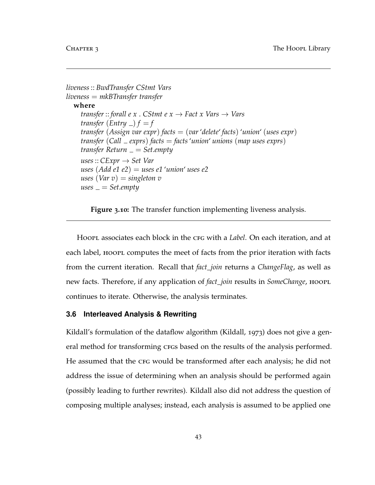```
liveness :: BwdTransfer CStmt Vars
liveness = mkBTransfer transfer
  where
    transfer :: forall e x . CStmt e x \rightarrow Fact x Vars \rightarrow Vars
    transfer (Entry ) f = f
    transfer (Assign var expr) facts = (var'delete' facts) 'union' (uses expr)
    transfer (Call exprs) facts = facts'union' unions (map uses exprs)
    transfer Return = Set.empty
    uses :: CExpr → Set Var
    uses (Add e1 e2) = uses e1 'union' uses e2
    uses (Var v) = singleton v
    uses = Set.empty
```
**Figure 3.10:** The transfer function implementing liveness analysis.

HoopL associates each block in the CFG with a *Label*. On each iteration, and at each label, hoopl computes the meet of facts from the prior iteration with facts from the current iteration. Recall that *fact*\_*join* returns a *ChangeFlag*, as well as new facts. Therefore, if any application of *fact*\_*join* results in *SomeChange*, hoopl continues to iterate. Otherwise, the analysis terminates.

### **3.6 Interleaved Analysis & Rewriting**

Kildall's formulation of the dataflow algorithm (Kildall, 1973) does not give a general method for transforming cros based on the results of the analysis performed. He assumed that the cfg would be transformed after each analysis; he did not address the issue of determining when an analysis should be performed again (possibly leading to further rewrites). Kildall also did not address the question of composing multiple analyses; instead, each analysis is assumed to be applied one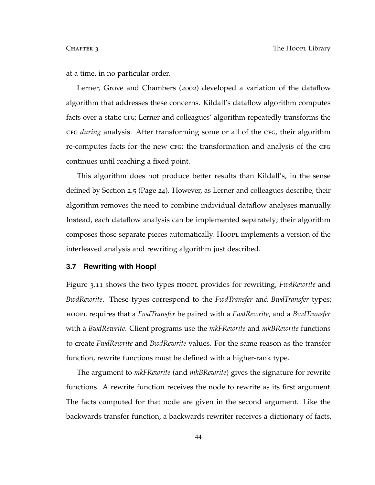at a time, in no particular order.

Lerner, Grove and Chambers (2002) developed a variation of the dataflow algorithm that addresses these concerns. Kildall's dataflow algorithm computes facts over a static cfg; Lerner and colleagues' algorithm repeatedly transforms the cfg *during* analysis. After transforming some or all of the cfg, their algorithm re-computes facts for the new CFG; the transformation and analysis of the CFG continues until reaching a fixed point.

This algorithm does not produce better results than Kildall's, in the sense defined by Section 2.5 (Page 24). However, as Lerner and colleagues describe, their algorithm removes the need to combine individual dataflow analyses manually. Instead, each dataflow analysis can be implemented separately; their algorithm composes those separate pieces automatically. Hooply implements a version of the interleaved analysis and rewriting algorithm just described.

### **3.7 Rewriting with Hoopl**

Figure 3.11 shows the two types *HOOPL* provides for rewriting, *FwdRewrite* and *BwdRewrite*. These types correspond to the *FwdTransfer* and *BwdTransfer* types; hoopl requires that a *FwdTransfer* be paired with a *FwdRewrite*, and a *BwdTransfer* with a *BwdRewrite*. Client programs use the *mkFRewrite* and *mkBRewrite* functions to create *FwdRewrite* and *BwdRewrite* values. For the same reason as the transfer function, rewrite functions must be defined with a higher-rank type.

The argument to *mkFRewrite* (and *mkBRewrite*) gives the signature for rewrite functions. A rewrite function receives the node to rewrite as its first argument. The facts computed for that node are given in the second argument. Like the backwards transfer function, a backwards rewriter receives a dictionary of facts,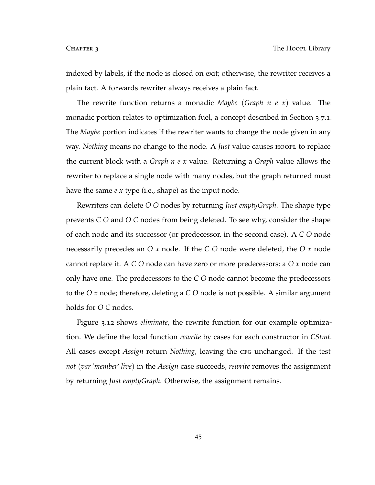indexed by labels, if the node is closed on exit; otherwise, the rewriter receives a plain fact. A forwards rewriter always receives a plain fact.

The rewrite function returns a monadic *Maybe* (*Graph n e x*) value. The monadic portion relates to optimization fuel, a concept described in Section 3.7.1. The *Maybe* portion indicates if the rewriter wants to change the node given in any way. *Nothing* means no change to the node. A *Just* value causes *HOOPL* to replace the current block with a *Graph n e x* value. Returning a *Graph* value allows the rewriter to replace a single node with many nodes, but the graph returned must have the same *e x* type (i.e., shape) as the input node.

Rewriters can delete *O O* nodes by returning *Just emptyGraph*. The shape type prevents *C O* and *O C* nodes from being deleted. To see why, consider the shape of each node and its successor (or predecessor, in the second case). A *C O* node necessarily precedes an *O x* node. If the *C O* node were deleted, the *O x* node cannot replace it. A *C O* node can have zero or more predecessors; a *O x* node can only have one. The predecessors to the *C O* node cannot become the predecessors to the *O x* node; therefore, deleting a *C O* node is not possible. A similar argument holds for *O C* nodes.

Figure 3.12 shows *eliminate*, the rewrite function for our example optimization. We define the local function *rewrite* by cases for each constructor in *CStmt*. All cases except *Assign* return *Nothing*, leaving the c<sub>FG</sub> unchanged. If the test *not* (*var*'*member*' *live*) in the *Assign* case succeeds, *rewrite* removes the assignment by returning *Just emptyGraph*. Otherwise, the assignment remains.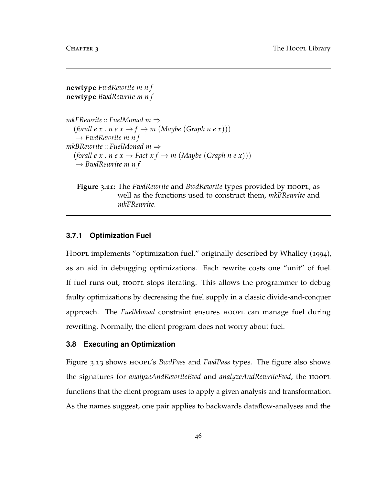**newtype** *FwdRewrite m n f* **newtype** *BwdRewrite m n f*

```
mkFRewrite :: FuelMonad m ⇒
   (forall e x . n e x \rightarrow f \rightarrow m (Maybe (Graph n e x)))\rightarrow FwdRewrite m n f
mkBRewrite :: FuelMonad m ⇒
   (forall e x . n e x \rightarrow Fact x f \rightarrow m (Maybe (Graph n e x)))
   \rightarrow BwdRewrite m n f
```
**Figure 3.11:** The *FwdRewrite* and *BwdRewrite* types provided by hoopl, as well as the functions used to construct them, *mkBRewrite* and *mkFRewrite*.

### **3.7.1 Optimization Fuel**

Hoopl implements "optimization fuel," originally described by Whalley (1994), as an aid in debugging optimizations. Each rewrite costs one "unit" of fuel. If fuel runs out, hoople stops iterating. This allows the programmer to debug faulty optimizations by decreasing the fuel supply in a classic divide-and-conquer approach. The *FuelMonad* constraint ensures hoopl can manage fuel during rewriting. Normally, the client program does not worry about fuel.

### **3.8 Executing an Optimization**

Figure 3.13 shows hoopl's *BwdPass* and *FwdPass* types. The figure also shows the signatures for *analyzeAndRewriteBwd* and *analyzeAndRewriteFwd*, the hoopl functions that the client program uses to apply a given analysis and transformation. As the names suggest, one pair applies to backwards dataflow-analyses and the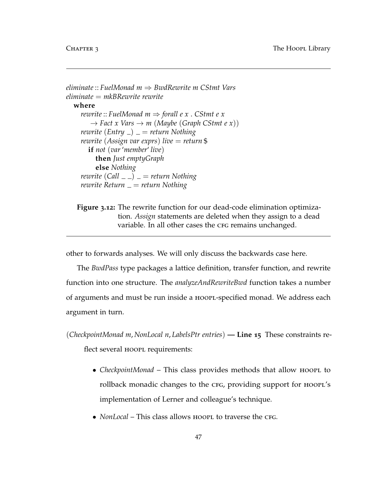```
eliminate :: FuelMonad m ⇒ BwdRewrite m CStmt Vars
eliminate = mkBRewrite rewrite
  where
    rewrite :: FuelMonad m \Rightarrow forall e x . CStmt e x
        \rightarrow Fact x Vars \rightarrow m (Maybe (Graph CStmt e x))
    rewrite (Entry ) = return Nothing
    rewrite (Assign var exprs) live = return $
       if not (var'member' live)
         then Just emptyGraph
         else Nothing
    rewrite (Call = = = return Nothing
    rewrite Return = return Nothing
```
**Figure 3.12:** The rewrite function for our dead-code elimination optimization. *Assign* statements are deleted when they assign to a dead variable. In all other cases the CFG remains unchanged.

other to forwards analyses. We will only discuss the backwards case here.

The *BwdPass* type packages a lattice definition, transfer function, and rewrite function into one structure. The *analyzeAndRewriteBwd* function takes a number of arguments and must be run inside a hoopl-specified monad. We address each argument in turn.

(*CheckpointMonad m*, *NonLocal n*, *LabelsPtr entries*) **— Line 15** These constraints reflect several hoop t requirements:

- *CheckpointMonad* This class provides methods that allow **HOOPL** to rollback monadic changes to the CFG, providing support for HOOPL's implementation of Lerner and colleague's technique.
- *NonLocal* This class allows **HOOPL** to traverse the CFG.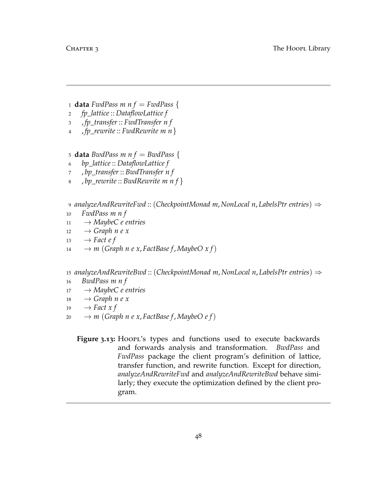- 1 **data**  $FwdPass \, m \, n \, f = FwdPass \, \{$
- <sup>2</sup> *fp*\_*lattice* :: *DataflowLattice f*
- <sup>3</sup> , *fp*\_*transfer* :: *FwdTransfer n f*
- <sup>4</sup> , *fp*\_*rewrite* :: *FwdRewrite m n*}
- 5 **data** *BwdPass m n f* = *BwdPass* {
- <sup>6</sup> *bp*\_*lattice* :: *DataflowLattice f*
- <sup>7</sup> , *bp*\_*transfer* :: *BwdTransfer n f*
- <sup>8</sup> , *bp*\_*rewrite* :: *BwdRewrite m n f* }

<sup>9</sup> *analyzeAndRewriteFwd* :: (*CheckpointMonad m*, *NonLocal n*, *LabelsPtr entries*) ⇒

- <sup>10</sup> *FwdPass m n f*
- 11  $\rightarrow$  *MaybeC e entries*
- 12  $\rightarrow$  *Graph n e x*
- 13  $\rightarrow$  *Fact e f*
- $14 \rightarrow m$  (*Graph n e x, FactBase f, MaybeO x f*)

<sup>15</sup> *analyzeAndRewriteBwd* :: (*CheckpointMonad m*, *NonLocal n*, *LabelsPtr entries*) ⇒ <sup>16</sup> *BwdPass m n f*

- $17 \rightarrow$  *MaybeC e entries*
- 18  $\rightarrow$  *Graph n e x*
- 19  $\rightarrow$  *Fact x f*
- $20 \rightarrow m$  (*Graph n e x, FactBase f, MaybeO e f*)
	- **Figure** 3.13: Hoopl's types and functions used to execute backwards and forwards analysis and transformation. *BwdPass* and *FwdPass* package the client program's definition of lattice, transfer function, and rewrite function. Except for direction, *analyzeAndRewriteFwd* and *analyzeAndRewriteBwd* behave similarly; they execute the optimization defined by the client program.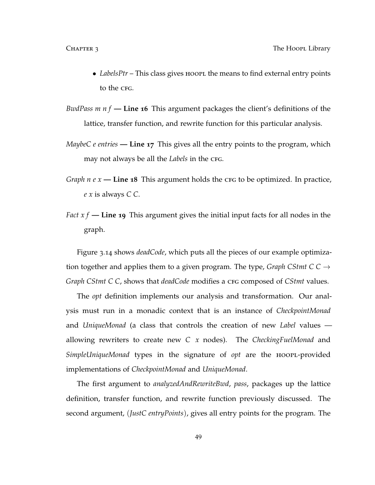- *LabelsPtr* This class gives hoop the means to find external entry points to the CFG.
- *BwdPass m n f*  **Line 16** This argument packages the client's definitions of the lattice, transfer function, and rewrite function for this particular analysis.
- *MaybeC e entries*  **Line 17** This gives all the entry points to the program, which may not always be all the *Labels* in the CFG.
- *Graph n e x* Line  $18$  This argument holds the CFG to be optimized. In practice, *e x* is always *C C*.
- *Fact x f*  **Line 19** This argument gives the initial input facts for all nodes in the graph.

Figure 3.14 shows *deadCode*, which puts all the pieces of our example optimization together and applies them to a given program. The type, *Graph CStmt C C*  $\rightarrow$ *Graph CStmt C C*, shows that *deadCode* modifies a cfg composed of *CStmt* values.

The *opt* definition implements our analysis and transformation. Our analysis must run in a monadic context that is an instance of *CheckpointMonad* and *UniqueMonad* (a class that controls the creation of new *Label* values allowing rewriters to create new *C x* nodes). The *CheckingFuelMonad* and *SimpleUniqueMonad* types in the signature of *opt* are the hoopl-provided implementations of *CheckpointMonad* and *UniqueMonad*.

The first argument to *analyzedAndRewriteBwd*, *pass*, packages up the lattice definition, transfer function, and rewrite function previously discussed. The second argument, (*JustC entryPoints*), gives all entry points for the program. The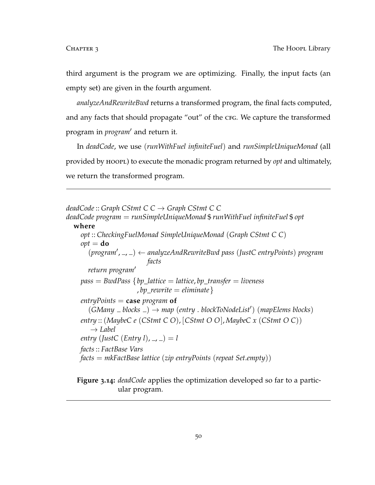third argument is the program we are optimizing. Finally, the input facts (an empty set) are given in the fourth argument.

*analyzeAndRewriteBwd* returns a transformed program, the final facts computed, and any facts that should propagate "out" of the CFG. We capture the transformed program in *program'* and return it.

In *deadCode*, we use (*runWithFuel infiniteFuel*) and *runSimpleUniqueMonad* (all provided by HOOPL) to execute the monadic program returned by *opt* and ultimately, we return the transformed program.

```
deadCode :: Graph CStmt C C → Graph CStmt C C
deadCode program = runSimpleUniqueMonad $ runWithFuel infiniteFuel $ opt
  where
    opt :: CheckingFuelMonad SimpleUniqueMonad (Graph CStmt C C)
    opt =do
       (program0
, , ) ← analyzeAndRewriteBwd pass (JustC entryPoints) program
                        facts
      return program'
    pass = BwdPass {bp_lattice = lattice, bp_transfer = liveness
                     , bp_rewrite = eliminate }
    entryPoints = case program of
       (GMany blocks ) → map (entry . blockToNodeList0
) (mapElems blocks)
    entry :: (MaybeC e (CStmt C O), [CStmt O O], MaybeC x (CStmt O C))
       → Label
    entry (IustC (Entry 1), -1) = 1facts :: FactBase Vars
    facts = mkFactBase lattice (zip entryPoints (repeat Set.empty))
```
**Figure 3.14:** *deadCode* applies the optimization developed so far to a particular program.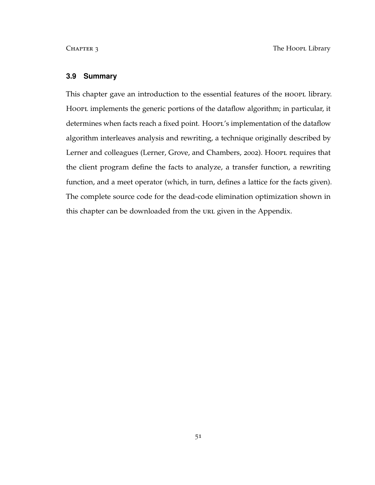## **3.9 Summary**

This chapter gave an introduction to the essential features of the HOOPL library. Hoopl implements the generic portions of the dataflow algorithm; in particular, it determines when facts reach a fixed point. Hoor L's implementation of the dataflow algorithm interleaves analysis and rewriting, a technique originally described by Lerner and colleagues (Lerner, Grove, and Chambers, 2002). Hoort requires that the client program define the facts to analyze, a transfer function, a rewriting function, and a meet operator (which, in turn, defines a lattice for the facts given). The complete source code for the dead-code elimination optimization shown in this chapter can be downloaded from the URL given in the Appendix.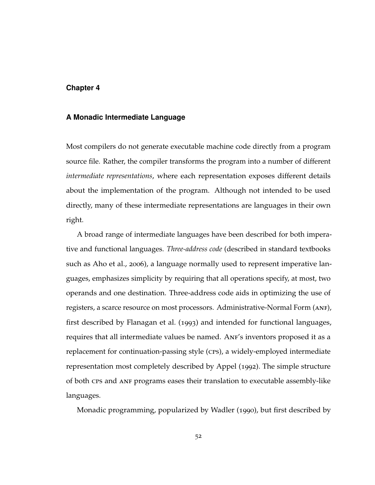# **Chapter 4**

### **A Monadic Intermediate Language**

Most compilers do not generate executable machine code directly from a program source file. Rather, the compiler transforms the program into a number of different *intermediate representations*, where each representation exposes different details about the implementation of the program. Although not intended to be used directly, many of these intermediate representations are languages in their own right.

A broad range of intermediate languages have been described for both imperative and functional languages. *Three-address code* (described in standard textbooks such as Aho et al., 2006), a language normally used to represent imperative languages, emphasizes simplicity by requiring that all operations specify, at most, two operands and one destination. Three-address code aids in optimizing the use of registers, a scarce resource on most processors. Administrative-Normal Form (anf), first described by Flanagan et al. (1993) and intended for functional languages, requires that all intermediate values be named. ANF's inventors proposed it as a replacement for continuation-passing style (cps), a widely-employed intermediate representation most completely described by Appel (1992). The simple structure of both cps and anf programs eases their translation to executable assembly-like languages.

Monadic programming, popularized by Wadler (1990), but first described by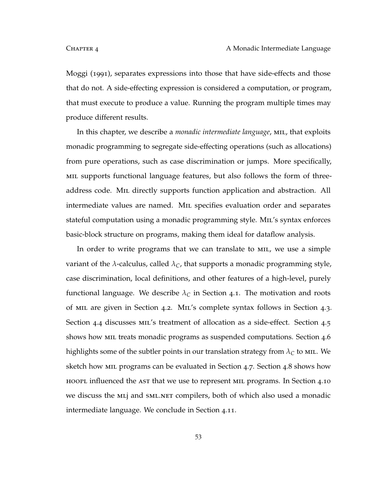Moggi (1991), separates expressions into those that have side-effects and those that do not. A side-effecting expression is considered a computation, or program, that must execute to produce a value. Running the program multiple times may produce different results.

In this chapter, we describe a *monadic intermediate language*, MIL, that exploits monadic programming to segregate side-effecting operations (such as allocations) from pure operations, such as case discrimination or jumps. More specifically, mil supports functional language features, but also follows the form of threeaddress code. Mil directly supports function application and abstraction. All intermediate values are named. Mil specifies evaluation order and separates stateful computation using a monadic programming style. Mil's syntax enforces basic-block structure on programs, making them ideal for dataflow analysis.

In order to write programs that we can translate to MIL, we use a simple variant of the  $\lambda$ -calculus, called  $\lambda_C$ , that supports a monadic programming style, case discrimination, local definitions, and other features of a high-level, purely functional language. We describe  $\lambda_C$  in Section 4.1. The motivation and roots of mil are given in Section 4.2. Mil's complete syntax follows in Section 4.3. Section 4.4 discusses MIL's treatment of allocation as a side-effect. Section 4.5 shows how mil treats monadic programs as suspended computations. Section 4.6 highlights some of the subtler points in our translation strategy from  $\lambda_C$  to MIL. We sketch how mil programs can be evaluated in Section 4.7. Section 4.8 shows how hoopl influenced the ast that we use to represent mil programs. In Section 4.10 we discuss the ML and SML.NET compilers, both of which also used a monadic intermediate language. We conclude in Section 4.11.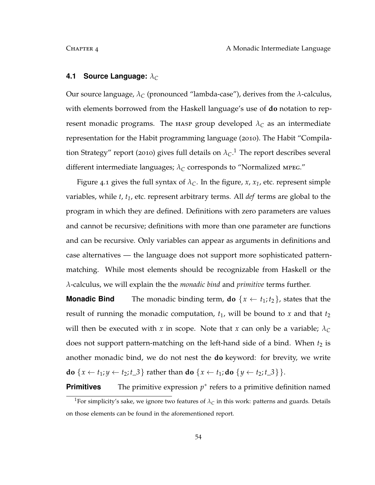# **4.1 Source Language:** *λ<sup>C</sup>*

Our source language,  $\lambda_C$  (pronounced "lambda-case"), derives from the  $\lambda$ -calculus, with elements borrowed from the Haskell language's use of **do** notation to represent monadic programs. The HASP group developed  $\lambda_C$  as an intermediate representation for the Habit programming language (2010). The Habit "Compilation Strategy" report (2010) gives full details on  $\lambda_C.^1$  The report describes several different intermediate languages;  $\lambda_C$  corresponds to "Normalized MPEG."

Figure 4.1 gives the full syntax of  $\lambda_c$ . In the figure, *x*, *x*<sub>1</sub>, etc. represent simple variables, while *t*, *t1*, etc. represent arbitrary terms. All *def* terms are global to the program in which they are defined. Definitions with zero parameters are values and cannot be recursive; definitions with more than one parameter are functions and can be recursive. Only variables can appear as arguments in definitions and case alternatives — the language does not support more sophisticated patternmatching. While most elements should be recognizable from Haskell or the *λ*-calculus, we will explain the the *monadic bind* and *primitive* terms further.

**Monadic Bind** The monadic binding term, **do**  $\{x \leftarrow t_1; t_2\}$ , states that the result of running the monadic computation,  $t_1$ , will be bound to  $x$  and that  $t_2$ will then be executed with *x* in scope. Note that *x* can only be a variable;  $\lambda_c$ does not support pattern-matching on the left-hand side of a bind. When  $t_2$  is another monadic bind, we do not nest the **do** keyword: for brevity, we write **do** {*x* ← *t*<sub>1</sub>; *y* ← *t*<sub>2</sub>; *t*\_3} rather than **do** {*x* ← *t*<sub>1</sub>; **do** {*y* ← *t*<sub>2</sub>; *t*\_3} }.

**Primitives** The primitive expression  $p^*$  refers to a primitive definition named <sup>1</sup>For simplicity's sake, we ignore two features of  $\lambda_C$  in this work: patterns and guards. Details on those elements can be found in the aforementioned report.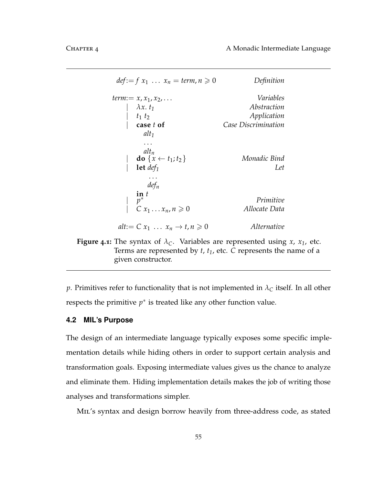$def := f x_1 ... x_n = term, n \geq 0$  *Definition*  $term := x, x_1, x_2, \ldots$  *Variables* | *λx*. *t<sup>1</sup> Abstraction* | *t*<sup>1</sup> *t*<sup>2</sup> *Application* | **case** *t* **of** *alt<sup>1</sup>* . . . *alt<sup>n</sup> Case Discrimination*  $\textbf{do} \{x \leftarrow t_1, t_2\}$  *Monadic Bind*  $\det \text{def}_1$ . . . *def<sup>n</sup>*  $\lim_{p^*} t$ *Let* | *p* <sup>∗</sup> *Primitive*  $\int_{0}^{1} C x_1 \ldots x_n, n \geq 0$  *Allocate Data*  $alt:= C x_1 \ldots x_n \rightarrow t, n \geq 0$  *Alternative* 

**Figure** 4.1: The syntax of  $\lambda_C$ . Variables are represented using *x*, *x*<sub>1</sub>, etc. Terms are represented by *t*, *t1*, etc. *C* represents the name of a given constructor.

*p*. Primitives refer to functionality that is not implemented in  $\lambda_C$  itself. In all other respects the primitive  $p^*$  is treated like any other function value.

## **4.2 MIL's Purpose**

The design of an intermediate language typically exposes some specific implementation details while hiding others in order to support certain analysis and transformation goals. Exposing intermediate values gives us the chance to analyze and eliminate them. Hiding implementation details makes the job of writing those analyses and transformations simpler.

MIL's syntax and design borrow heavily from three-address code, as stated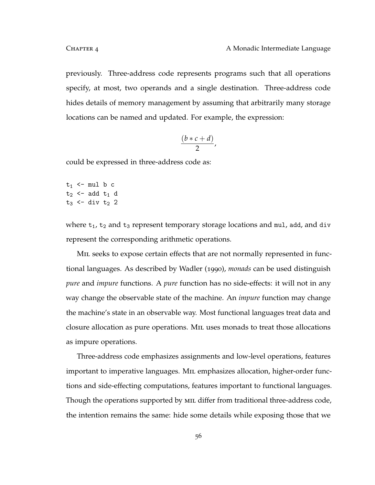previously. Three-address code represents programs such that all operations specify, at most, two operands and a single destination. Three-address code hides details of memory management by assuming that arbitrarily many storage locations can be named and updated. For example, the expression:

$$
\frac{(b*c+d)}{2},
$$

could be expressed in three-address code as:

 $t_1$  <- mul b c  $t_2$  <- add  $t_1$  d  $t_3$  <- div  $t_2$  2

where  $t_1$ ,  $t_2$  and  $t_3$  represent temporary storage locations and mul, add, and div represent the corresponding arithmetic operations.

Mil seeks to expose certain effects that are not normally represented in functional languages. As described by Wadler (1990), *monads* can be used distinguish *pure* and *impure* functions. A *pure* function has no side-effects: it will not in any way change the observable state of the machine. An *impure* function may change the machine's state in an observable way. Most functional languages treat data and closure allocation as pure operations. Mil uses monads to treat those allocations as impure operations.

Three-address code emphasizes assignments and low-level operations, features important to imperative languages. Mil emphasizes allocation, higher-order functions and side-effecting computations, features important to functional languages. Though the operations supported by mil differ from traditional three-address code, the intention remains the same: hide some details while exposing those that we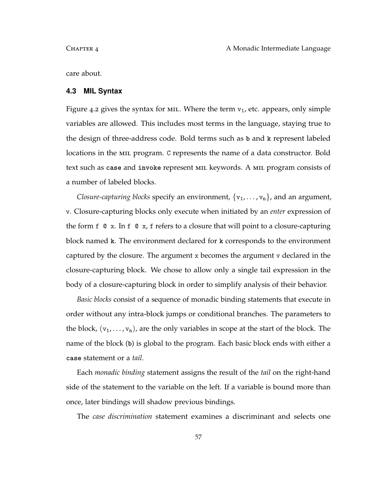care about.

### **4.3 MIL Syntax**

Figure 4.2 gives the syntax for MIL. Where the term  $v_1$ , etc. appears, only simple variables are allowed. This includes most terms in the language, staying true to the design of three-address code. Bold terms such as **b** and **k** represent labeled locations in the mil program. C represents the name of a data constructor. Bold text such as **case** and **invoke** represent mil keywords. A mil program consists of a number of labeled blocks.

*Closure-capturing blocks* specify an environment,  $\{v_1, \ldots, v_n\}$ , and an argument, v. Closure-capturing blocks only execute when initiated by an *enter* expression of the form  $f \circ x$ . In  $f \circ x$ ,  $f$  refers to a closure that will point to a closure-capturing block named **k**. The environment declared for **k** corresponds to the environment captured by the closure. The argument x becomes the argument v declared in the closure-capturing block. We chose to allow only a single tail expression in the body of a closure-capturing block in order to simplify analysis of their behavior.

*Basic blocks* consist of a sequence of monadic binding statements that execute in order without any intra-block jumps or conditional branches. The parameters to the block,  $(v_1, \ldots, v_n)$ , are the only variables in scope at the start of the block. The name of the block (**b**) is global to the program. Each basic block ends with either a **case** statement or a *tail*.

Each *monadic binding* statement assigns the result of the *tail* on the right-hand side of the statement to the variable on the left. If a variable is bound more than once, later bindings will shadow previous bindings.

The *case discrimination* statement examines a discriminant and selects one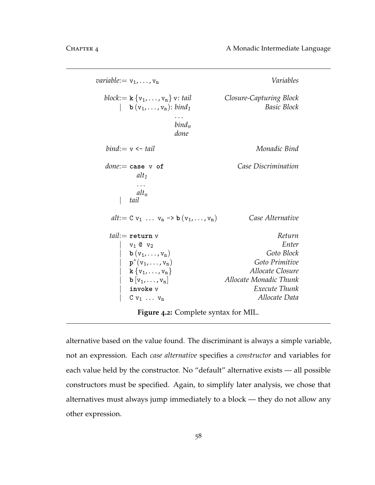$variable := v_1, \ldots, v_n$  *Variables block*:  $= \mathbf{k} \{v_1, \ldots, v_n\}$  v: *tail* Closure-Capturing Block  $|$  **b**  $(v_1, ..., v_n)$ : *bind<sub>1</sub>* . . . *bind<sup>n</sup> done Basic Block bind*:= v <- *tail Monadic Bind done*:= **case** v **of** *alt<sup>1</sup>* . . . *alt<sup>n</sup> Case Discrimination* | *tail*  $alt:= C v_1 \ldots v_n \rightarrow b(v_1, \ldots, v_n)$  *Case Alternative tail*:= **return** v *Return*  $v_1 \& v_2$  *Enter*<br> **b**  $(v_1, \ldots, v_n)$  *Goto Block*  $\mathbf{b}$   $(\mathbf{v}_1, \ldots, \mathbf{v}_n)$ | **p** ∗ (v1, . . . , vn) *Goto Primitive*  $\mathbf{k} \{v_1, \ldots, v_n\}$  *Allocate Closure* | **b** [v1, . . . , vn] *Allocate Monadic Thunk* | **invoke** v *Execute Thunk* | C v<sup>1</sup> . . . v<sup>n</sup> *Allocate Data* **Figure 4.2:** Complete syntax for MIL.

alternative based on the value found. The discriminant is always a simple variable, not an expression. Each *case alternative* specifies a *constructor* and variables for each value held by the constructor. No "default" alternative exists — all possible constructors must be specified. Again, to simplify later analysis, we chose that alternatives must always jump immediately to a block — they do not allow any other expression.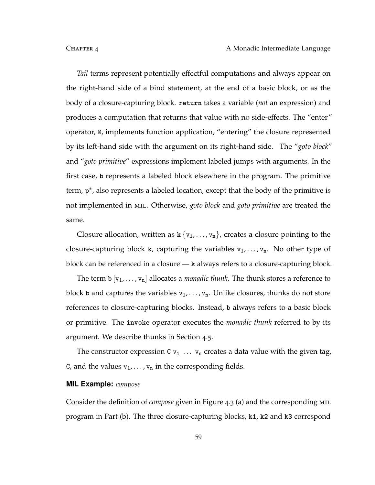*Tail* terms represent potentially effectful computations and always appear on the right-hand side of a bind statement, at the end of a basic block, or as the body of a closure-capturing block. **return** takes a variable (*not* an expression) and produces a computation that returns that value with no side-effects. The "enter" operator, @, implements function application, "entering" the closure represented by its left-hand side with the argument on its right-hand side. The "*goto block*" and "*goto primitive*" expressions implement labeled jumps with arguments. In the first case, **b** represents a labeled block elsewhere in the program. The primitive term, p<sup>∗</sup>, also represents a labeled location, except that the body of the primitive is not implemented in mil. Otherwise, *goto block* and *goto primitive* are treated the same.

Closure allocation, written as  $\mathbf{k} \{v_1, \ldots, v_n\}$ , creates a closure pointing to the closure-capturing block  $k$ , capturing the variables  $v_1, \ldots, v_n$ . No other type of block can be referenced in a closure — **k** always refers to a closure-capturing block.

The term  $\mathbf{b}$   $[v_1, \ldots, v_n]$  allocates a *monadic thunk*. The thunk stores a reference to block **b** and captures the variables  $v_1, \ldots, v_n$ . Unlike closures, thunks do not store references to closure-capturing blocks. Instead, **b** always refers to a basic block or primitive. The **invoke** operator executes the *monadic thunk* referred to by its argument. We describe thunks in Section 4.5.

The constructor expression C  $v_1 \ldots v_n$  creates a data value with the given tag, C, and the values  $v_1, \ldots, v_n$  in the corresponding fields.

# **MIL Example:** *compose*

Consider the definition of *compose* given in Figure 4.3 (a) and the corresponding mil program in Part (b). The three closure-capturing blocks, **k1**, **k2** and **k3** correspond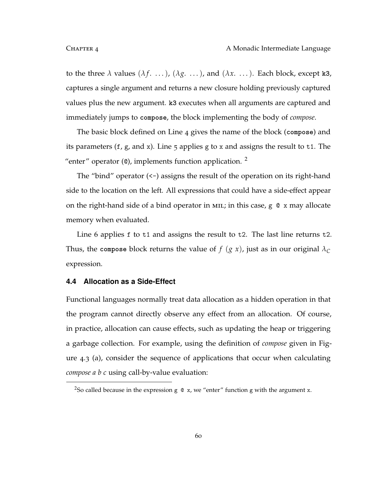to the three  $\lambda$  values  $(\lambda f, \ldots), (\lambda g, \ldots)$ , and  $(\lambda x, \ldots)$ . Each block, except k3, captures a single argument and returns a new closure holding previously captured values plus the new argument. **k3** executes when all arguments are captured and immediately jumps to **compose**, the block implementing the body of *compose*.

The basic block defined on Line 4 gives the name of the block (**compose**) and its parameters  $(f, g, \text{ and } x)$ . Line  $\frac{1}{2}$  applies g to x and assigns the result to t1. The "enter" operator  $(0)$ , implements function application. <sup>2</sup>

The "bind" operator  $\left( \langle - \rangle \right)$  assigns the result of the operation on its right-hand side to the location on the left. All expressions that could have a side-effect appear on the right-hand side of a bind operator in MIL; in this case,  $g \circ x$  may allocate memory when evaluated.

Line 6 applies f to t1 and assigns the result to t2. The last line returns t2. Thus, the compose block returns the value of  $f(g x)$ , just as in our original  $\lambda_C$ expression.

### **4.4 Allocation as a Side-Effect**

Functional languages normally treat data allocation as a hidden operation in that the program cannot directly observe any effect from an allocation. Of course, in practice, allocation can cause effects, such as updating the heap or triggering a garbage collection. For example, using the definition of *compose* given in Figure 4.3 (a), consider the sequence of applications that occur when calculating *compose a b c* using call-by-value evaluation:

<sup>&</sup>lt;sup>2</sup>So called because in the expression  $g \circ x$ , we "enter" function  $g$  with the argument  $x$ .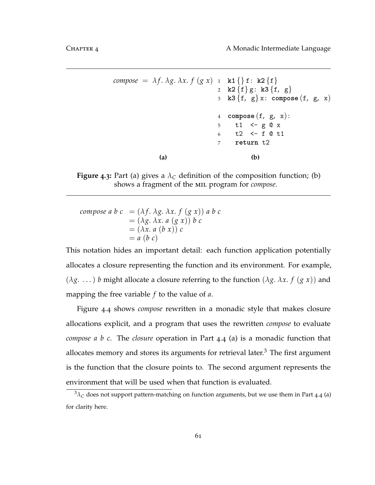```
\text{composite} = \lambda f \cdot \lambda g \cdot \lambda x \cdot f(g \ x) \quad \text{if} \ \text{k1} \{\} \text{f}: \ \text{k2} \{\text{f}\}\2 k2 {f } g: k3 {f, g}
                                        3 k3 {f, g} x: compose (f, g, x)
                                        4 compose (f, g, x):
                                        5 t1 \leftarrow g @ x6 t2 <- f 0 t1
                                        7 return t2
                  (a) (b)
```
**Figure** 4.3: Part (a) gives a  $\lambda_C$  definition of the composition function; (b) shows a fragment of the mil program for *compose*.

*compose a b c* =  $(\lambda f, \lambda g, \lambda x, f(gx))$  *a b c*  $= (\lambda \varrho, \lambda x, a (\varrho x)) b c$  $= (\lambda x. a (b x)) c$  $= a$  (*b c*)

This notation hides an important detail: each function application potentially allocates a closure representing the function and its environment. For example, (*λg*. . . .) *b* might allocate a closure referring to the function (*λg*. *λx*. *f* (*g x*)) and mapping the free variable *f* to the value of *a*.

Figure 4.4 shows *compose* rewritten in a monadic style that makes closure allocations explicit, and a program that uses the rewritten *compose* to evaluate *compose a b c*. The *closure* operation in Part 4.4 (a) is a monadic function that allocates memory and stores its arguments for retrieval later.<sup>3</sup> The first argument is the function that the closure points to. The second argument represents the environment that will be used when that function is evaluated.

 $3\lambda_C$  does not support pattern-matching on function arguments, but we use them in Part 4.4 (a) for clarity here.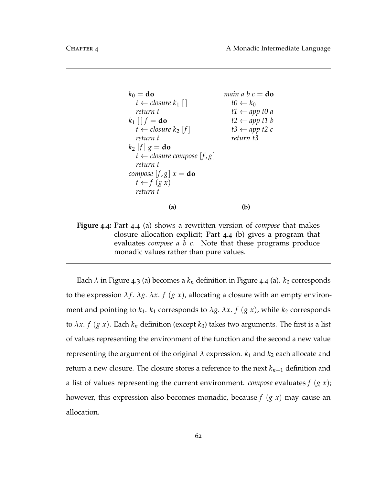

**Figure 4.4:** Part 4.4 (a) shows a rewritten version of *compose* that makes closure allocation explicit; Part 4.4 (b) gives a program that evaluates *compose a b c*. Note that these programs produce monadic values rather than pure values.

Each  $\lambda$  in Figure 4.3 (a) becomes a  $k_n$  definition in Figure 4.4 (a).  $k_0$  corresponds to the expression  $λf$ .  $λg$ .  $λx$ .  $f$  ( $g$   $x$ ), allocating a closure with an empty environment and pointing to  $k_1$ .  $k_1$  corresponds to  $\lambda g$ .  $\lambda x$ .  $f$  ( $g$   $x$ ), while  $k_2$  corresponds to  $\lambda x$ . *f* (*g x*). Each  $k_n$  definition (except  $k_0$ ) takes two arguments. The first is a list of values representing the environment of the function and the second a new value representing the argument of the original  $\lambda$  expression.  $k_1$  and  $k_2$  each allocate and return a new closure. The closure stores a reference to the next  $k_{n+1}$  definition and a list of values representing the current environment. *compose* evaluates *f* (*g x*); however, this expression also becomes monadic, because *f* (*g x*) may cause an allocation.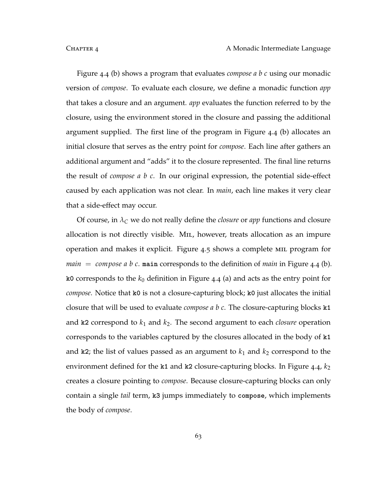Figure 4.4 (b) shows a program that evaluates *compose a b c* using our monadic version of *compose*. To evaluate each closure, we define a monadic function *app* that takes a closure and an argument. *app* evaluates the function referred to by the closure, using the environment stored in the closure and passing the additional argument supplied. The first line of the program in Figure 4.4 (b) allocates an initial closure that serves as the entry point for *compose*. Each line after gathers an additional argument and "adds" it to the closure represented. The final line returns the result of *compose a b c*. In our original expression, the potential side-effect caused by each application was not clear. In *main*, each line makes it very clear that a side-effect may occur.

Of course, in  $\lambda_C$  we do not really define the *closure* or *app* functions and closure allocation is not directly visible. Mil, however, treats allocation as an impure operation and makes it explicit. Figure 4.5 shows a complete mil program for *main* = *compose a b c*. **main** corresponds to the definition of *main* in Figure 4.4 (b). **k0** corresponds to the *k*<sup>0</sup> definition in Figure 4.4 (a) and acts as the entry point for *compose*. Notice that **k0** is not a closure-capturing block; **k0** just allocates the initial closure that will be used to evaluate *compose a b c*. The closure-capturing blocks **k1** and **k2** correspond to *k*<sup>1</sup> and *k*2. The second argument to each *closure* operation corresponds to the variables captured by the closures allocated in the body of **k1** and  $k2$ ; the list of values passed as an argument to  $k_1$  and  $k_2$  correspond to the environment defined for the k1 and k2 closure-capturing blocks. In Figure 4.4,  $k_2$ creates a closure pointing to *compose*. Because closure-capturing blocks can only contain a single *tail* term, **k3** jumps immediately to **compose**, which implements the body of *compose*.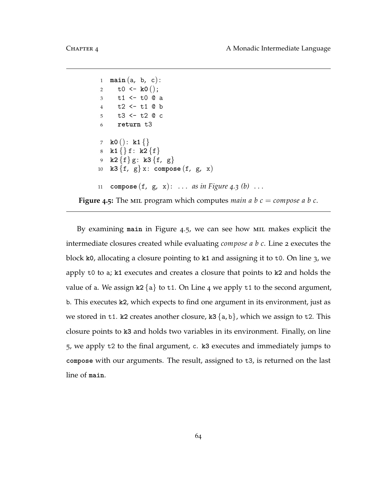```
1 main (a, b, c):
2 t0 <- k0();
3 t1 <- t0 0 a
4 t2 <- t1 @ b
5 t3 <- t2 @ c
6 return t3
7 \text{ k0} (): k1 {}
8 k1\{ \} f: k2\{ \}9 k2 {f} g: k3 {f, g}
10 k3 {f, g} x: compose (f, g, x)
11 compose (f, g, x): ... as in Figure 4.3 (b) ...
```
**Figure** 4.5: The MIL program which computes *main a b c* = *compose a b c*.

By examining **main** in Figure 4.5, we can see how mil makes explicit the intermediate closures created while evaluating *compose a b c*. Line 2 executes the block **k0**, allocating a closure pointing to **k1** and assigning it to t0. On line 3, we apply t0 to a; **k1** executes and creates a closure that points to **k2** and holds the value of a. We assign  $k2 \{a\}$  to t1. On Line 4 we apply t1 to the second argument, b. This executes **k2**, which expects to find one argument in its environment, just as we stored in t1. **k2** creates another closure, **k3** {a, b}, which we assign to t2. This closure points to **k3** and holds two variables in its environment. Finally, on line 5, we apply t2 to the final argument, c. **k3** executes and immediately jumps to **compose** with our arguments. The result, assigned to t3, is returned on the last line of **main**.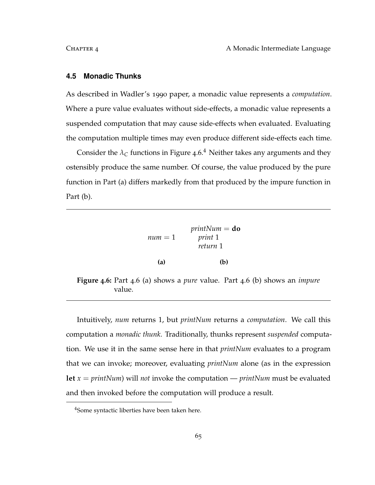### **4.5 Monadic Thunks**

As described in Wadler's 1990 paper, a monadic value represents a *computation*. Where a pure value evaluates without side-effects, a monadic value represents a suspended computation that may cause side-effects when evaluated. Evaluating the computation multiple times may even produce different side-effects each time.

Consider the  $\lambda_C$  functions in Figure 4.6.<sup>4</sup> Neither takes any arguments and they ostensibly produce the same number. Of course, the value produced by the pure function in Part (a) differs markedly from that produced by the impure function in Part (b).

$$
num = 1
$$
\n
$$
printNum = do
$$
\n
$$
print 1
$$
\n
$$
return 1
$$
\n(a)\n(b)

**Figure 4.6:** Part 4.6 (a) shows a *pure* value. Part 4.6 (b) shows an *impure* value.

Intuitively, *num* returns 1, but *printNum* returns a *computation*. We call this computation a *monadic thunk*. Traditionally, thunks represent *suspended* computation. We use it in the same sense here in that *printNum* evaluates to a program that we can invoke; moreover, evaluating *printNum* alone (as in the expression **let** *x* = *printNum*) will *not* invoke the computation — *printNum* must be evaluated and then invoked before the computation will produce a result.

<sup>&</sup>lt;sup>4</sup>Some syntactic liberties have been taken here.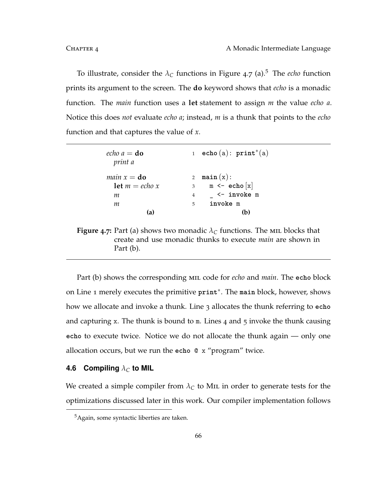To illustrate, consider the  $\lambda_C$  functions in Figure 4.7 (a).<sup>5</sup> The *echo* function prints its argument to the screen. The **do** keyword shows that *echo* is a monadic function. The *main* function uses a **let** statement to assign *m* the value *echo a*. Notice this does *not* evaluate *echo a*; instead, *m* is a thunk that points to the *echo* function and that captures the value of *x*.

| echo $a =$ <b>do</b><br>print a | $echo(a)$ : $print^*(a)$<br>1           |  |
|---------------------------------|-----------------------------------------|--|
| <i>main</i> $x =$ <b>do</b>     | $\texttt{main}(x)$ :<br>$\overline{2}$  |  |
| <b>let</b> $m = echo x$         | $m \leq -$ echo $x$<br>3                |  |
| т                               | $\leftarrow$ invoke m<br>$\overline{4}$ |  |
| т                               | invoke m<br>5                           |  |
| lа                              |                                         |  |

**Figure** 4.7: Part (a) shows two monadic  $\lambda_C$  functions. The MIL blocks that create and use monadic thunks to execute *main* are shown in Part (b).

Part (b) shows the corresponding mil code for *echo* and *main*. The **echo** block on Line 1 merely executes the primitive **print**<sup>∗</sup> . The **main** block, however, shows how we allocate and invoke a thunk. Line 3 allocates the thunk referring to **echo** and capturing x. The thunk is bound to m. Lines 4 and  $\frac{1}{5}$  invoke the thunk causing **echo** to execute twice. Notice we do not allocate the thunk again — only one allocation occurs, but we run the **echo** @ x "program" twice.

# **4.6 Compiling** *λ<sup>C</sup>* **to MIL**

We created a simple compiler from  $\lambda_C$  to M<sub>IL</sub> in order to generate tests for the optimizations discussed later in this work. Our compiler implementation follows

<sup>5</sup>Again, some syntactic liberties are taken.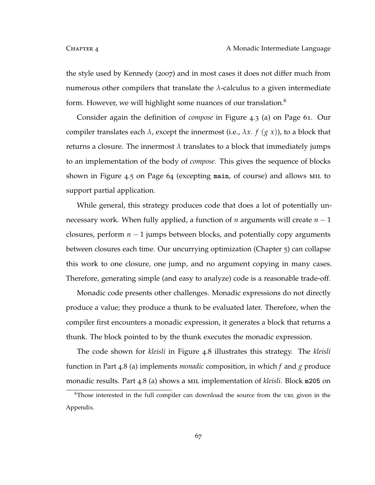the style used by Kennedy (2007) and in most cases it does not differ much from numerous other compilers that translate the *λ*-calculus to a given intermediate form. However, we will highlight some nuances of our translation.<sup>6</sup>

Consider again the definition of *compose* in Figure 4.3 (a) on Page 61. Our compiler translates each  $\lambda$ , except the innermost (i.e.,  $\lambda x$ .  $f$  ( $g$   $x$ )), to a block that returns a closure. The innermost  $\lambda$  translates to a block that immediately jumps to an implementation of the body of *compose*. This gives the sequence of blocks shown in Figure 4.5 on Page 64 (excepting **main**, of course) and allows mil to support partial application.

While general, this strategy produces code that does a lot of potentially unnecessary work. When fully applied, a function of *n* arguments will create *n* − 1 closures, perform *n* − 1 jumps between blocks, and potentially copy arguments between closures each time. Our uncurrying optimization (Chapter 5) can collapse this work to one closure, one jump, and no argument copying in many cases. Therefore, generating simple (and easy to analyze) code is a reasonable trade-off.

Monadic code presents other challenges. Monadic expressions do not directly produce a value; they produce a thunk to be evaluated later. Therefore, when the compiler first encounters a monadic expression, it generates a block that returns a thunk. The block pointed to by the thunk executes the monadic expression.

The code shown for *kleisli* in Figure 4.8 illustrates this strategy. The *kleisli* function in Part 4.8 (a) implements *monadic* composition, in which *f* and *g* produce monadic results. Part 4.8 (a) shows a mil implementation of *kleisli*. Block **m205** on

 $6$ Those interested in the full compiler can download the source from the URL given in the Appendix.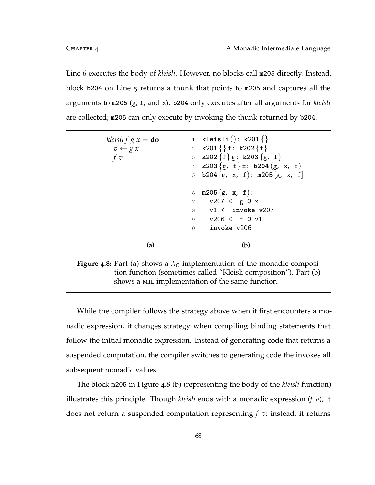Line 6 executes the body of *kleisli*. However, no blocks call **m205** directly. Instead, block **b204** on Line 5 returns a thunk that points to **m205** and captures all the arguments to **m205** (g, f, and x). **b204** only executes after all arguments for *kleisli* are collected; **m205** can only execute by invoking the thunk returned by **b204**.

| kleisli $f g x =$ <b>do</b><br>$v \leftarrow g x$<br>$f\,v$ |                | 1 kleisli(): k201 $\{ \}$<br>2 k201 $\{ \}$ f: k202 $\{ \}$<br>3 k202 ${f}$ g: k203 ${g, f}$ |
|-------------------------------------------------------------|----------------|----------------------------------------------------------------------------------------------|
|                                                             |                | 4 k203 $\{g, f\}x$ : b204 $(g, x, f)$<br>5 <b>b204</b> (g, x, f): m205 [g, x, f]             |
|                                                             |                | 6 m205 $(g, x, f)$ :                                                                         |
|                                                             | $\overline{7}$ | $v207$ <- g @ x                                                                              |
|                                                             | 8              | $v1 \leftarrow$ invoke $v207$                                                                |
|                                                             | 9              | v206 <- f @ v1                                                                               |
|                                                             |                | invoke v206<br>$10 \quad \text{or}$                                                          |
| (a)                                                         |                | (b)                                                                                          |

**Figure** 4.8: Part (a) shows a  $\lambda_C$  implementation of the monadic composition function (sometimes called "Kleisli composition"). Part (b) shows a mil implementation of the same function.

While the compiler follows the strategy above when it first encounters a monadic expression, it changes strategy when compiling binding statements that follow the initial monadic expression. Instead of generating code that returns a suspended computation, the compiler switches to generating code the invokes all subsequent monadic values.

The block **m205** in Figure 4.8 (b) (representing the body of the *kleisli* function) illustrates this principle. Though *kleisli* ends with a monadic expression (*f v*), it does not return a suspended computation representing *f v*; instead, it returns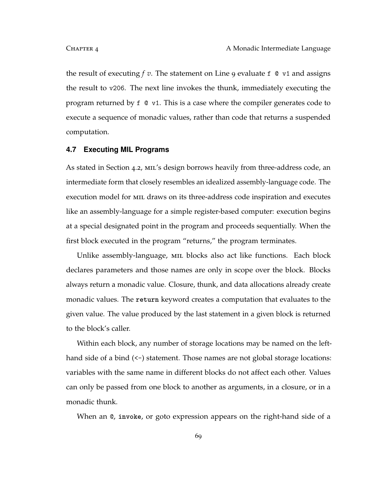the result of executing *f v*. The statement on Line 9 evaluate f @ v1 and assigns the result to v206. The next line invokes the thunk, immediately executing the program returned by  $f \circ v1$ . This is a case where the compiler generates code to execute a sequence of monadic values, rather than code that returns a suspended computation.

## **4.7 Executing MIL Programs**

As stated in Section 4.2, MIL's design borrows heavily from three-address code, an intermediate form that closely resembles an idealized assembly-language code. The execution model for mil draws on its three-address code inspiration and executes like an assembly-language for a simple register-based computer: execution begins at a special designated point in the program and proceeds sequentially. When the first block executed in the program "returns," the program terminates.

Unlike assembly-language, mil blocks also act like functions. Each block declares parameters and those names are only in scope over the block. Blocks always return a monadic value. Closure, thunk, and data allocations already create monadic values. The **return** keyword creates a computation that evaluates to the given value. The value produced by the last statement in a given block is returned to the block's caller.

Within each block, any number of storage locations may be named on the lefthand side of a bind (<-) statement. Those names are not global storage locations: variables with the same name in different blocks do not affect each other. Values can only be passed from one block to another as arguments, in a closure, or in a monadic thunk.

When an @, **invoke**, or goto expression appears on the right-hand side of a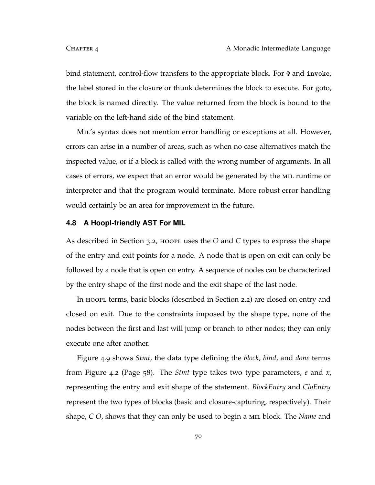bind statement, control-flow transfers to the appropriate block. For @ and **invoke**, the label stored in the closure or thunk determines the block to execute. For goto, the block is named directly. The value returned from the block is bound to the variable on the left-hand side of the bind statement.

Mil's syntax does not mention error handling or exceptions at all. However, errors can arise in a number of areas, such as when no case alternatives match the inspected value, or if a block is called with the wrong number of arguments. In all cases of errors, we expect that an error would be generated by the mil runtime or interpreter and that the program would terminate. More robust error handling would certainly be an area for improvement in the future.

## **4.8 A Hoopl-friendly AST For MIL**

As described in Section 3.2, HOOPL uses the *O* and *C* types to express the shape of the entry and exit points for a node. A node that is open on exit can only be followed by a node that is open on entry. A sequence of nodes can be characterized by the entry shape of the first node and the exit shape of the last node.

In HOOPL terms, basic blocks (described in Section 2.2) are closed on entry and closed on exit. Due to the constraints imposed by the shape type, none of the nodes between the first and last will jump or branch to other nodes; they can only execute one after another.

Figure 4.9 shows *Stmt*, the data type defining the *block*, *bind*, and *done* terms from Figure 4.2 (Page 58). The *Stmt* type takes two type parameters, *e* and *x*, representing the entry and exit shape of the statement. *BlockEntry* and *CloEntry* represent the two types of blocks (basic and closure-capturing, respectively). Their shape, *C O*, shows that they can only be used to begin a mil block. The *Name* and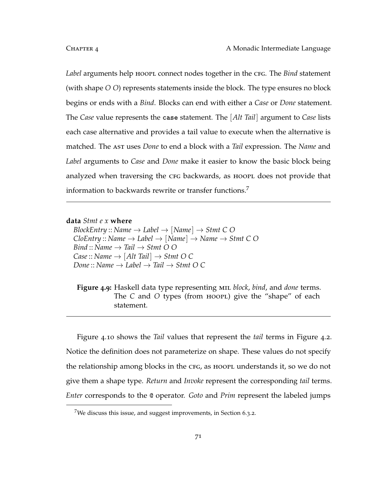Label arguments help *HOOPL* connect nodes together in the CFG. The *Bind* statement (with shape *O O*) represents statements inside the block. The type ensures no block begins or ends with a *Bind*. Blocks can end with either a *Case* or *Done* statement. The *Case* value represents the **case** statement. The [*Alt Tail*] argument to *Case* lists each case alternative and provides a tail value to execute when the alternative is matched. The ast uses *Done* to end a block with a *Tail* expression. The *Name* and *Label* arguments to *Case* and *Done* make it easier to know the basic block being analyzed when traversing the CFG backwards, as HOOPL does not provide that information to backwards rewrite or transfer functions.<sup>7</sup>

**data** *Stmt e x* **where**

*BlockEntry* :: *Name*  $\rightarrow$  *Label*  $\rightarrow$  [*Name*]  $\rightarrow$  *Stmt* C O  $CloEntry :: Name \rightarrow Label \rightarrow [Name] \rightarrow Name \rightarrow Stmt C O$ *Bind* :: *Name*  $\rightarrow$  *Tail*  $\rightarrow$  *Stmt* O O  $Case::Name \rightarrow [Alt Tail] \rightarrow Stmt O C$  $Done::Name \rightarrow Label \rightarrow Tail \rightarrow Stmt O C$ 

**Figure 4.9:** Haskell data type representing mil *block*, *bind*, and *done* terms. The *C* and *O* types (from HOOPL) give the "shape" of each statement.

Figure 4.10 shows the *Tail* values that represent the *tail* terms in Figure 4.2. Notice the definition does not parameterize on shape. These values do not specify the relationship among blocks in the CFG, as HOOPL understands it, so we do not give them a shape type. *Return* and *Invoke* represent the corresponding *tail* terms. *Enter* corresponds to the @ operator. *Goto* and *Prim* represent the labeled jumps

<sup>7</sup>We discuss this issue, and suggest improvements, in Section 6.3.2.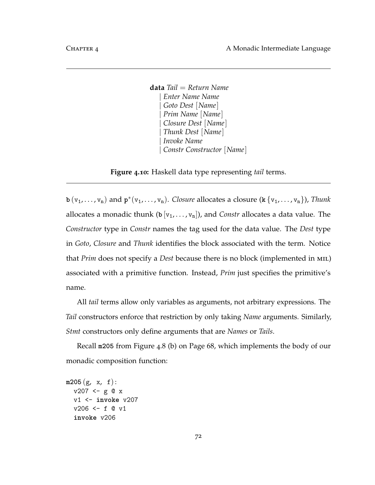```
data Tail = Return Name
    | Enter Name Name
    | Goto Dest [Name]
    | Prim Name [Name]
    | Closure Dest [Name]
    | Thunk Dest [Name]
   | Invoke Name
   | Constr Constructor [Name]
```
**Figure 4.10:** Haskell data type representing *tail* terms.

**b**  $(v_1, \ldots, v_n)$  and  $\mathbf{p}^*(v_1, \ldots, v_n)$ . *Closure* allocates a closure  $(\mathbf{k} \{v_1, \ldots, v_n\})$ *, Thunk* allocates a monadic thunk (**b** [v1, . . . , vn]), and *Constr* allocates a data value. The *Constructor* type in *Constr* names the tag used for the data value. The *Dest* type in *Goto*, *Closure* and *Thunk* identifies the block associated with the term. Notice that *Prim* does not specify a *Dest* because there is no block (implemented in mil) associated with a primitive function. Instead, *Prim* just specifies the primitive's name.

All *tail* terms allow only variables as arguments, not arbitrary expressions. The *Tail* constructors enforce that restriction by only taking *Name* arguments. Similarly, *Stmt* constructors only define arguments that are *Names* or *Tails*.

Recall **m205** from Figure 4.8 (b) on Page 68, which implements the body of our monadic composition function:

```
m205 (g, x, f):
  v207 <- g @ x
  v1 <- invoke v207
  v206 <- f @ v1invoke v206
```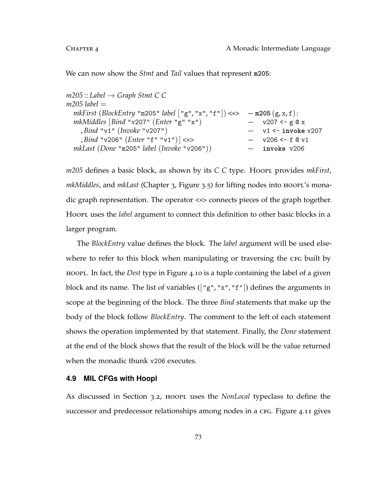We can now show the *Stmt* and *Tail* values that represent **m205**:

```
m205 :: Label \rightarrow Graph Stmt C C
m205 label =
 mkFirst (BlockEntry "m205" label ["g", "x", "f"]) <∗> -- m205 (g, x, f):
 mkMiddles [Bind "v207" (Enter "g" "x") -- v207 <- g @ x
   , Bind "v1" (Invoke "v207") -- v1 <- invoke v207
   , Bind "v206" (Enter "f" "v1")] <∗> -- v206 <- f @ v1
 mkLast (Done "m205" label (Invoke "v206")) -- invoke v206
```
*m205* defines a basic block, as shown by its *C C* type. Hoort provides *mkFirst*, *mkMiddles*, and *mkLast* (Chapter 3, Figure 3.5) for lifting nodes into hoopl's monadic graph representation. The operator <∗> connects pieces of the graph together. Hooplus uses the *label* argument to connect this definition to other basic blocks in a larger program.

The *BlockEntry* value defines the block. The *label* argument will be used elsewhere to refer to this block when manipulating or traversing the CFG built by hoopl. In fact, the *Dest* type in Figure 4.10 is a tuple containing the label of a given block and its name. The list of variables ( $[$ "g", "x", "f"]) defines the arguments in scope at the beginning of the block. The three *Bind* statements that make up the body of the block follow *BlockEntry*. The comment to the left of each statement shows the operation implemented by that statement. Finally, the *Done* statement at the end of the block shows that the result of the block will be the value returned when the monadic thunk v206 executes.

## **4.9 MIL CFGs with Hoopl**

As discussed in Section 3.2, hoopl uses the *NonLocal* typeclass to define the successor and predecessor relationships among nodes in a CFG. Figure 4.11 gives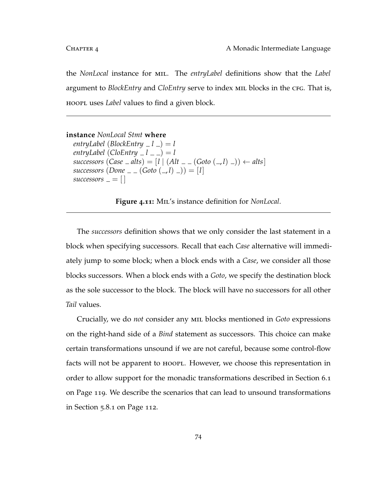the *NonLocal* instance for mil. The *entryLabel* definitions show that the *Label* argument to *BlockEntry* and *CloEntry* serve to index MIL blocks in the CFG. That is, hoopl uses *Label* values to find a given block.

**instance** *NonLocal Stmt* **where** *entryLabel* (*BlockEntry*  $\angle l$   $\angle$  ) = *l entryLabel* (*CloEntry*  $\angle$  *l*  $\angle$   $\angle$   $\angle$   $\angle$  *l*  $successors (Case *alts*) = [l | (Alt *l* - (Goto (*l*, *l*)*l* -)) \leftarrow alts]$ *successors*  $(Done_{--}(Goto(-, l)_{-})) = [l]$  $successors = []$ 

**Figure 4.11:** Mil's instance definition for *NonLocal*.

The *successors* definition shows that we only consider the last statement in a block when specifying successors. Recall that each *Case* alternative will immediately jump to some block; when a block ends with a *Case*, we consider all those blocks successors. When a block ends with a *Goto*, we specify the destination block as the sole successor to the block. The block will have no successors for all other *Tail* values.

Crucially, we do *not* consider any mil blocks mentioned in *Goto* expressions on the right-hand side of a *Bind* statement as successors. This choice can make certain transformations unsound if we are not careful, because some control-flow facts will not be apparent to hoopl. However, we choose this representation in order to allow support for the monadic transformations described in Section 6.1 on Page 119. We describe the scenarios that can lead to unsound transformations in Section 5.8.1 on Page 112.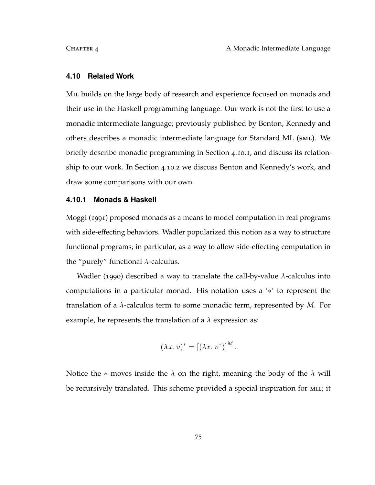### **4.10 Related Work**

MIL builds on the large body of research and experience focused on monads and their use in the Haskell programming language. Our work is not the first to use a monadic intermediate language; previously published by Benton, Kennedy and others describes a monadic intermediate language for Standard ML (SML). We briefly describe monadic programming in Section 4.10.1, and discuss its relationship to our work. In Section 4.10.2 we discuss Benton and Kennedy's work, and draw some comparisons with our own.

# **4.10.1 Monads & Haskell**

Moggi (1991) proposed monads as a means to model computation in real programs with side-effecting behaviors. Wadler popularized this notion as a way to structure functional programs; in particular, as a way to allow side-effecting computation in the "purely" functional *λ*-calculus.

Wadler (1990) described a way to translate the call-by-value *λ*-calculus into computations in a particular monad. His notation uses a '∗' to represent the translation of a *λ*-calculus term to some monadic term, represented by *M*. For example, he represents the translation of a  $\lambda$  expression as:

$$
(\lambda x.\,v)^*=[(\lambda x.\,v^*)]^M.
$$

Notice the  $*$  moves inside the  $\lambda$  on the right, meaning the body of the  $\lambda$  will be recursively translated. This scheme provided a special inspiration for MIL; it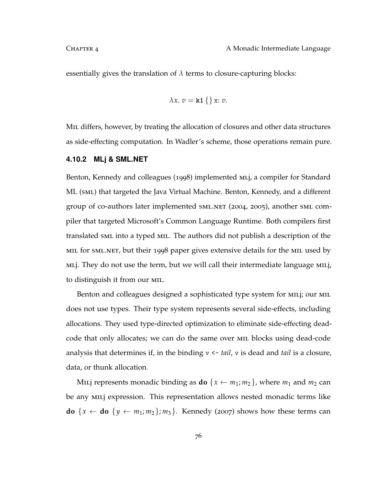essentially gives the translation of  $\lambda$  terms to closure-capturing blocks:

$$
\lambda x.\ v = \mathtt{k1}\{\}\ x:\upsilon.
$$

Mil differs, however, by treating the allocation of closures and other data structures as side-effecting computation. In Wadler's scheme, those operations remain pure.

## **4.10.2 MLj & SML.NET**

Benton, Kennedy and colleagues (1998) implemented MLj, a compiler for Standard ML (sml) that targeted the Java Virtual Machine. Benton, Kennedy, and a different group of co-authors later implemented sml.net (2004, 2005), another sml compiler that targeted Microsoft's Common Language Runtime. Both compilers first translated sml into a typed mil. The authors did not publish a description of the mil for sml.net, but their 1998 paper gives extensive details for the mil used by ML. They do not use the term, but we will call their intermediate language MIL. to distinguish it from our mil.

Benton and colleagues designed a sophisticated type system for MIL; our MIL does not use types. Their type system represents several side-effects, including allocations. They used type-directed optimization to eliminate side-effecting deadcode that only allocates; we can do the same over mil blocks using dead-code analysis that determines if, in the binding v <- *tail*, v is dead and *tail* is a closure, data, or thunk allocation.

Milly represents monadic binding as **do**  $\{x \leftarrow m_1; m_2\}$ , where  $m_1$  and  $m_2$  can be any milj expression. This representation allows nested monadic terms like **do**  $\{x \leftarrow$  **do**  $\{y \leftarrow m_1; m_2\}; m_3\}$ . Kennedy (2007) shows how these terms can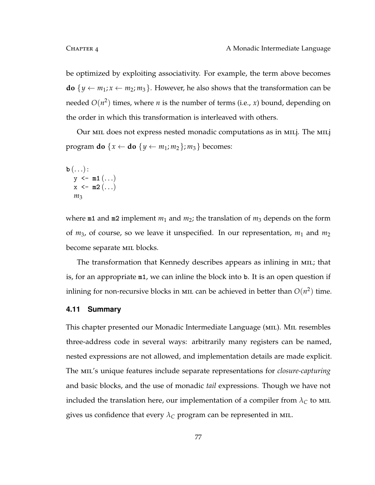be optimized by exploiting associativity. For example, the term above becomes **do**  $\{y \leftarrow m_1; x \leftarrow m_2; m_3\}$ . However, he also shows that the transformation can be needed  $O(n^2)$  times, where *n* is the number of terms (i.e., *x*) bound, depending on the order in which this transformation is interleaved with others.

Our mil does not express nested monadic computations as in milj. The milj program **do**  $\{x \leftarrow \textbf{do} \{y \leftarrow m_1; m_2\}; m_3\}$  becomes:

$$
b (\ldots):
$$
  
\n
$$
y \leq m 1 (\ldots)
$$
  
\n
$$
x \leq m 2 (\ldots)
$$
  
\n
$$
m_3
$$

where **m1** and **m2** implement  $m_1$  and  $m_2$ ; the translation of  $m_3$  depends on the form of  $m_3$ , of course, so we leave it unspecified. In our representation,  $m_1$  and  $m_2$ become separate mil blocks.

The transformation that Kennedy describes appears as inlining in mil; that is, for an appropriate **m1**, we can inline the block into **b**. It is an open question if inlining for non-recursive blocks in MIL can be achieved in better than  $O(n^2)$  time.

# **4.11 Summary**

This chapter presented our Monadic Intermediate Language (MIL). MIL resembles three-address code in several ways: arbitrarily many registers can be named, nested expressions are not allowed, and implementation details are made explicit. The mil's unique features include separate representations for *closure-capturing* and basic blocks, and the use of monadic *tail* expressions. Though we have not included the translation here, our implementation of a compiler from  $\lambda_C$  to MIL gives us confidence that every  $\lambda_C$  program can be represented in MIL.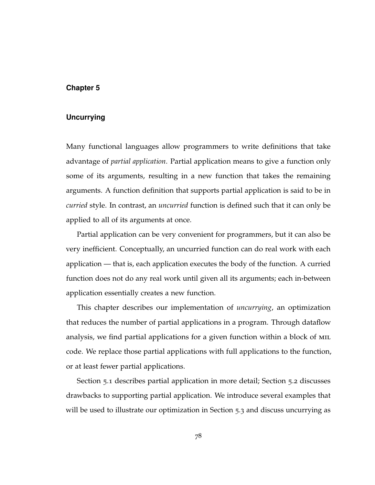## **Chapter 5**

# **Uncurrying**

Many functional languages allow programmers to write definitions that take advantage of *partial application*. Partial application means to give a function only some of its arguments, resulting in a new function that takes the remaining arguments. A function definition that supports partial application is said to be in *curried* style. In contrast, an *uncurried* function is defined such that it can only be applied to all of its arguments at once.

Partial application can be very convenient for programmers, but it can also be very inefficient. Conceptually, an uncurried function can do real work with each application — that is, each application executes the body of the function. A curried function does not do any real work until given all its arguments; each in-between application essentially creates a new function.

This chapter describes our implementation of *uncurrying*, an optimization that reduces the number of partial applications in a program. Through dataflow analysis, we find partial applications for a given function within a block of mil code. We replace those partial applications with full applications to the function, or at least fewer partial applications.

Section 5.1 describes partial application in more detail; Section 5.2 discusses drawbacks to supporting partial application. We introduce several examples that will be used to illustrate our optimization in Section 5.3 and discuss uncurrying as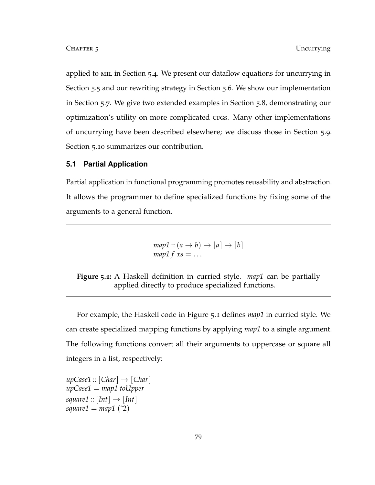applied to mil in Section 5.4. We present our dataflow equations for uncurrying in Section 5.5 and our rewriting strategy in Section 5.6. We show our implementation in Section 5.7. We give two extended examples in Section 5.8, demonstrating our optimization's utility on more complicated CFGs. Many other implementations of uncurrying have been described elsewhere; we discuss those in Section 5.9. Section 5.10 summarizes our contribution.

# **5.1 Partial Application**

Partial application in functional programming promotes reusability and abstraction. It allows the programmer to define specialized functions by fixing some of the arguments to a general function.

$$
map1 :: (a \rightarrow b) \rightarrow [a] \rightarrow [b]
$$
  

$$
map1 f x s = ...
$$

**Figure 5.1:** A Haskell definition in curried style. *map1* can be partially applied directly to produce specialized functions.

For example, the Haskell code in Figure 5.1 defines *map1* in curried style. We can create specialized mapping functions by applying *map1* to a single argument. The following functions convert all their arguments to uppercase or square all integers in a list, respectively:

 $upCase1::[Char] \rightarrow [Char]$ *upCase1* = *map1 toUpper*  $square: [Int] \rightarrow [Int]$  $square = map1 (^2)$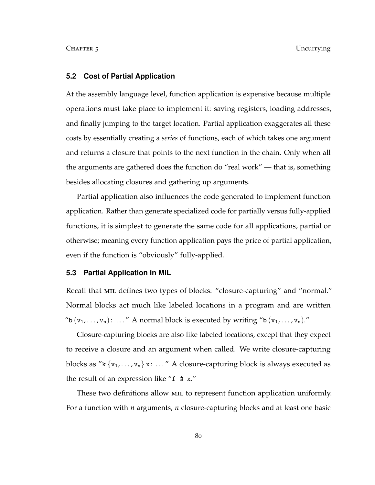### **5.2 Cost of Partial Application**

At the assembly language level, function application is expensive because multiple operations must take place to implement it: saving registers, loading addresses, and finally jumping to the target location. Partial application exaggerates all these costs by essentially creating a *series* of functions, each of which takes one argument and returns a closure that points to the next function in the chain. Only when all the arguments are gathered does the function do "real work" — that is, something besides allocating closures and gathering up arguments.

Partial application also influences the code generated to implement function application. Rather than generate specialized code for partially versus fully-applied functions, it is simplest to generate the same code for all applications, partial or otherwise; meaning every function application pays the price of partial application, even if the function is "obviously" fully-applied.

#### **5.3 Partial Application in MIL**

Recall that mil defines two types of blocks: "closure-capturing" and "normal." Normal blocks act much like labeled locations in a program and are written "**b**  $(v_1, \ldots, v_n)$ :  $\ldots$ " A normal block is executed by writing "**b**  $(v_1, \ldots, v_n)$ ."

Closure-capturing blocks are also like labeled locations, except that they expect to receive a closure and an argument when called. We write closure-capturing blocks as " $\mathbf{k}$  { $v_1, \ldots, v_n$ } x: ..." A closure-capturing block is always executed as the result of an expression like " $f \circ x$ ."

These two definitions allow mil to represent function application uniformly. For a function with *n* arguments, *n* closure-capturing blocks and at least one basic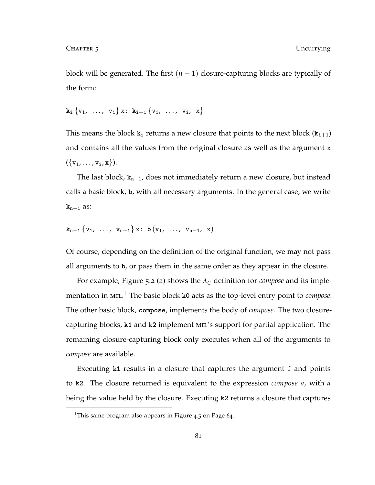block will be generated. The first  $(n - 1)$  closure-capturing blocks are typically of the form:

$$
k_{i} \{v_{1}, \ldots, v_{i}\} x \colon k_{i+1} \{v_{1}, \ldots, v_{i}, x\}
$$

This means the block  $\mathbf{k}_i$  returns a new closure that points to the next block  $(\mathbf{k}_{i+1})$ and contains all the values from the original closure as well as the argument x  $({v_1, \ldots, v_i, x}).$ 

The last block, **k**n−1, does not immediately return a new closure, but instead calls a basic block, **b**, with all necessary arguments. In the general case, we write **k**n−<sup>1</sup> as:

$$
k_{n-1} \, \{v_1, \ \ldots, \ v_{n-1}\} \, x \colon \; b \, (v_1, \ \ldots, \ v_{n-1}, \ x)
$$

Of course, depending on the definition of the original function, we may not pass all arguments to **b**, or pass them in the same order as they appear in the closure.

For example, Figure 5.2 (a) shows the  $\lambda_C$  definition for *compose* and its implementation in MIL.<sup>1</sup> The basic block k0 acts as the top-level entry point to *compose*. The other basic block, **compose**, implements the body of *compose*. The two closurecapturing blocks, **k1** and **k2** implement mil's support for partial application. The remaining closure-capturing block only executes when all of the arguments to *compose* are available.

Executing **k1** results in a closure that captures the argument f and points to **k2**. The closure returned is equivalent to the expression *compose a*, with *a* being the value held by the closure. Executing **k2** returns a closure that captures

<sup>&</sup>lt;sup>1</sup>This same program also appears in Figure 4.5 on Page 64.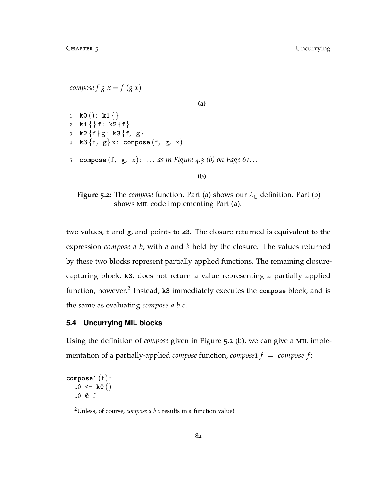*compose*  $f \circ g x = f (g x)$ **(a) k0** (): **k1**  $\{\}$ **k1** $\{ \}$  f: **k2** $\{ f \}$  **k2** {f} g: **k3** {f, g} **k3** {f, g} x: **compose** (f, g, x) **compose** (f, g, x): *. . . as in Figure 4.3 (b) on Page 61*. . .

**(b)**

**Figure 5.2:** The *compose* function. Part (a) shows our  $\lambda_C$  definition. Part (b) shows mil code implementing Part (a).

two values, f and g, and points to **k3**. The closure returned is equivalent to the expression *compose a b*, with *a* and *b* held by the closure. The values returned by these two blocks represent partially applied functions. The remaining closurecapturing block, **k3**, does not return a value representing a partially applied function, however.<sup>2</sup> Instead, **k3** immediately executes the **compose** block, and is the same as evaluating *compose a b c*.

# **5.4 Uncurrying MIL blocks**

Using the definition of *compose* given in Figure 5.2 (b), we can give a mil implementation of a partially-applied *compose* function, *compose1 f* = *compose f* :

**compose1** (f): t0 <-  $k0()$ t0 @ f

<sup>2</sup>Unless, of course, *compose a b c* results in a function value!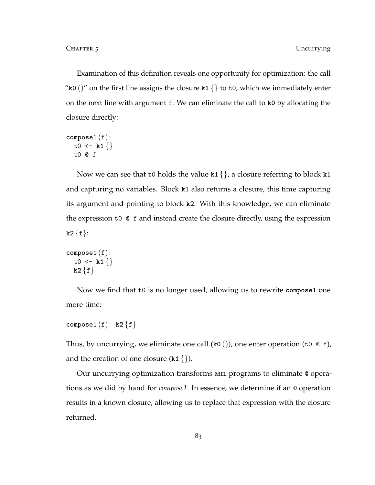Examination of this definition reveals one opportunity for optimization: the call "**k0** ()" on the first line assigns the closure **k1** {} to t0, which we immediately enter on the next line with argument f. We can eliminate the call to **k0** by allocating the closure directly:

```
compose1 (f):
  t0 \leq k1 {}
  t0 @ f
```
Now we can see that t0 holds the value **k1** {}, a closure referring to block **k1** and capturing no variables. Block **k1** also returns a closure, this time capturing its argument and pointing to block **k2**. With this knowledge, we can eliminate the expression t0 @ f and instead create the closure directly, using the expression  $k2 \{f\}$ :

```
compose1 (f):
  t0 \leq k1 {}
  k2 \{f\}
```
Now we find that t0 is no longer used, allowing us to rewrite **compose1** one more time:

```
\texttt{composite1}(f): k2\{f\}
```
Thus, by uncurrying, we eliminate one call  $(k0()$ , one enter operation (t0  $\circ$  f), and the creation of one closure (**k1** {}).

Our uncurrying optimization transforms mil programs to eliminate @ operations as we did by hand for *compose1*. In essence, we determine if an @ operation results in a known closure, allowing us to replace that expression with the closure returned.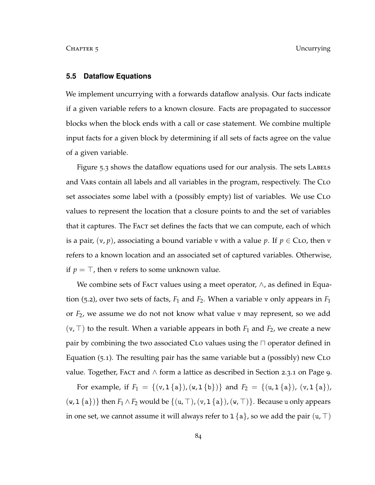#### **5.5 Dataflow Equations**

We implement uncurrying with a forwards dataflow analysis. Our facts indicate if a given variable refers to a known closure. Facts are propagated to successor blocks when the block ends with a call or case statement. We combine multiple input facts for a given block by determining if all sets of facts agree on the value of a given variable.

Figure 5.3 shows the dataflow equations used for our analysis. The sets LABELS and Vars contain all labels and all variables in the program, respectively. The Clo set associates some label with a (possibly empty) list of variables. We use CLO values to represent the location that a closure points to and the set of variables that it captures. The FACT set defines the facts that we can compute, each of which is a pair,  $(v, p)$ , associating a bound variable v with a value p. If  $p \in C$ LO, then v refers to a known location and an associated set of captured variables. Otherwise, if  $p = \top$ , then v refers to some unknown value.

We combine sets of FACT values using a meet operator,  $\wedge$ , as defined in Equation (5.2), over two sets of facts,  $F_1$  and  $F_2$ . When a variable v only appears in  $F_1$ or *F*2, we assume we do not not know what value v may represent, so we add  $(v, \top)$  to the result. When a variable appears in both  $F_1$  and  $F_2$ , we create a new pair by combining the two associated CLO values using the  $\Box$  operator defined in Equation  $(5.1)$ . The resulting pair has the same variable but a (possibly) new CLO value. Together, FACT and  $\wedge$  form a lattice as described in Section 2.3.1 on Page 9.

For example, if  $F_1 = \{(v, 1\{a\}), (w, 1\{b\})\}$  and  $F_2 = \{(u, 1\{a\}), (v, 1\{a\}),\}$  $(w, 1\{a\})\}$  then  $F_1 \wedge F_2$  would be  $\{(u, \top), (v, 1\{a\}), (w, \top)\}$ . Because u only appears in one set, we cannot assume it will always refer to  $1 \{a\}$ , so we add the pair  $(u, \top)$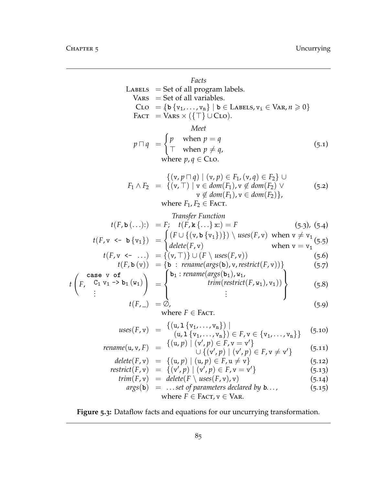*t*

11.6 
$$
Facts
$$

\n12.6 
$$
VARS = Set of all programs labels.
$$

\nCLO = {b {v<sub>1</sub>,...,v<sub>n</sub>} | b ∈ LABELS, v<sub>1</sub> ∈ VAR, n ≥ 0}

\n13.6 
$$
CLO = {b {v1,...,vn} | b ∈ LABELS, v1 ∈ VAR, n ≥ 0
$$

\n14.6 
$$
CLO = {b {v1,...,vn} | b ∈ LABELS, v1 ∈ VAR, n ≥ 0
$$

\n15.7 
$$
CLO = {b {v1,...,vn} | b ∈ LABELS, v1 ∈ VAR, n ≥ 0
$$

\n16.8 
$$
P \cap q = \n\begin{cases} p & \text{when } p = q \\ \top & \text{when } p \neq q, \\ \top & \text{when } p \neq q, \\ \top & \text{when } p \neq q, \\ \top & \text{when } p \neq q, \\ \top & \text{when } p \neq q \end{cases}
$$

\n17. 
$$
F_1 \wedge F_2 = \n\begin{cases} \n\{v, \text{if } v \in dom(F_1), v \notin dom(F_2) \lor \\ v \notin dom(F_1), v \in dom(F_2) \n\end{cases}
$$

\n18. 
$$
F_1 \wedge F_2 = FAC.
$$

\n19. 
$$
Tansfer Function
$$

\n10. 
$$
f(F, \text{b}(...)) = F; \quad f(F) \{v \in \{v_1\}, v \in \text{some } (F_2) \}
$$

\n11. 
$$
f(F, \text{b}(...)) = \n\begin{cases} \n\{F \cup \{v, \text{if } v \in \text{meas}}(F, \text{v})\} & \text{when } v = v_1 \text{ is } 0.5.0 \\ \n\{F, v < - ... \} & \text{then } (arg(s(b), v, restrict(F, v)) \} \\ \top & \text{then } (F, \text{b}(v)) = \{b : \text{
$$

**Figure 5.3:** Dataflow facts and equations for our uncurrying transformation.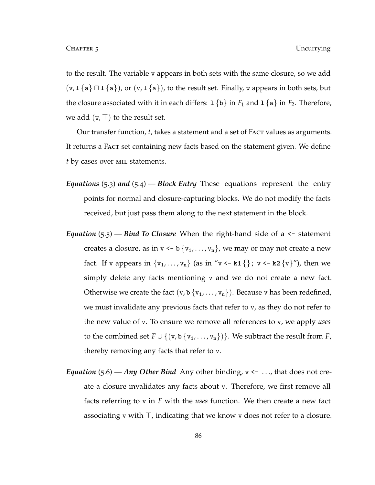to the result. The variable v appears in both sets with the same closure, so we add  $(v, 1\{a\} \cap 1\{a\})$ , or  $(v, 1\{a\})$ , to the result set. Finally, w appears in both sets, but the closure associated with it in each differs:  $1 \{b\}$  in  $F_1$  and  $1 \{a\}$  in  $F_2$ . Therefore, we add  $(w, \top)$  to the result set.

Our transfer function, *t*, takes a statement and a set of Fact values as arguments. It returns a FACT set containing new facts based on the statement given. We define *t* by cases over MIL statements.

- *Equations* (5.3) *and* (5.4)  *Block Entry* These equations represent the entry points for normal and closure-capturing blocks. We do not modify the facts received, but just pass them along to the next statement in the block.
- *Equation* (5.5)  *Bind To Closure* When the right-hand side of a <- statement creates a closure, as in  $v \le b \{v_1, \ldots, v_n\}$ , we may or may not create a new fact. If v appears in  $\{v_1, \ldots, v_n\}$  (as in "v <- **k1** $\{\}$ ; v <- **k2** $\{v\}'$ ), then we simply delete any facts mentioning v and we do not create a new fact. Otherwise we create the fact  $(v, b\{v_1, \ldots, v_n\})$ . Because v has been redefined, we must invalidate any previous facts that refer to v, as they do not refer to the new value of v. To ensure we remove all references to v, we apply *uses* to the combined set  $F \cup \{(v, b \{v_1, \ldots, v_n\})\}$ . We subtract the result from *F*, thereby removing any facts that refer to v.
- *Equation* (5.6) Any Other Bind Any other binding,  $v \leftarrow \ldots$ , that does not create a closure invalidates any facts about v. Therefore, we first remove all facts referring to v in *F* with the *uses* function. We then create a new fact associating v with  $\top$ , indicating that we know v does not refer to a closure.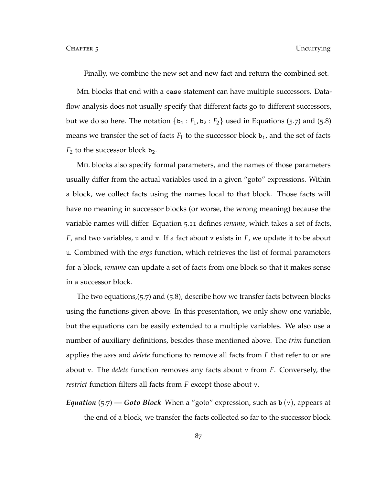Finally, we combine the new set and new fact and return the combined set.

Mil blocks that end with a **case** statement can have multiple successors. Dataflow analysis does not usually specify that different facts go to different successors, but we do so here. The notation  $\{b_1 : F_1, b_2 : F_2\}$  used in Equations (5.7) and (5.8) means we transfer the set of facts  $F_1$  to the successor block  $\mathbf{b}_1$ , and the set of facts  $F_2$  to the successor block  $b_2$ .

Mil blocks also specify formal parameters, and the names of those parameters usually differ from the actual variables used in a given "goto" expressions. Within a block, we collect facts using the names local to that block. Those facts will have no meaning in successor blocks (or worse, the wrong meaning) because the variable names will differ. Equation 5.11 defines *rename*, which takes a set of facts, *F*, and two variables, u and v. If a fact about v exists in *F*, we update it to be about u. Combined with the *args* function, which retrieves the list of formal parameters for a block, *rename* can update a set of facts from one block so that it makes sense in a successor block.

The two equations,(5.7) and (5.8), describe how we transfer facts between blocks using the functions given above. In this presentation, we only show one variable, but the equations can be easily extended to a multiple variables. We also use a number of auxiliary definitions, besides those mentioned above. The *trim* function applies the *uses* and *delete* functions to remove all facts from *F* that refer to or are about v. The *delete* function removes any facts about v from *F*. Conversely, the *restrict* function filters all facts from *F* except those about v.

*Equation* (5.7) *— Goto Block* When a "goto" expression, such as **b** (v), appears at the end of a block, we transfer the facts collected so far to the successor block.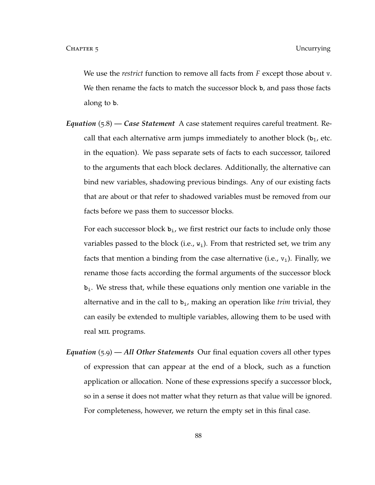We use the *restrict* function to remove all facts from *F* except those about v. We then rename the facts to match the successor block **b**, and pass those facts along to **b**.

*Equation* (5.8) *— Case Statement* A case statement requires careful treatment. Recall that each alternative arm jumps immediately to another block  $(b_1, etc.$ in the equation). We pass separate sets of facts to each successor, tailored to the arguments that each block declares. Additionally, the alternative can bind new variables, shadowing previous bindings. Any of our existing facts that are about or that refer to shadowed variables must be removed from our facts before we pass them to successor blocks.

For each successor block **b**i, we first restrict our facts to include only those variables passed to the block (i.e.,  $w_i$ ). From that restricted set, we trim any facts that mention a binding from the case alternative (i.e.,  $v_i$ ). Finally, we rename those facts according the formal arguments of the successor block **b**i. We stress that, while these equations only mention one variable in the alternative and in the call to **b**i, making an operation like *trim* trivial, they can easily be extended to multiple variables, allowing them to be used with real mil programs.

*Equation* (5.9) *— All Other Statements* Our final equation covers all other types of expression that can appear at the end of a block, such as a function application or allocation. None of these expressions specify a successor block, so in a sense it does not matter what they return as that value will be ignored. For completeness, however, we return the empty set in this final case.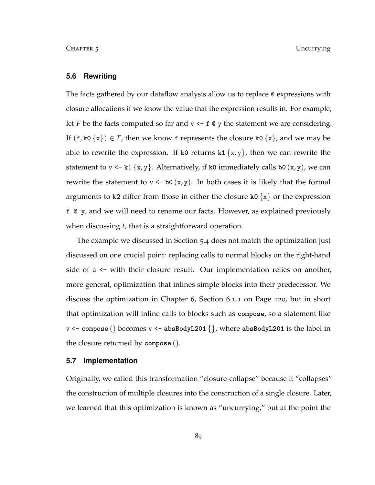#### **5.6 Rewriting**

The facts gathered by our dataflow analysis allow us to replace @ expressions with closure allocations if we know the value that the expression results in. For example, let *F* be the facts computed so far and  $v \leq f \circ y$  the statement we are considering. If  $(f, k0 \{x\}) \in F$ , then we know f represents the closure  $k0 \{x\}$ , and we may be able to rewrite the expression. If k0 returns  $k1 \{x, y\}$ , then we can rewrite the statement to  $v \leftarrow k1 \{x, y\}$ . Alternatively, if k0 immediately calls b0  $(x, y)$ , we can rewrite the statement to  $v \le b0(x, y)$ . In both cases it is likely that the formal arguments to **k2** differ from those in either the closure **k0**  $\{x\}$  or the expression f @ y, and we will need to rename our facts. However, as explained previously when discussing *t*, that is a straightforward operation.

The example we discussed in Section 5.4 does not match the optimization just discussed on one crucial point: replacing calls to normal blocks on the right-hand side of a <- with their closure result. Our implementation relies on another, more general, optimization that inlines simple blocks into their predecessor. We discuss the optimization in Chapter 6, Section 6.1.1 on Page 120, but in short that optimization will inline calls to blocks such as **compose**, so a statement like v <- **compose** () becomes v <- **absBodyL201** {}, where **absBodyL201** is the label in the closure returned by **compose** ().

## **5.7 Implementation**

Originally, we called this transformation "closure-collapse" because it "collapses" the construction of multiple closures into the construction of a single closure. Later, we learned that this optimization is known as "uncurrying," but at the point the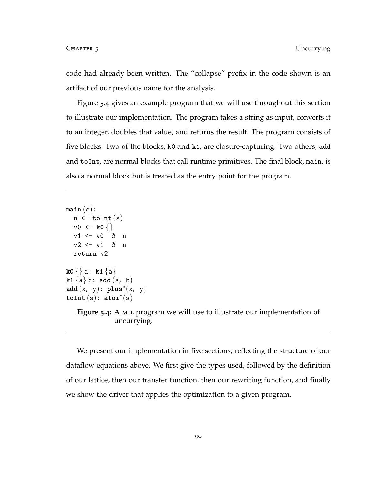code had already been written. The "collapse" prefix in the code shown is an artifact of our previous name for the analysis.

Figure 5.4 gives an example program that we will use throughout this section to illustrate our implementation. The program takes a string as input, converts it to an integer, doubles that value, and returns the result. The program consists of five blocks. Two of the blocks, **k0** and **k1**, are closure-capturing. Two others, **add** and **toInt**, are normal blocks that call runtime primitives. The final block, **main**, is also a normal block but is treated as the entry point for the program.

```
main (s):
  n \leftarrow \text{toInt}(s)v0 \leq -k0 {}
  v1 <- v0 @ n
  v2 <- v1 @ n
  return v2
k0 {} a: k1 {a}
k1 \{a\} b: add (a, b)add (x, y): plus∗
(x, y)
toInt (s): atoi∗
(s)
```
**Figure 5.4:** A mil program we will use to illustrate our implementation of uncurrying.

We present our implementation in five sections, reflecting the structure of our dataflow equations above. We first give the types used, followed by the definition of our lattice, then our transfer function, then our rewriting function, and finally we show the driver that applies the optimization to a given program.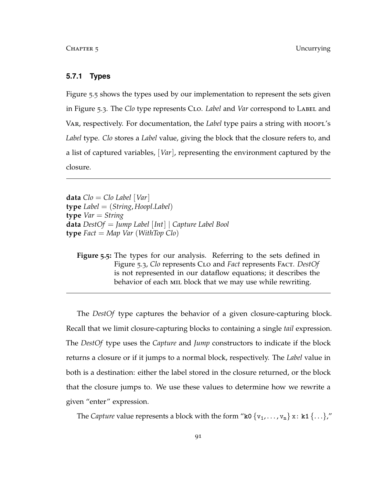## **5.7.1 Types**

Figure 5.5 shows the types used by our implementation to represent the sets given in Figure 5.3. The *Clo* type represents CLO. *Label* and *Var* correspond to LABEL and Var, respectively. For documentation, the *Label* type pairs a string with hoopl's *Label* type. *Clo* stores a *Label* value, giving the block that the closure refers to, and a list of captured variables, [*Var*], representing the environment captured by the closure.

**data**  $Clo = Clo$  Label | Var| **type** *Label* = (*String*, *Hoopl*.*Label*) **type** *Var* = *String* **data** *DestOf* = *Jump Label* [*Int*] | *Capture Label Bool* **type** *Fact* = *Map Var* (*WithTop Clo*)

**Figure 5.5:** The types for our analysis. Referring to the sets defined in Figure 5.3, *Clo* represents Clo and *Fact* represents Fact. *DestOf* is not represented in our dataflow equations; it describes the behavior of each MIL block that we may use while rewriting.

The *DestOf* type captures the behavior of a given closure-capturing block. Recall that we limit closure-capturing blocks to containing a single *tail* expression. The *DestOf* type uses the *Capture* and *Jump* constructors to indicate if the block returns a closure or if it jumps to a normal block, respectively. The *Label* value in both is a destination: either the label stored in the closure returned, or the block that the closure jumps to. We use these values to determine how we rewrite a given "enter" expression.

The *Capture* value represents a block with the form "**k0**  $\{v_1, \ldots, v_n\}$ **x**: **k1**  $\{\ldots\}$ "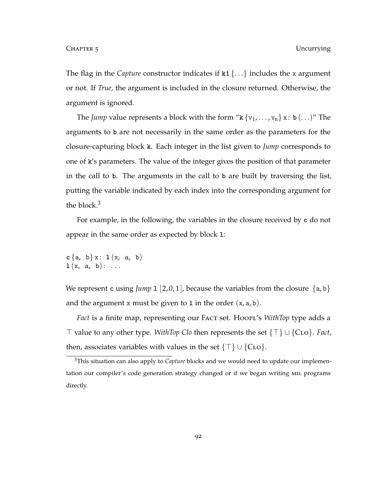The flag in the *Capture* constructor indicates if **k1** {. . .} includes the x argument or not. If *True*, the argument is included in the closure returned. Otherwise, the argument is ignored.

The *Jump* value represents a block with the form " $\mathbf{k} \{v_1, \ldots, v_n\} \times \mathbf{b} (\ldots)$ " The arguments to **b** are not necessarily in the same order as the parameters for the closure-capturing block **k**. Each integer in the list given to *Jump* corresponds to one of **k**'s parameters. The value of the integer gives the position of that parameter in the call to **b**. The arguments in the call to **b** are built by traversing the list, putting the variable indicated by each index into the corresponding argument for the block. $3$ 

For example, in the following, the variables in the closure received by **c** do not appear in the same order as expected by block **l**:

**c** {a, b} x: **l** (x, a, b)  $1(x, a, b): ...$ 

We represent **c** using *Jump* **1** [2, 0, 1], because the variables from the closure  $\{a, b\}$ and the argument x must be given to  $1$  in the order  $(x, a, b)$ .

*Fact* is a finite map, representing our Fact set. Hoopt's *WithTop* type adds a > value to any other type. *WithTop Clo* then represents the set {>} ∪ {Clo}. *Fact*, then, associates variables with values in the set  $\{\top\} \cup \{\text{Cto}\}.$ 

<sup>3</sup>This situation can also apply to *Capture* blocks and we would need to update our implementation our compiler's code generation strategy changed or if we began writing mil programs directly.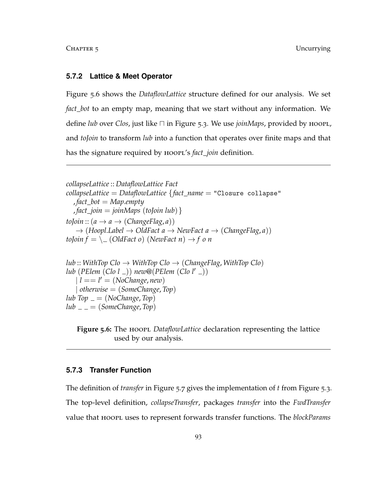### **5.7.2 Lattice & Meet Operator**

Figure 5.6 shows the *DataflowLattice* structure defined for our analysis. We set *fact*\_*bot* to an empty map, meaning that we start without any information. We define *lub* over *Clos*, just like □ in Figure 5.3. We use *joinMaps*, provided by ноорг, and *toJoin* to transform *lub* into a function that operates over finite maps and that has the signature required by hoopl's *fact*\_*join* definition.

```
collapseLattice :: DataflowLattice Fact
collapseLattice = DataflowLattice {fact_name = "Closure collapse"
  , fact_bot = Map.empty
  , fact_join = joinMaps (toJoin lub)}
toJoin :: (a \rightarrow a \rightarrow (ChangeFlag, a))\rightarrow (Hoopl.Label \rightarrow OldFact a \rightarrow NewFact a \rightarrow (ChangeFlag, a))
toJoin f = \setminus (OldFact o) (NewFact n) \rightarrow f o n
```

```
lub :: WithTop Clo → WithTop Clo → (ChangeFlag, WithTop Clo)
lub (PElem (Clo l )) new@(PElem (Clo l0
))
   \vert l \vert = = \vert l \vert = (NoChange, new)| otherwise = (SomeChange, Top)
lub Top = (NoChange, Top)lub \_ = (SomeChange, Top)
```
**Figure** 5.6: The HOOPL *DataflowLattice* declaration representing the lattice used by our analysis.

# **5.7.3 Transfer Function**

The definition of *transfer* in Figure 5.7 gives the implementation of *t* from Figure 5.3. The top-level definition, *collapseTransfer*, packages *transfer* into the *FwdTransfer* value that hoopl uses to represent forwards transfer functions. The *blockParams*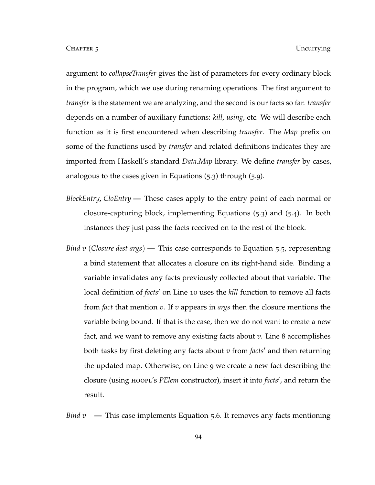argument to *collapseTransfer* gives the list of parameters for every ordinary block in the program, which we use during renaming operations. The first argument to *transfer* is the statement we are analyzing, and the second is our facts so far. *transfer* depends on a number of auxiliary functions: *kill*, *using*, etc. We will describe each function as it is first encountered when describing *transfer*. The *Map* prefix on some of the functions used by *transfer* and related definitions indicates they are imported from Haskell's standard *Data*.*Map* library. We define *transfer* by cases, analogous to the cases given in Equations (5.3) through (5.9).

- *BlockEntry***,** *CloEntry* **—** These cases apply to the entry point of each normal or closure-capturing block, implementing Equations (5.3) and (5.4). In both instances they just pass the facts received on to the rest of the block.
- *Bind v* (*Closure dest args*) **—** This case corresponds to Equation 5.5, representing a bind statement that allocates a closure on its right-hand side. Binding a variable invalidates any facts previously collected about that variable. The local definition of *facts'* on Line 10 uses the *kill* function to remove all facts from *fact* that mention *v*. If *v* appears in *args* then the closure mentions the variable being bound. If that is the case, then we do not want to create a new fact, and we want to remove any existing facts about *v*. Line 8 accomplishes both tasks by first deleting any facts about *v* from *facts'* and then returning the updated map. Otherwise, on Line 9 we create a new fact describing the closure (using **HOOPL's** PElem constructor), insert it into *facts'*, and return the result.

*Bind v*  $\frac{1}{2}$  This case implements Equation 5.6. It removes any facts mentioning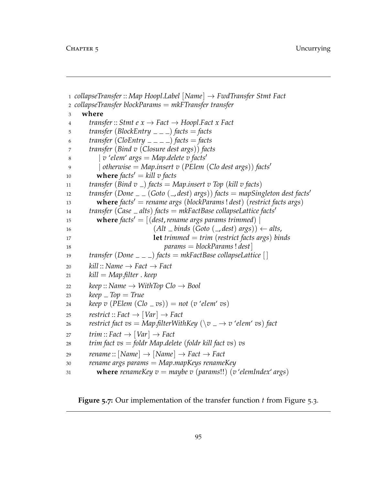```
1 collapseTransfer :: Map Hoopl.Label [Name] → FwdTransfer Stmt Fact
2 collapseTransfer blockParams = mkFTransfer transfer
3 where
4 transfer :: Stmt e \times r \rightarrow Fact \rightarrow Hoopl.Fact x Fact
5 transfer (BlockEntry = = = facts
6 transfer (CloEntry \_ \_ \_ \_ \_ \_ \_ \_facts = facts
7 transfer (Bind v (Closure dest args)) facts
8 |v'elem' args = Map.delete v facts'
9 | otherwise = Map.insert v (PElem (Clo dest args)) facts0
10 where \text{facts}' = \text{kill } v \text{ facts}11 transfer (Bind v ) facts = Map.insert v Top (kill v facts)
12 transfer (Done \angle \angle (Goto (\angle, dest) args)) facts = mapSingleton dest facts'
where facts' = rename \, args \, (block \, parameters \, 1) \, dest) \, (restrict \, facts \, args)14 transfer (Case alts) facts = mkFactBase collapseLattice facts0
15 where \text{facts}' = [(dest, rename\, args\, parameters)]16 (Alt \_ \  \  \text{binds} \ (Goto \ (-, dest) \ args)) \leftarrow alts,17 let trimmed = trim (restrict facts args) binds
18 params = blockParams ! dest]
19 transfer (Done \angle \angle \angle) facts = mkFactBase collapseLattice []
20 kill: Name \rightarrow Fact \rightarrow Fact21 kill = Map.filter . keep
22 keep :: Name \rightarrow WithTop Clo \rightarrow Bool
23 keep\_Top = True24 keep v (PElem (Clo \equiv vs)) = not (v 'elem' vs)
25 restrict :: Fact \rightarrow [Var] \rightarrow Fact
26 restrict fact vs = Map.filterWithKey (\forall v = \rightarrow v \text{ 'elem' vs)} fact
27 trim :: Fact \rightarrow [Var] \rightarrow Fact
28 trim fact vs = foldr Map.delete (foldr kill fact vs) vs
29 rename :: [Name] \rightarrow [Name] \rightarrow Fact \rightarrow Fact
30 rename args params = Map.mapKeys renameKey
31 where renameKey v = maybe v (params!!) (v 'elemIndex' args)
```
**Figure 5.7:** Our implementation of the transfer function *t* from Figure 5.3.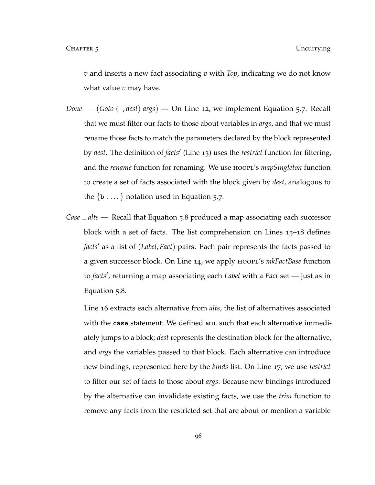*v* and inserts a new fact associating *v* with *Top*, indicating we do not know what value *v* may have.

- *Done*  $\angle$  (*Goto* ( $\angle$ *, dest*) *args*) On Line 12, we implement Equation 5.7. Recall that we must filter our facts to those about variables in *args*, and that we must rename those facts to match the parameters declared by the block represented by *dest*. The definition of *facts'* (Line 13) uses the *restrict* function for filtering, and the *rename* function for renaming. We use hoopl's *mapSingleton* function to create a set of facts associated with the block given by *dest*, analogous to the  $\{b : \dots\}$  notation used in Equation 5.7.
- *Case alts* **—** Recall that Equation 5.8 produced a map associating each successor block with a set of facts. The list comprehension on Lines 15–18 defines *facts'* as a list of (*Label, Fact*) pairs. Each pair represents the facts passed to a given successor block. On Line 14, we apply hoopl's *mkFactBase* function to *facts'*, returning a map associating each *Label* with a *Fact* set — just as in Equation 5.8.

Line 16 extracts each alternative from *alts*, the list of alternatives associated with the **case** statement. We defined mil such that each alternative immediately jumps to a block; *dest* represents the destination block for the alternative, and *args* the variables passed to that block. Each alternative can introduce new bindings, represented here by the *binds* list. On Line 17, we use *restrict* to filter our set of facts to those about *args*. Because new bindings introduced by the alternative can invalidate existing facts, we use the *trim* function to remove any facts from the restricted set that are about or mention a variable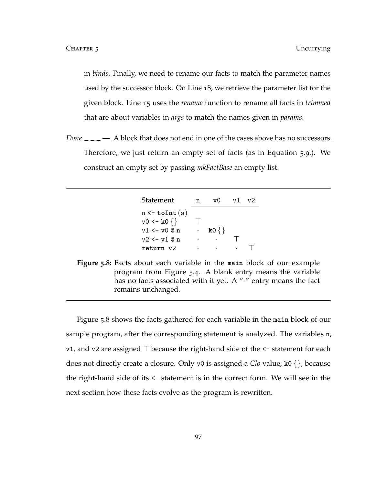in *binds*. Finally, we need to rename our facts to match the parameter names used by the successor block. On Line 18, we retrieve the parameter list for the given block. Line 15 uses the *rename* function to rename all facts in *trimmed* that are about variables in *args* to match the names given in *params*.

*Done*  $\frac{1}{1}$  — A block that does not end in one of the cases above has no successors. Therefore, we just return an empty set of facts (as in Equation 5.9.). We construct an empty set by passing *mkFactBase* an empty list.

| Statement                      | n | vΩ                   | v 1     | v2 |
|--------------------------------|---|----------------------|---------|----|
| $n \leftarrow \text{toInt}(s)$ |   |                      |         |    |
| $v0 \leftarrow k0$ { }         |   |                      |         |    |
| $v1 \le -v0$ Q n               |   | $k0\{\}$             |         |    |
| $v2 \leftarrow v1$ @ n         |   | $\sim$ $\sim$        |         |    |
| return v2                      |   | $\ddot{\phantom{0}}$ | $\cdot$ |    |

**Figure 5.8:** Facts about each variable in the **main** block of our example program from Figure 5.4. A blank entry means the variable has no facts associated with it yet. A "·" entry means the fact remains unchanged.

Figure 5.8 shows the facts gathered for each variable in the **main** block of our sample program, after the corresponding statement is analyzed. The variables n,  $v1$ , and  $v2$  are assigned  $\top$  because the right-hand side of the  $\leq$ - statement for each does not directly create a closure. Only v0 is assigned a *Clo* value, **k0** {}, because the right-hand side of its <- statement is in the correct form. We will see in the next section how these facts evolve as the program is rewritten.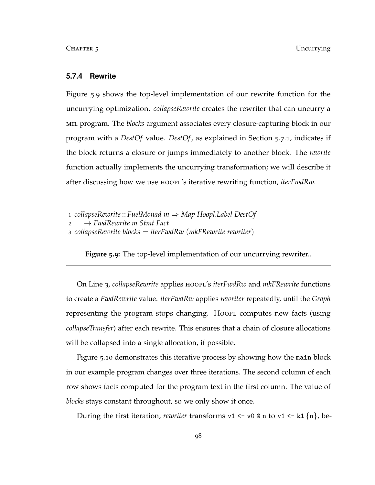### **5.7.4 Rewrite**

Figure 5.9 shows the top-level implementation of our rewrite function for the uncurrying optimization. *collapseRewrite* creates the rewriter that can uncurry a mil program. The *blocks* argument associates every closure-capturing block in our program with a *DestOf* value. *DestOf*, as explained in Section 5.7.1, indicates if the block returns a closure or jumps immediately to another block. The *rewrite* function actually implements the uncurrying transformation; we will describe it after discussing how we use hoopl's iterative rewriting function, *iterFwdRw*.

```
1 collapseRewrite :: FuelMonad m ⇒ Map Hoopl.Label DestOf
```

```
→ FwdRewrite m Stmt Fact
```
<sup>3</sup> *collapseRewrite blocks* = *iterFwdRw* (*mkFRewrite rewriter*)

**Figure 5.9:** The top-level implementation of our uncurrying rewriter..

On Line 3, *collapseRewrite* applies hoopl's *iterFwdRw* and *mkFRewrite* functions to create a *FwdRewrite* value. *iterFwdRw* applies *rewriter* repeatedly, until the *Graph* representing the program stops changing. Hoort computes new facts (using *collapseTransfer*) after each rewrite. This ensures that a chain of closure allocations will be collapsed into a single allocation, if possible.

Figure 5.10 demonstrates this iterative process by showing how the **main** block in our example program changes over three iterations. The second column of each row shows facts computed for the program text in the first column. The value of *blocks* stays constant throughout, so we only show it once.

During the first iteration, *rewriter* transforms v1  $\lt$  v0  $\circ$  n to v1  $\lt$  k1  $\{n\}$ , be-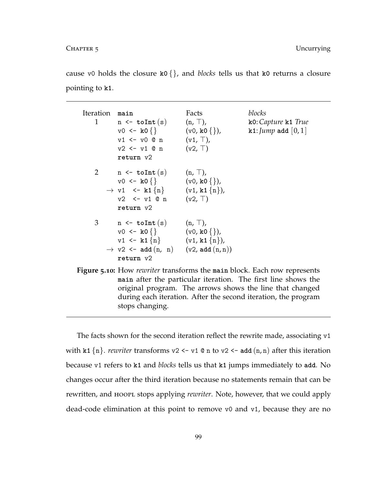cause v0 holds the closure **k0** {}, and *blocks* tells us that **k0** returns a closure pointing to **k1**.

Iteration **main** Facts *blocks* 1  $n \leftarrow \text{toInt}(s)$  $v0 \leq K0$  {}  $v1 \leftarrow v0$  @ n  $v2 \leftarrow v1$  @ n **return** v2  $(n, \top)$ , (v0, **k0** {}),  $(v1, \top)$ ,  $(v2, \top)$ **k0**:*Capture* **k1** *True*  $k1: \text{Jump}$  add  $[0,1]$ 2  $n \leftarrow \text{toInt}(s)$  $v0 \leq K0$  {}  $\rightarrow \text{v1} \leftarrow \text{k1} \{ \text{n} \}$  $v2 \leftarrow v1 \oplus n$ **return** v2  $(n, \top)$ , (v0, **k0** {}), (v1, **k1** {n}),  $(v2, \top)$ 3  $n \leftarrow \text{toInt}(s)$  $v0 \leq k0$  {}  $v1 \leq k1$  {n}  $\rightarrow$  v2  $\leftarrow$  **add** (n, n) **return** v2  $(n, \top)$ , (v0, **k0** {}),  $(v1, k1\{n\})$ ,  $(v2, add(n, n))$ **Figure 5.10:** How *rewriter* transforms the **main** block. Each row represents **main** after the particular iteration. The first line shows the

> original program. The arrows shows the line that changed during each iteration. After the second iteration, the program

The facts shown for the second iteration reflect the rewrite made, associating v1 with  $k1$   $\{n\}$ . *rewriter* transforms  $v2 \le v1$  @ n to  $v2 \le a$  add  $(n, n)$  after this iteration because v1 refers to **k1** and *blocks* tells us that **k1** jumps immediately to **add**. No changes occur after the third iteration because no statements remain that can be rewritten, and *HOOPL* stops applying *rewriter*. Note, however, that we could apply dead-code elimination at this point to remove v0 and v1, because they are no

stops changing.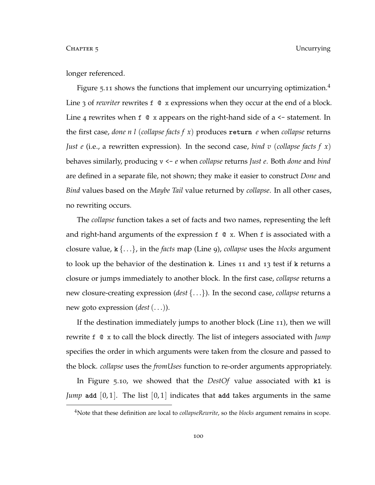CHAPTER 5 Uncurrying

longer referenced.

Figure  $5.11$  shows the functions that implement our uncurrying optimization.<sup>4</sup> Line 3 of *rewriter* rewrites f  $\circ$  x expressions when they occur at the end of a block. Line 4 rewrites when  $f \circ x$  appears on the right-hand side of a  $\leq$ - statement. In the first case, *done n l* (*collapse facts f x*) produces **return** *e* when *collapse* returns *Just e* (i.e., a rewritten expression). In the second case, *bind v* (*collapse facts f x*) behaves similarly, producing v <- *e* when *collapse* returns *Just e*. Both *done* and *bind* are defined in a separate file, not shown; they make it easier to construct *Done* and *Bind* values based on the *Maybe Tail* value returned by *collapse*. In all other cases, no rewriting occurs.

The *collapse* function takes a set of facts and two names, representing the left and right-hand arguments of the expression f @ x. When f is associated with a closure value, **k** {. . .}, in the *facts* map (Line 9), *collapse* uses the *blocks* argument to look up the behavior of the destination **k**. Lines 11 and 13 test if **k** returns a closure or jumps immediately to another block. In the first case, *collapse* returns a new closure-creating expression (*dest* {. . .}). In the second case, *collapse* returns a new goto expression (*dest*(. . .)).

If the destination immediately jumps to another block (Line 11), then we will rewrite f @ x to call the block directly. The list of integers associated with *Jump* specifies the order in which arguments were taken from the closure and passed to the block. *collapse* uses the *fromUses* function to re-order arguments appropriately.

In Figure 5.10, we showed that the *DestOf* value associated with **k1** is *Jump* **add** [0, 1]. The list [0, 1] indicates that **add** takes arguments in the same

<sup>4</sup>Note that these definition are local to *collapseRewrite*, so the *blocks* argument remains in scope.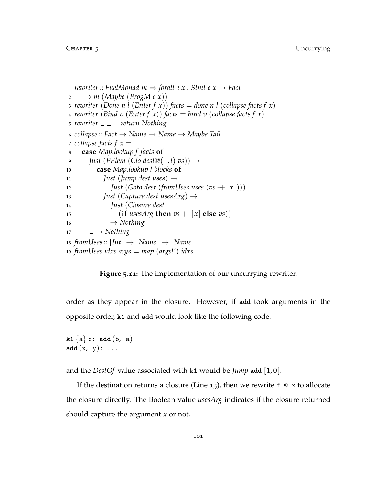```
1 rewriter :: FuelMonad m \Rightarrow forall e x . Stmt e x \rightarrow Fact
2 \rightarrow m (Maybe (ProgM e x))
3 rewriter (Done n l (Enter f x)) facts = done n l (collapse facts f x)
4 rewriter (Bind v (Enter f x)) facts = bind v (collapse facts f x)
5 rewriter = return Nothing
6 collapse :: Fact → Name → Name → Maybe Tail
\sigma z collapse facts f x =8 case Map.lookup f facts of
9 Just (PElem (Clo dest\mathcal{Q}(\_,l) vs)) \rightarrow10 case Map.lookup l blocks of
11 Just (Jump dest uses) →
12 Just (Goto dest (fromUses uses (vs + |x|)))
13 Just (Capture dest usesArg) →
14 Just (Closure dest
15 (if usesArg then vs + |x| else vs)
16 - \rightarrow \text{Nothing}17 \qquad \rightarrow Nothing
18 fromUses :: [Int] \rightarrow [Name] \rightarrow [Name]
19 fromUses idxs args = map (args!!) idxs
```
**Figure 5.11:** The implementation of our uncurrying rewriter.

order as they appear in the closure. However, if **add** took arguments in the opposite order, **k1** and **add** would look like the following code:

 $k1 \{a\} b: add (b, a)$  $add(x, y): \ldots$ 

and the *DestOf* value associated with **k1** would be *Jump* **add** [1, 0].

If the destination returns a closure (Line 13), then we rewrite  $f \circ x$  to allocate the closure directly. The Boolean value *usesArg* indicates if the closure returned should capture the argument *x* or not.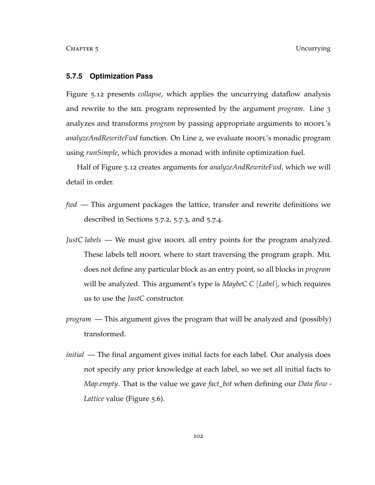### **5.7.5 Optimization Pass**

Figure 5.12 presents *collapse*, which applies the uncurrying dataflow analysis and rewrite to the mil program represented by the argument *program*. Line 3 analyzes and transforms *program* by passing appropriate arguments to **HOOPL's** *analyzeAndRewriteFwd* function. On Line 2, we evaluate hoopl's monadic program using *runSimple*, which provides a monad with infinite optimization fuel.

Half of Figure 5.12 creates arguments for *analyzeAndRewriteFwd*, which we will detail in order.

- *fwd* This argument packages the lattice, transfer and rewrite definitions we described in Sections 5.7.2, 5.7.3, and 5.7.4.
- *JustC labels* We must give hoorl all entry points for the program analyzed. These labels tell hooply where to start traversing the program graph. MIL does not define any particular block as an entry point, so all blocks in *program* will be analyzed. This argument's type is *MaybeC C* [*Label*], which requires us to use the *JustC* constructor.
- *program* This argument gives the program that will be analyzed and (possibly) transformed.
- *initial* The final argument gives initial facts for each label. Our analysis does not specify any prior knowledge at each label, so we set all initial facts to *Map*.*empty*. That is the value we gave *fact*\_*bot* when defining our *Data flow* - *Lattice* value (Figure 5.6).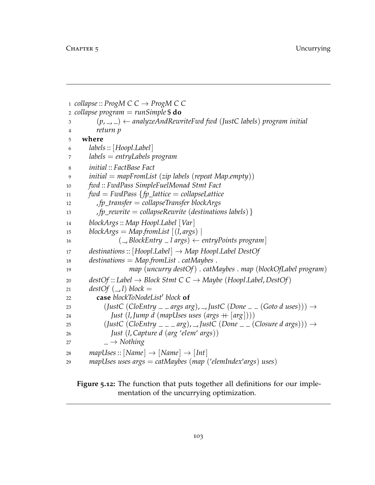```
1 collapse :: ProgM\subset\subset\rightarrow ProgM\subset\subset2 collapse program = runSimple $ do
3 (p, , ) ← analyzeAndRewriteFwd fwd (JustC labels) program initial
4 return p
5 where
6 labels :: [Hoopl.Label]
7 labels = entryLabels program
8 initial :: FactBase Fact
9 initial = mapFromList (zip labels (repeat Map.empty))
10 fwd :: FwdPass SimpleFuelMonad Stmt Fact
11 fwd = FwdPass {fp_lattice = collapseLattice
12 , fp_transfer = collapseTransfer blockArgs
13 , fp_rewrite = collapseRewrite (destinations labels)}
14 blockArgs :: Map Hoopl.Label [Var]
15 blockArgs = Map.fromList [(l, args)]16 ( , BlockEntry l args) ← entryPoints program]
17 destinations :: [Hoopl.Label] → Map Hoopl.Label DestOf
18 destinations = Map.fromList . catMaybes .
19 map (uncurry destOf) . catMaybes . map (blockOfLabel program)
20 destOf :: Label → Block Stmt C C → Maybe (Hoopl.Label, DestOf)
21 destOf (, l) block =
22 case blockToNodeList' block of
23 (lustC (CloEntry \_ args arg), \_ JustC (Done \_ (Goto d uses))) \rightarrow24 Just (l, Jump d (mapUses uses (args ++ [arg])))
25 \left(\text{JustC (CloEntry } \_\_\_\_\text{arg})\right) \_\rightarrow \text{JustC (Done } \_\_\text{diag}( \text{Closure d args})) \rightarrow26 Just (l,Capture d (arg 'elem' args))
27 \qquad \qquad = \rightarrow \text{Nothing}28 mapUses :: [Name] \rightarrow [Name] \rightarrow [Int]
29 mapUses uses args = catMaybes (map ('elemIndex'args) uses)
```
**Figure 5.12:** The function that puts together all definitions for our implementation of the uncurrying optimization.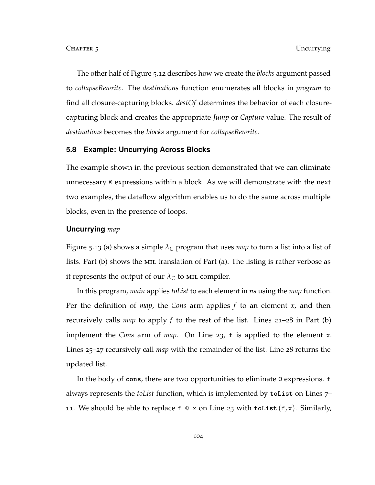The other half of Figure 5.12 describes how we create the *blocks* argument passed to *collapseRewrite*. The *destinations* function enumerates all blocks in *program* to find all closure-capturing blocks. *destOf* determines the behavior of each closurecapturing block and creates the appropriate *Jump* or *Capture* value. The result of *destinations* becomes the *blocks* argument for *collapseRewrite*.

## **5.8 Example: Uncurrying Across Blocks**

The example shown in the previous section demonstrated that we can eliminate unnecessary @ expressions within a block. As we will demonstrate with the next two examples, the dataflow algorithm enables us to do the same across multiple blocks, even in the presence of loops.

# **Uncurrying** *map*

Figure 5.13 (a) shows a simple  $\lambda_C$  program that uses *map* to turn a list into a list of lists. Part (b) shows the mil translation of Part (a). The listing is rather verbose as it represents the output of our  $\lambda_C$  to MIL compiler.

In this program, *main* applies *toList* to each element in *ns* using the *map* function. Per the definition of *map*, the *Cons* arm applies *f* to an element *x*, and then recursively calls *map* to apply *f* to the rest of the list. Lines 21–28 in Part (b) implement the *Cons* arm of *map*. On Line 23, f is applied to the element x. Lines 25–27 recursively call *map* with the remainder of the list. Line 28 returns the updated list.

In the body of **cons**, there are two opportunities to eliminate @ expressions. f always represents the *toList* function, which is implemented by **toList** on Lines 7– 11. We should be able to replace f @ x on Line 23 with **toList** (f, x). Similarly,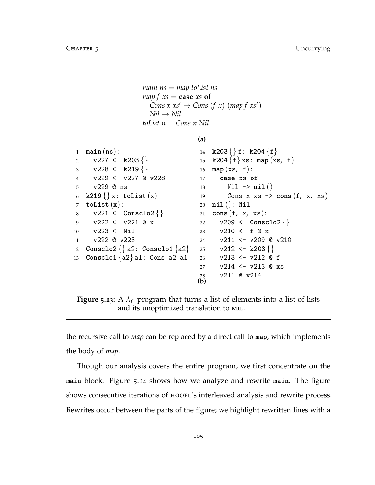```
main ns = map toList ns
map f xs = case xs of
    \textit{Cons } x \textit{ xs}' \rightarrow \textit{Cons } (f \textit{x}) \textit{ (map } f \textit{ xs}')Nil \rightarrow NiltoList n = Cons n Nil
```

```
(a)
```

```
1 main (ns):
2 v227 \leftarrow k203\{\}3 v228 <- k219 {}
4 v229 <- v227 @ v228
5 v229 @ ns
6 k219 {} x: toList (x)
7 \text{tolist}(x):
8 v221 <- Consclo2 {}
9 v222 <- v221 @ x
10 v223 <- Nil
11 v222 @ v223
12 Consclo2 {} a2: Consclo1 {a2}
13 Consclo1 {a2} a1: Cons a2 a1
                                 14 k203 {} f: k204 {f}
                                 15 k204 {f} xs: map (xs, f)
                                16 map (xs, f):
                                17 case xs of
                                 18 Nil -> nil ()
                                 19 Cons x xs -> cons (f, x, xs)
                                 20 nil (): Nil
                                 21 cons (f, x, xs):
                                 22 v209 <- Consclo2 {}
                                 23 v210 \le f \& x
                                 24 v211 <- v209 @ v210
                                 25 v212 <- k203 {}
                                 26 v213 <- v212 @ f
                                 27 v214 <- v213 @ xs
                                 28 v211 @ v214
                                (b)
```
**Figure 5.13:** A  $\lambda_c$  program that turns a list of elements into a list of lists and its unoptimized translation to mil.

the recursive call to *map* can be replaced by a direct call to **map**, which implements the body of *map*.

Though our analysis covers the entire program, we first concentrate on the **main** block. Figure 5.14 shows how we analyze and rewrite **main**. The figure shows consecutive iterations of  $HOOPL's$  interleaved analysis and rewrite process. Rewrites occur between the parts of the figure; we highlight rewritten lines with a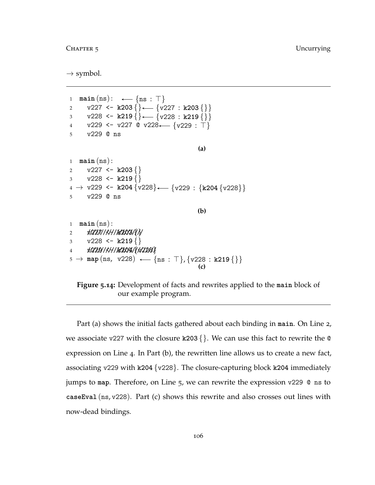$\rightarrow$  symbol.

 $\begin{array}{ccc} \texttt{1} & \texttt{main}\,(\texttt{ns}) \colon & \longleftarrow \{\texttt{ns} \,:\, \top\} \end{array}$  v227 <- **k203** {} {v227 : **k203** {}} v228 <- **k219** {} {v228 : **k219** {}}  $_4$  v229 <- v227 @ v228 $\longleftrightarrow$   $\{$ v229 :  $\top\}$  v229 @ ns **(a) main** (ns): v227 <- **k203** {} v228 <- **k219** {} → v229 <- **k204** {v228} {v229 : {**k204** {v228}} v229 @ ns **(b) main** (ns): *xd2211//kH/1d203/{/***/**  v228 <- **k219** {} ////////////////////////// v229 <- **k204** {v228}  $5 \to \texttt{map}(ns, v228) \leftarrow \{ns : \top\}, \{v228 : k219 \{\}\}$ **(c)**

**Figure 5.14:** Development of facts and rewrites applied to the **main** block of our example program.

Part (a) shows the initial facts gathered about each binding in **main**. On Line 2, we associate v227 with the closure **k203** {}. We can use this fact to rewrite the @ expression on Line 4. In Part (b), the rewritten line allows us to create a new fact, associating v229 with **k204** {v228}. The closure-capturing block **k204** immediately jumps to **map**. Therefore, on Line 5, we can rewrite the expression v229 @ ns to **caseEval** (ns, v228). Part (c) shows this rewrite and also crosses out lines with now-dead bindings.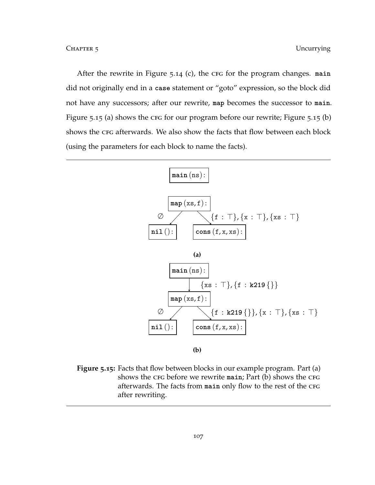After the rewrite in Figure 5.14 (c), the CFG for the program changes. main did not originally end in a **case** statement or "goto" expression, so the block did not have any successors; after our rewrite, **map** becomes the successor to **main**. Figure  $5.15$  (a) shows the CFG for our program before our rewrite; Figure  $5.15$  (b) shows the CFG afterwards. We also show the facts that flow between each block (using the parameters for each block to name the facts).



**Figure 5.15:** Facts that flow between blocks in our example program. Part (a) shows the c<sub>FG</sub> before we rewrite main; Part (b) shows the c<sub>FG</sub> afterwards. The facts from **main** only flow to the rest of the cfg after rewriting.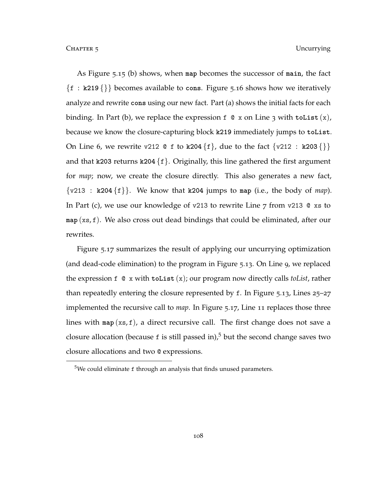As Figure 5.15 (b) shows, when **map** becomes the successor of **main**, the fact {f : **k219** {}} becomes available to **cons**. Figure 5.16 shows how we iteratively analyze and rewrite **cons** using our new fact. Part (a) shows the initial facts for each binding. In Part (b), we replace the expression f @ x on Line 3 with **toList** (x), because we know the closure-capturing block **k219** immediately jumps to **toList**. On Line 6, we rewrite v212  $\circ$  f to k204 {f}, due to the fact {v212 : k203 {}} and that **k203** returns **k204** {f}. Originally, this line gathered the first argument for *map*; now, we create the closure directly. This also generates a new fact, {v213 : **k204** {f}}. We know that **k204** jumps to **map** (i.e., the body of *map*). In Part (c), we use our knowledge of v213 to rewrite Line 7 from v213 @ xs to **map** (xs, f). We also cross out dead bindings that could be eliminated, after our rewrites.

Figure 5.17 summarizes the result of applying our uncurrying optimization (and dead-code elimination) to the program in Figure 5.13. On Line 9, we replaced the expression f @ x with **toList** (x); our program now directly calls *toList*, rather than repeatedly entering the closure represented by f. In Figure 5.13, Lines 25–27 implemented the recursive call to *map*. In Figure 5.17, Line 11 replaces those three lines with **map** (xs, f), a direct recursive call. The first change does not save a closure allocation (because f is still passed in),<sup>5</sup> but the second change saves two closure allocations and two @ expressions.

<sup>&</sup>lt;sup>5</sup>We could eliminate f through an analysis that finds unused parameters.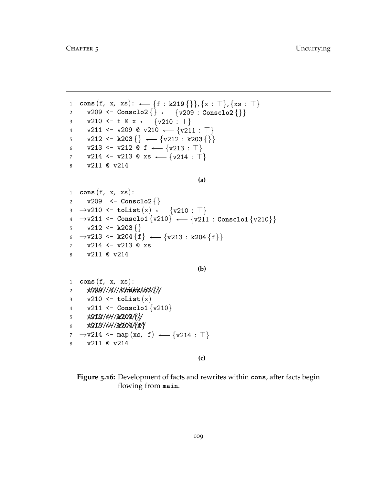```
\begin{split} \text{1} \quad \text{cons}\, (\text{f, x, xs}) \colon &\longleftarrow \{\text{f} \,:\, \text{k219}\{\}\}, \{\text{x}:\top\}, \{\text{xs}:\top\} \end{split}2 v209 <- Consclo2 {}
{v209 : Consclo2 {}}
 \texttt{3} \qquad \texttt{v210} \ \texttt{<-f} \ @ \ \texttt{x} \ \texttt{<}\texttt{=}\ \{ \texttt{v210} \, : \, \top \}\begin{array}{ccc} \texttt{4} & \texttt{v211} & \texttt{<=} & \texttt{v209} & @ \texttt{v210} & \longleftarrow & \texttt{\{v211}\,:\, \top \} \end{array}\{v212 \leftarrow k203 \{\} \leftarrow \{v212 : k203 \{\}\}\begin{array}{ccc} \text{6} & & \text{v213} \leftarrow \text{v212} \circledast \text{f} \longleftarrow \{ \text{v213} \, : \, \top \} \end{array}\begin{array}{ccc} \texttt{7} & \texttt{v214} & \texttt{<--} \texttt{v213} & @ \texttt{xs} & \longleftarrow \texttt{\{v214\text{ : }\top\} \end{array}8 v211 @ v214
                                                                                                (a)
1 cons (f, x, xs):
2 v209 <- Consclo2 {}
 \begin{array}{ccc} \texttt{3} & \rightarrow \texttt{v210} \, \texttt{<} \texttt{-} \, \, \texttt{toList(x)} \, \longleftarrow \texttt{\{v210\, : \top\}} \end{array}
```

```
4 \rightarrowv211 \leftarrow <code>Consclo1</code> \{v210\} \leftarrow \{v211: <code>Consclo1</code> \{v210\} \}
```
- 5  $v212 \leq k203 \}$
- 6 →v213 <- **k204**  $\{f\}$  ←  $\{v213 : k204$   $\{f\}$ <sup>7</sup> v214 <- v213 @ xs
- <sup>8</sup> v211 @ v214

**(b)**

 **cons** (f, x, xs): //////////////////////////// v209 <- **Consclo2** {}  $v210 \le -\text{tolist}(x)$  v211 <- **Consclo1** {v210} ///////////////////// v212 <- **k203** {} *b12123 / kH / 14204 {{f}*  $\tau$   $\rightarrow$ v214 <- map $(xs, f)$   $\longleftarrow$   $\{v214 : \top\}$ v211 @ v214

**(c)**

**Figure 5.16:** Development of facts and rewrites within **cons**, after facts begin flowing from **main**.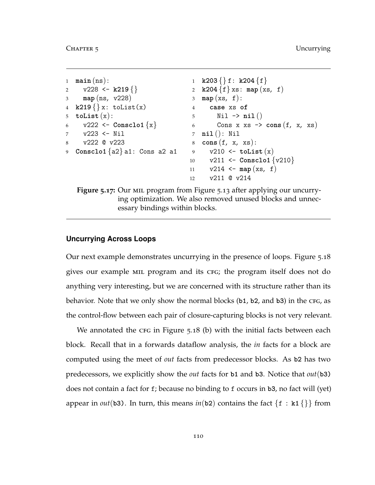```
1 main (ns):
2 v228 <- k219 {}
3 map (ns, v228)
4 k219 {} x: toList(x)
5 toList (x):
6 v222 <- \text{Consclo1}\ \{x\}7 v223 <- Nil
8 v222 @ v223
9 Consclo1 {a2} a1: Cons a2 a1
                                   1 k203 {} f: k204 {f}
                                   2 k204 {f} xs: map (xs, f)
                                  3 map (xs, f):
                                   4 case xs of
                                   5 Nil -> nil ()
                                   6 Cons x xs \rightarrow cons (f, x, xs)7 nil (): Nil
                                   8 cons (f, x, xs):
                                  9 v210 <- toList (x)
                                  10 v211 <- Consclo1 {v210}
                                  11 v214 \leftarrow \text{map}(xs, f)12 v211 @ v214
```
**Figure 5.17:** Our mil program from Figure 5.13 after applying our uncurrying optimization. We also removed unused blocks and unnecessary bindings within blocks.

### **Uncurrying Across Loops**

Our next example demonstrates uncurrying in the presence of loops. Figure 5.18 gives our example mil program and its cfg; the program itself does not do anything very interesting, but we are concerned with its structure rather than its behavior. Note that we only show the normal blocks (**b1**, **b2**, and **b3**) in the cfg, as the control-flow between each pair of closure-capturing blocks is not very relevant.

We annotated the CFG in Figure  $5.18$  (b) with the initial facts between each block. Recall that in a forwards dataflow analysis, the *in* facts for a block are computed using the meet of *out* facts from predecessor blocks. As **b2** has two predecessors, we explicitly show the *out* facts for **b1** and **b3**. Notice that *out*(**b3)** does not contain a fact for f; because no binding to f occurs in **b3**, no fact will (yet) appear in *out*(b3). In turn, this means *in*(b2) contains the fact {f : k1}} from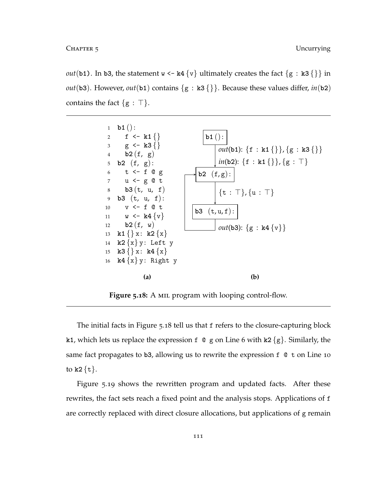CHAPTER 5 Uncurrying

*out*(**b1**). In **b3**, the statement  $w \leftarrow k4 \{v\}$  ultimately creates the fact  $\{g : k3 \}$  in *out*(**b3**). However, *out*(**b1**) contains {g : k3 {}}. Because these values differ, *in*(**b2**) contains the fact  $\{g : \top\}.$ 



**Figure 5.18:** A mil program with looping control-flow.

The initial facts in Figure 5.18 tell us that f refers to the closure-capturing block **k1**, which lets us replace the expression  $f \circ g$  on Line 6 with **k2** {g}. Similarly, the same fact propagates to **b3**, allowing us to rewrite the expression f @ t on Line 10 to  $k2 \{t\}$ .

Figure 5.19 shows the rewritten program and updated facts. After these rewrites, the fact sets reach a fixed point and the analysis stops. Applications of f are correctly replaced with direct closure allocations, but applications of g remain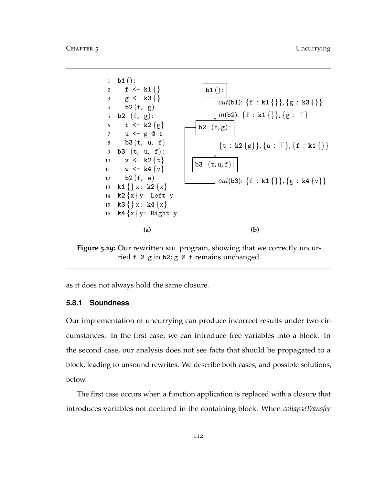

**Figure 5.19:** Our rewritten mil program, showing that we correctly uncurried f @ g in **b2**; g @ t remains unchanged.

as it does not always hold the same closure.

# **5.8.1 Soundness**

Our implementation of uncurrying can produce incorrect results under two circumstances. In the first case, we can introduce free variables into a block. In the second case, our analysis does not see facts that should be propagated to a block, leading to unsound rewrites. We describe both cases, and possible solutions, below.

The first case occurs when a function application is replaced with a closure that introduces variables not declared in the containing block. When *collapseTransfer*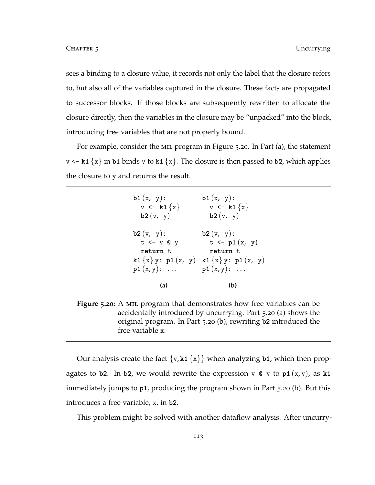sees a binding to a closure value, it records not only the label that the closure refers to, but also all of the variables captured in the closure. These facts are propagated to successor blocks. If those blocks are subsequently rewritten to allocate the closure directly, then the variables in the closure may be "unpacked" into the block, introducing free variables that are not properly bound.

For example, consider the MIL program in Figure 5.20. In Part (a), the statement  $v \leftarrow k1 \{x\}$  in **b1** binds v to  $k1 \{x\}$ . The closure is then passed to **b2**, which applies the closure to y and returns the result.

| $b1(x, y)$ :<br>$v \leftarrow k1 \{x\}$<br>b2(v, y)                    | $b1(x, y)$ :<br>$v \leftarrow k1 \{x\}$<br>b2(v, y)                                                                        |
|------------------------------------------------------------------------|----------------------------------------------------------------------------------------------------------------------------|
| $b2(v, y)$ :<br>$t \leftarrow v 0 y$<br>return t<br>$p1(x, y): \ldots$ | $b2(v, y)$ :<br>$t \leq p1(x, y)$<br>return t<br>k1 $\{x\}$ y: p1 $(x, y)$ k1 $\{x\}$ y: p1 $(x, y)$<br>$p1(x, y): \ldots$ |
| (a)                                                                    |                                                                                                                            |

**Figure 5.20:** A mil program that demonstrates how free variables can be accidentally introduced by uncurrying. Part 5.20 (a) shows the original program. In Part 5.20 (b), rewriting **b2** introduced the free variable x.

Our analysis create the fact  $\{v, k1\{x\}\}\$  when analyzing **b1**, which then propagates to **b2**. In **b2**, we would rewrite the expression v  $\mathcal{Q}$  y to  $p1(x, y)$ , as k1 immediately jumps to **p1**, producing the program shown in Part 5.20 (b). But this introduces a free variable, x, in **b2**.

This problem might be solved with another dataflow analysis. After uncurry-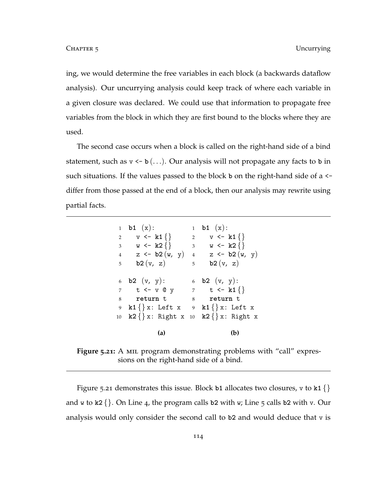CHAPTER 5 Uncurrying

ing, we would determine the free variables in each block (a backwards dataflow analysis). Our uncurrying analysis could keep track of where each variable in a given closure was declared. We could use that information to propagate free variables from the block in which they are first bound to the blocks where they are used.

The second case occurs when a block is called on the right-hand side of a bind statement, such as  $v \leftarrow b$  (...). Our analysis will not propagate any facts to b in such situations. If the values passed to the block **b** on the right-hand side of a < differ from those passed at the end of a block, then our analysis may rewrite using partial facts.

```
1 b1 (x):
2 v \leftarrow k1 {}
3 w <- k2 {}
3 w <- k2 {}
4 z \leq b2(w, y) 4
5 b2 (v, z)
6 b2 (v, y):
7 t <- v @ y
8 return t
9 k1 {} x: Left x
9 k1 {} x: Left x
10 k2 {} x: Right x
10 k2 {} x: Right x
                 1 b1 (x):
                 2 v \left\{ \kappa 1 \right\}z \leq -b2(w, y)5 b2 (v, z)
                  6 b2 (v, y):
                  7 t <- k1 {}
                  8 return t
          (a) (b)
```
**Figure 5.21:** A mil program demonstrating problems with "call" expressions on the right-hand side of a bind.

Figure 5.21 demonstrates this issue. Block **b1** allocates two closures, v to **k1** {} and w to **k2** {}. On Line 4, the program calls **b2** with w; Line 5 calls **b2** with v. Our analysis would only consider the second call to **b2** and would deduce that v is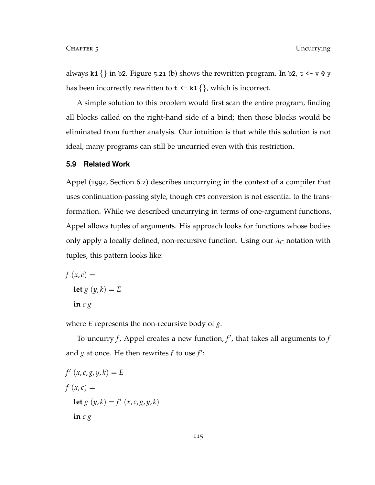always  $k1$  {} in **b2**. Figure 5.21 (b) shows the rewritten program. In **b2**,  $t \leq v \leq y$ has been incorrectly rewritten to  $t \leq k \leq 1$  {}, which is incorrect.

A simple solution to this problem would first scan the entire program, finding all blocks called on the right-hand side of a bind; then those blocks would be eliminated from further analysis. Our intuition is that while this solution is not ideal, many programs can still be uncurried even with this restriction.

### **5.9 Related Work**

Appel (1992, Section 6.2) describes uncurrying in the context of a compiler that uses continuation-passing style, though cps conversion is not essential to the transformation. While we described uncurrying in terms of one-argument functions, Appel allows tuples of arguments. His approach looks for functions whose bodies only apply a locally defined, non-recursive function. Using our  $\lambda_C$  notation with tuples, this pattern looks like:

$$
f(x, c) =
$$
  
let  $g(y, k) = E$   
in  $c g$ 

where *E* represents the non-recursive body of *g*.

To uncurry  $f$ , Appel creates a new function,  $f'$ , that takes all arguments to  $f$ and *g* at once. He then rewrites *f* to use  $f'$ :

$$
f'(x, c, g, y, k) = E
$$
  

$$
f(x, c) =
$$
  
**let**  $g(y, k) = f'(x, c, g, y, k)$   
**in**  $c g$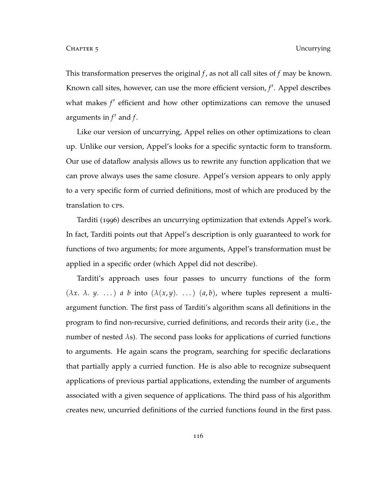This transformation preserves the original *f*, as not all call sites of *f* may be known. Known call sites, however, can use the more efficient version, *f'*. Appel describes what makes f<sup>'</sup> efficient and how other optimizations can remove the unused arguments in  $f'$  and  $f$ .

Like our version of uncurrying, Appel relies on other optimizations to clean up. Unlike our version, Appel's looks for a specific syntactic form to transform. Our use of dataflow analysis allows us to rewrite any function application that we can prove always uses the same closure. Appel's version appears to only apply to a very specific form of curried definitions, most of which are produced by the translation to cps.

Tarditi (1996) describes an uncurrying optimization that extends Appel's work. In fact, Tarditi points out that Appel's description is only guaranteed to work for functions of two arguments; for more arguments, Appel's transformation must be applied in a specific order (which Appel did not describe).

Tarditi's approach uses four passes to uncurry functions of the form  $(\lambda x. \lambda. y. ...) a b into  $(\lambda(x,y). ...) (a,b)$ , where tuples represent a multi$ argument function. The first pass of Tarditi's algorithm scans all definitions in the program to find non-recursive, curried definitions, and records their arity (i.e., the number of nested  $\lambda$ s). The second pass looks for applications of curried functions to arguments. He again scans the program, searching for specific declarations that partially apply a curried function. He is also able to recognize subsequent applications of previous partial applications, extending the number of arguments associated with a given sequence of applications. The third pass of his algorithm creates new, uncurried definitions of the curried functions found in the first pass.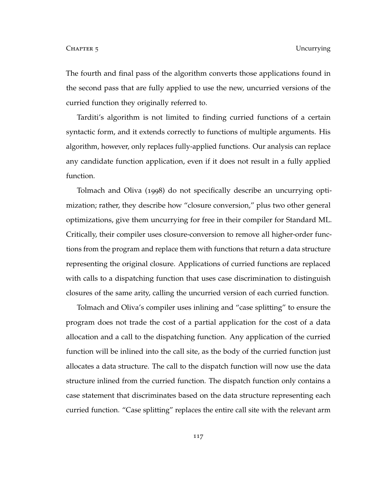The fourth and final pass of the algorithm converts those applications found in the second pass that are fully applied to use the new, uncurried versions of the curried function they originally referred to.

Tarditi's algorithm is not limited to finding curried functions of a certain syntactic form, and it extends correctly to functions of multiple arguments. His algorithm, however, only replaces fully-applied functions. Our analysis can replace any candidate function application, even if it does not result in a fully applied function.

Tolmach and Oliva (1998) do not specifically describe an uncurrying optimization; rather, they describe how "closure conversion," plus two other general optimizations, give them uncurrying for free in their compiler for Standard ML. Critically, their compiler uses closure-conversion to remove all higher-order functions from the program and replace them with functions that return a data structure representing the original closure. Applications of curried functions are replaced with calls to a dispatching function that uses case discrimination to distinguish closures of the same arity, calling the uncurried version of each curried function.

Tolmach and Oliva's compiler uses inlining and "case splitting" to ensure the program does not trade the cost of a partial application for the cost of a data allocation and a call to the dispatching function. Any application of the curried function will be inlined into the call site, as the body of the curried function just allocates a data structure. The call to the dispatch function will now use the data structure inlined from the curried function. The dispatch function only contains a case statement that discriminates based on the data structure representing each curried function. "Case splitting" replaces the entire call site with the relevant arm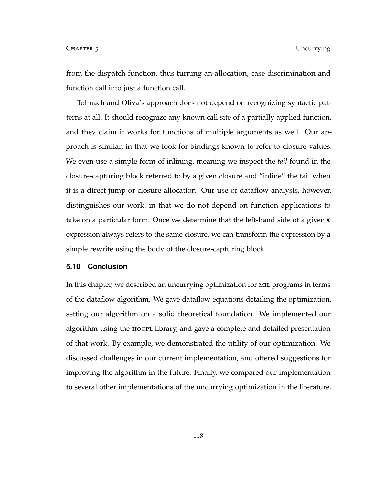from the dispatch function, thus turning an allocation, case discrimination and function call into just a function call.

Tolmach and Oliva's approach does not depend on recognizing syntactic patterns at all. It should recognize any known call site of a partially applied function, and they claim it works for functions of multiple arguments as well. Our approach is similar, in that we look for bindings known to refer to closure values. We even use a simple form of inlining, meaning we inspect the *tail* found in the closure-capturing block referred to by a given closure and "inline" the tail when it is a direct jump or closure allocation. Our use of dataflow analysis, however, distinguishes our work, in that we do not depend on function applications to take on a particular form. Once we determine that the left-hand side of a given @ expression always refers to the same closure, we can transform the expression by a simple rewrite using the body of the closure-capturing block.

## **5.10 Conclusion**

In this chapter, we described an uncurrying optimization for mil programs in terms of the dataflow algorithm. We gave dataflow equations detailing the optimization, setting our algorithm on a solid theoretical foundation. We implemented our algorithm using the HOOPL library, and gave a complete and detailed presentation of that work. By example, we demonstrated the utility of our optimization. We discussed challenges in our current implementation, and offered suggestions for improving the algorithm in the future. Finally, we compared our implementation to several other implementations of the uncurrying optimization in the literature.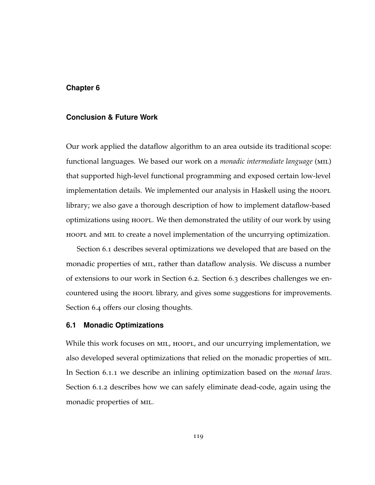## **Chapter 6**

## **Conclusion & Future Work**

Our work applied the dataflow algorithm to an area outside its traditional scope: functional languages. We based our work on a *monadic intermediate language* (mil) that supported high-level functional programming and exposed certain low-level implementation details. We implemented our analysis in Haskell using the HOOPL library; we also gave a thorough description of how to implement dataflow-based optimizations using hoopl. We then demonstrated the utility of our work by using hoopl and mil to create a novel implementation of the uncurrying optimization.

Section 6.1 describes several optimizations we developed that are based on the monadic properties of mil, rather than dataflow analysis. We discuss a number of extensions to our work in Section 6.2. Section 6.3 describes challenges we encountered using the HOOPL library, and gives some suggestions for improvements. Section 6.4 offers our closing thoughts.

### **6.1 Monadic Optimizations**

While this work focuses on MIL, HOOPL, and our uncurrying implementation, we also developed several optimizations that relied on the monadic properties of mil. In Section 6.1.1 we describe an inlining optimization based on the *monad laws*. Section 6.1.2 describes how we can safely eliminate dead-code, again using the monadic properties of mil.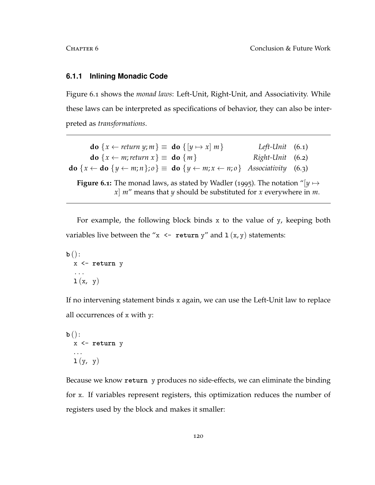## **6.1.1 Inlining Monadic Code**

Figure 6.1 shows the *monad laws*: Left-Unit, Right-Unit, and Associativity. While these laws can be interpreted as specifications of behavior, they can also be interpreted as *transformations*.

**do**  $\{x \leftarrow return y; m\} \equiv$  **do**  $\{[y \mapsto x] \mid m\}$  *Left-Unit* (6.1) **do**  $\{x \leftarrow m; \text{return } x\} \equiv$  **do**  $\{m\}$  *Right-Unit* (6.2) **do**  $\{x \leftarrow$  **do**  $\{y \leftarrow m; n\}; o\}$  ≡ **do**  $\{y \leftarrow m; x \leftarrow n; o\}$  *Associativity* (6.3) **Figure 6.1:** The monad laws, as stated by Wadler (1995). The notation "[ $y \mapsto$ *x*] *m*" means that *y* should be substituted for *x* everywhere in *m*.

For example, the following block binds x to the value of y, keeping both variables live between the " $x \le$  **return** y" and  $1(x, y)$  statements:

```
\mathbf{b} ():
   x <- return y
   ...
   l (x, y)
```
If no intervening statement binds x again, we can use the Left-Unit law to replace all occurrences of x with y:

```
b ():
   x <- return y
   . . .
   \mathbf{1} (y, y)
```
Because we know **return** y produces no side-effects, we can eliminate the binding for x. If variables represent registers, this optimization reduces the number of registers used by the block and makes it smaller: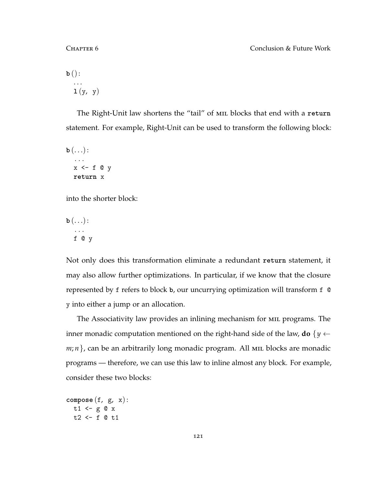**b** (): . . . **l** (y, y)

The Right-Unit law shortens the "tail" of mil blocks that end with a **return** statement. For example, Right-Unit can be used to transform the following block:

 $\mathbf{b}(\ldots)$ : ...  $x \leftarrow f \circ y$ **return** x

into the shorter block:

 $\mathbf{b}(\ldots)$ : ... f @ y

Not only does this transformation eliminate a redundant **return** statement, it may also allow further optimizations. In particular, if we know that the closure represented by f refers to block **b**, our uncurrying optimization will transform f @ y into either a jump or an allocation.

The Associativity law provides an inlining mechanism for mil programs. The inner monadic computation mentioned on the right-hand side of the law, **do**  $\{y \leftarrow$ *m*; *n*}, can be an arbitrarily long monadic program. All MIL blocks are monadic programs — therefore, we can use this law to inline almost any block. For example, consider these two blocks:

```
compose (f, g, x):
  t1 \leftarrow g \mathbb{Q} x
  t2 <- f @ t1
```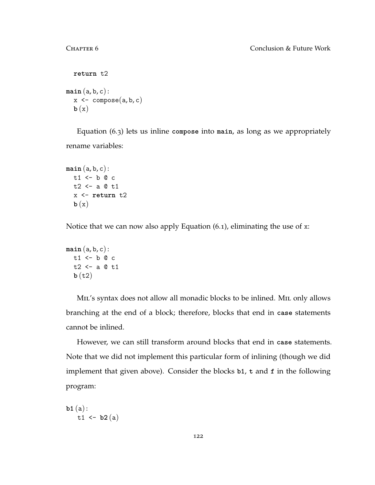```
return t2
main (a, b, c):
   x \leftarrow \text{composite}(a, b, c)\mathbf{b}(\mathbf{x})
```
Equation (6.3) lets us inline **compose** into **main**, as long as we appropriately rename variables:

```
\texttt{main}(a, b, c):
   t1 <- b @ c
   t2 <- a @ t1
   x <- return t2
   \mathbf{b}(\mathbf{x})
```
Notice that we can now also apply Equation (6.1), eliminating the use of x:

```
\texttt{main}(a, b, c):
  t1 <- b @ c
  t2 \leftarrow a 0 t1b(t2)
```
MIL's syntax does not allow all monadic blocks to be inlined. MIL only allows branching at the end of a block; therefore, blocks that end in **case** statements cannot be inlined.

However, we can still transform around blocks that end in **case** statements. Note that we did not implement this particular form of inlining (though we did implement that given above). Consider the blocks **b1**, **t** and **f** in the following program:

**b1** (a): t1 <-  $b2(a)$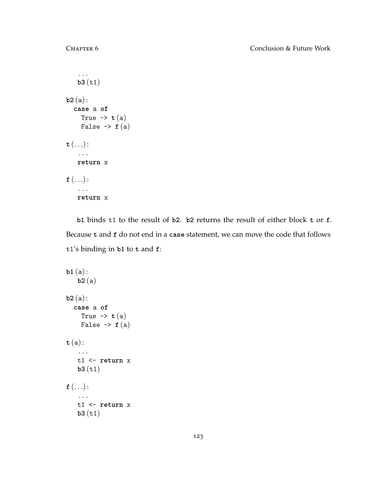```
...
    b3 (t1)
b2 (a):
   case a of
      True \rightarrow t (a)
      False \rightarrow f (a)
\mathbf{t} \left( \ldots \right):
     ...
    return x
f(\ldots):
    ...
    return x
```
**b1** binds t1 to the result of **b2**. **b2** returns the result of either block **t** or **f**. Because **t** and **f** do not end in a **case** statement, we can move the code that follows t1's binding in **b1** to **t** and **f**:

```
b1 (a):
   b2 (a)
b2 (a):
  case a of
     True \rightarrow t (a)
     False \rightarrow f (a)
t (a):
    ...
   t1 <- return x
   b3 (t1)
f(\ldots):
    ...
   t1 <- return x
   b3 (t1)
```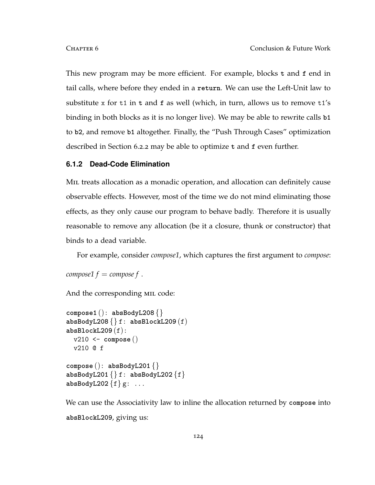This new program may be more efficient. For example, blocks **t** and **f** end in tail calls, where before they ended in a **return**. We can use the Left-Unit law to substitute x for t1 in **t** and **f** as well (which, in turn, allows us to remove t1's binding in both blocks as it is no longer live). We may be able to rewrite calls **b1** to **b2**, and remove **b1** altogether. Finally, the "Push Through Cases" optimization described in Section 6.2.2 may be able to optimize **t** and **f** even further.

## **6.1.2 Dead-Code Elimination**

Mil treats allocation as a monadic operation, and allocation can definitely cause observable effects. However, most of the time we do not mind eliminating those effects, as they only cause our program to behave badly. Therefore it is usually reasonable to remove any allocation (be it a closure, thunk or constructor) that binds to a dead variable.

For example, consider *compose1*, which captures the first argument to *compose*:

*compose1*  $f =$  *compose f.* 

And the corresponding mil code:

```
compose1 (): absBodyL208 {}
absBodyL208 {} f: absBlockL209 (f)
absBlockL209 (f):
 v210 <- compose ()
 v210 @ f
compose (): absBodyL201 {}
absBodyL201 {} f: absBodyL202 {f}
absBodyL202{f}g: ...
```
We can use the Associativity law to inline the allocation returned by **compose** into **absBlockL209**, giving us: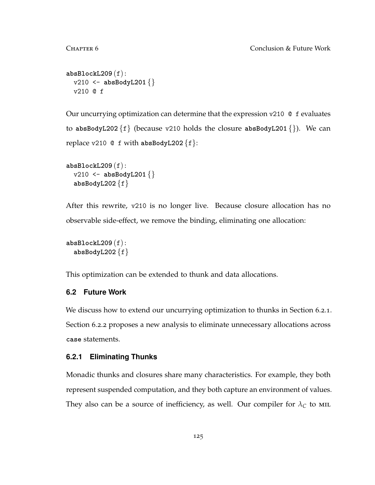```
absBlockL209 (f):
 v210 <- absBodyL201 {}
 v210 @ f
```
Our uncurrying optimization can determine that the expression v210 @ f evaluates to **absBodyL202** {f} (because v210 holds the closure **absBodyL201** {}). We can replace  $v210 \text{ }$  f with absBodyL202  $\{f\}$ :

```
absBlockL209 (f):
  v210 <- absBodyL201 {}
  absBodyL202{f}
```
After this rewrite, v210 is no longer live. Because closure allocation has no observable side-effect, we remove the binding, eliminating one allocation:

**absBlockL209** (f): **absBodyL202** {f}

This optimization can be extended to thunk and data allocations.

# **6.2 Future Work**

We discuss how to extend our uncurrying optimization to thunks in Section 6.2.1. Section 6.2.2 proposes a new analysis to eliminate unnecessary allocations across **case** statements.

# **6.2.1 Eliminating Thunks**

Monadic thunks and closures share many characteristics. For example, they both represent suspended computation, and they both capture an environment of values. They also can be a source of inefficiency, as well. Our compiler for  $\lambda_C$  to MIL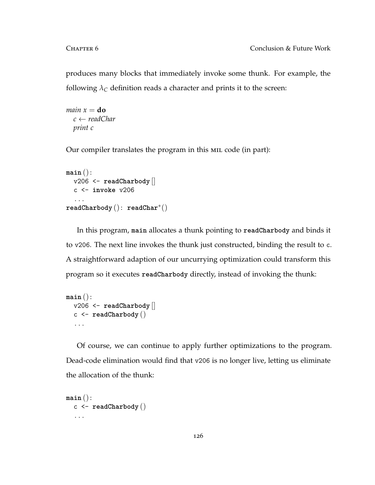produces many blocks that immediately invoke some thunk. For example, the following  $\lambda_C$  definition reads a character and prints it to the screen:

```
main x = doc ← readChar
  print c
```
Our compiler translates the program in this MIL code (in part):

```
main ():
  v206 <- readCharbody []
  c <- invoke v206
  ...
readCharbody (): readChar∗
()
```
In this program, **main** allocates a thunk pointing to **readCharbody** and binds it to v206. The next line invokes the thunk just constructed, binding the result to c. A straightforward adaption of our uncurrying optimization could transform this program so it executes **readCharbody** directly, instead of invoking the thunk:

```
main ():
  v206 <- readCharbody []
  c <- readCharbody ()
  ...
```
Of course, we can continue to apply further optimizations to the program. Dead-code elimination would find that v206 is no longer live, letting us eliminate the allocation of the thunk:

```
main ():
  c <- readCharbody ()
  ...
```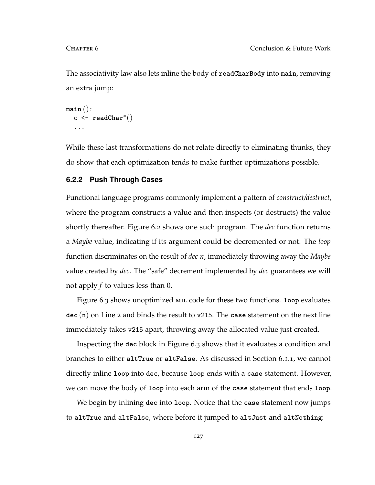The associativity law also lets inline the body of **readCharBody** into **main**, removing an extra jump:

```
main ():
  c <- readChar∗
()
  ...
```
While these last transformations do not relate directly to eliminating thunks, they do show that each optimization tends to make further optimizations possible.

# **6.2.2 Push Through Cases**

Functional language programs commonly implement a pattern of *construct/destruct*, where the program constructs a value and then inspects (or destructs) the value shortly thereafter. Figure 6.2 shows one such program. The *dec* function returns a *Maybe* value, indicating if its argument could be decremented or not. The *loop* function discriminates on the result of *dec n*, immediately throwing away the *Maybe* value created by *dec*. The "safe" decrement implemented by *dec* guarantees we will not apply *f* to values less than 0.

Figure 6.3 shows unoptimized mil code for these two functions. **loop** evaluates **dec** (n) on Line 2 and binds the result to v215. The **case** statement on the next line immediately takes v215 apart, throwing away the allocated value just created.

Inspecting the **dec** block in Figure 6.3 shows that it evaluates a condition and branches to either **altTrue** or **altFalse**. As discussed in Section 6.1.1, we cannot directly inline **loop** into **dec**, because **loop** ends with a **case** statement. However, we can move the body of **loop** into each arm of the **case** statement that ends **loop**.

We begin by inlining **dec** into **loop**. Notice that the **case** statement now jumps to **altTrue** and **altFalse**, where before it jumped to **altJust** and **altNothing**: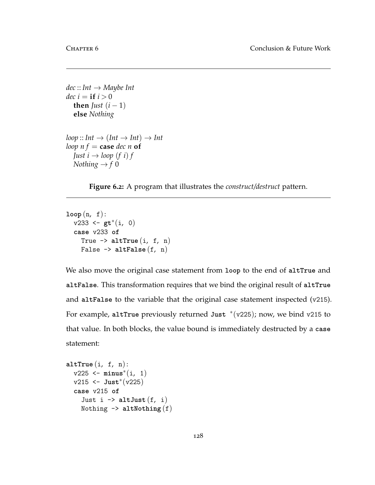```
dec :: Int \rightarrow Maybe Int
dec i = if i > 0then Just (i - 1)else Nothing
```

```
loop :: Int \rightarrow (Int \rightarrow Int) \rightarrow Intloop nf = \text{case} dec n \text{ of }Just i \rightarrow loop (f i) fNothing \rightarrow f 0
```
**Figure 6.2:** A program that illustrates the *construct/destruct* pattern.

```
loop (n, f):
  v233 <- gt∗
(i, 0)
  case v233 of
    True -> altTrue (i, f, n)
    False -> altFalse (f, n)
```
We also move the original case statement from **loop** to the end of **altTrue** and **altFalse**. This transformation requires that we bind the original result of **altTrue** and **altFalse** to the variable that the original case statement inspected (v215). For example, **altTrue** previously returned **Just** <sup>∗</sup> (v225); now, we bind v215 to that value. In both blocks, the value bound is immediately destructed by a **case** statement:

```
altTrue (i, f, n):
  v225 <- minus∗
(i, 1)
  v215 <- Just∗
(v225)
  case v215 of
    Just i \rightarrow altJust (f, i)Nothing -> altNothing (f)
```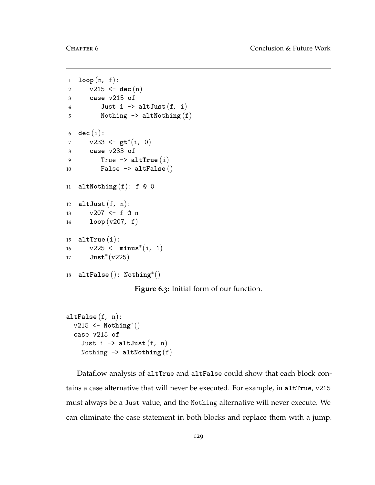```
1 loop (n, f):
2 v215 <- dec (n)
3 case v215 of
4 Just i \rightarrow altJust (f, i)5 Nothing -> altNothing (f)
6 dec (i):
7 v233 <- gt∗
(i, 0)
8 case v233 of
9 True -> altTrue (i)
10 False -> altFalse ()
11 altNothing (f): f @ 0
12 altJust (f, n):
13 v207 <- f @ n
14 loop (v207, f)
15 altTrue (i):
16 v225 <- minus∗
(i, 1)
17 Just∗
(v225)
18 altFalse (): Nothing∗
()
```
**Figure 6.3:** Initial form of our function.

```
altFalse (f, n):
  v215 <- Nothing∗
()
  case v215 of
    Just i \rightarrow altJust (f, n)Nothing -> altNothing (f)
```
Dataflow analysis of **altTrue** and **altFalse** could show that each block contains a case alternative that will never be executed. For example, in **altTrue**, v215 must always be a Just value, and the Nothing alternative will never execute. We can eliminate the case statement in both blocks and replace them with a jump.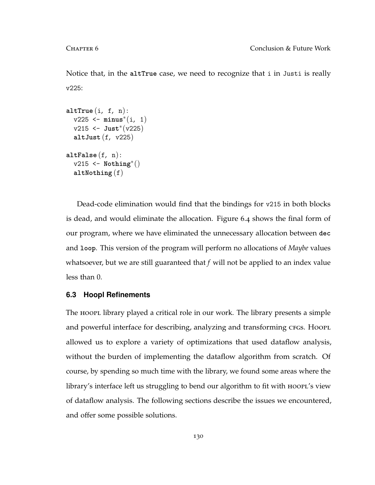Notice that, in the **altTrue** case, we need to recognize that i in Justi is really v225:

```
altTrue (i, f, n):
  v225 <- minus∗
(i, 1)
  v215 <- Just∗
(v225)
  altJust (f, v225)
altFalse (f, n):
  v215 <- Nothing∗
()
  altNothing (f)
```
Dead-code elimination would find that the bindings for v215 in both blocks is dead, and would eliminate the allocation. Figure 6.4 shows the final form of our program, where we have eliminated the unnecessary allocation between **dec** and **loop**. This version of the program will perform no allocations of *Maybe* values whatsoever, but we are still guaranteed that *f* will not be applied to an index value less than 0.

# **6.3 Hoopl Refinements**

The HOOPL library played a critical role in our work. The library presents a simple and powerful interface for describing, analyzing and transforming CFGs. Hoople allowed us to explore a variety of optimizations that used dataflow analysis, without the burden of implementing the dataflow algorithm from scratch. Of course, by spending so much time with the library, we found some areas where the library's interface left us struggling to bend our algorithm to fit with hoopl's view of dataflow analysis. The following sections describe the issues we encountered, and offer some possible solutions.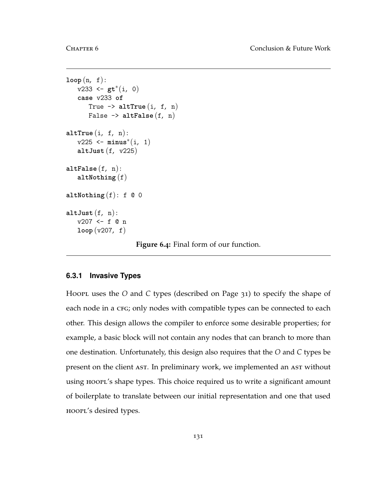```
loop (n, f):
   v233 <- gt∗
(i, 0)
   case v233 of
      True \rightarrow altTrue(i, f, n)
      False -> altFalse (f, n)
altTrue (i, f, n):
   v225 <- minus∗
(i, 1)
   altJust (f, v225)
altFalse (f, n):
   altNothing (f)
altNothing(f): f @ 0altJust (f, n):
   v207 <- f @ n
   loop (v207, f)
                    Figure 6.4: Final form of our function.
```
# **6.3.1 Invasive Types**

Hoopl uses the *O* and *C* types (described on Page 31) to specify the shape of each node in a CFG; only nodes with compatible types can be connected to each other. This design allows the compiler to enforce some desirable properties; for example, a basic block will not contain any nodes that can branch to more than one destination. Unfortunately, this design also requires that the *O* and *C* types be present on the client ast. In preliminary work, we implemented an ast without using HOOPL's shape types. This choice required us to write a significant amount of boilerplate to translate between our initial representation and one that used hoopl's desired types.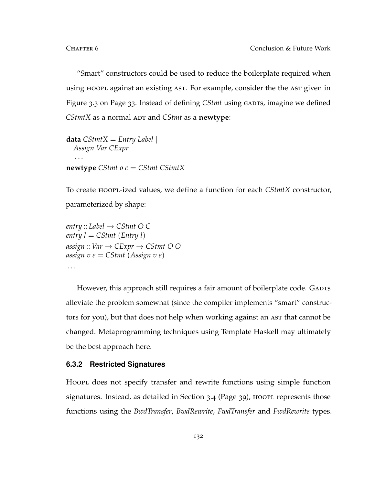"Smart" constructors could be used to reduce the boilerplate required when using hoopl against an existing ast. For example, consider the the ast given in Figure 3.3 on Page 33. Instead of defining *CStmt* using GADTS, imagine we defined *CStmtX* as a normal ADT and *CStmt* as a **newtype**:

**data**  $CStmtX = Entry$  Label *Assign Var CExpr* . . . **newtype** *CStmt o c* = *CStmt CStmtX*

To create hoopl-ized values, we define a function for each *CStmtX* constructor, parameterized by shape:

```
entry :: Label \rightarrow CStmt O C
entry l = CStmt (Entry l)
assign::Var \rightarrow CExpr \rightarrow CStmt \odot Oassign v e = CStmt (Assign v e)
. . .
```
However, this approach still requires a fair amount of boilerplate code. GADTS alleviate the problem somewhat (since the compiler implements "smart" constructors for you), but that does not help when working against an AST that cannot be changed. Metaprogramming techniques using Template Haskell may ultimately be the best approach here.

### **6.3.2 Restricted Signatures**

Hoopl does not specify transfer and rewrite functions using simple function signatures. Instead, as detailed in Section 3.4 (Page 39), hoorl represents those functions using the *BwdTransfer*, *BwdRewrite*, *FwdTransfer* and *FwdRewrite* types.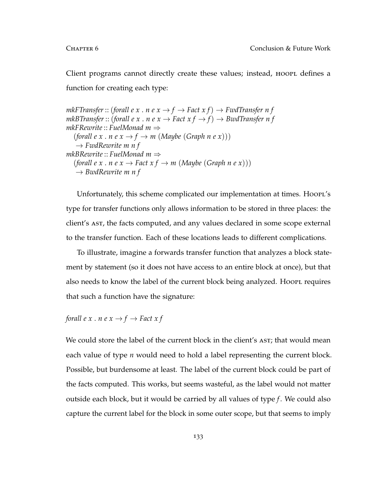Client programs cannot directly create these values; instead, hoopl defines a function for creating each type:

*mkFTransfer* :: (*forall e x . n e x*  $\rightarrow$  *f*  $\rightarrow$  *Fact x f*  $) \rightarrow$  *FwdTransfer n f mkBTransfer* :: (*forall e x . n e x*  $\rightarrow$  *Fact x f*  $\rightarrow$  *f*)  $\rightarrow$  *BwdTransfer n f mkFRewrite* :: *FuelMonad m* ⇒  $(forall e x . n e x \rightarrow f \rightarrow m (Maybe (Graph n e x)))$  $\rightarrow$  *FwdRewrite m n f mkBRewrite* :: *FuelMonad m* ⇒ (*forall e x . n e x*  $\rightarrow$  *Fact x f*  $\rightarrow$  *m* (*Maybe* (*Graph n e x*)))  $\rightarrow$  *BwdRewrite m n f* 

Unfortunately, this scheme complicated our implementation at times. Hoopl's type for transfer functions only allows information to be stored in three places: the client's ast, the facts computed, and any values declared in some scope external to the transfer function. Each of these locations leads to different complications.

To illustrate, imagine a forwards transfer function that analyzes a block statement by statement (so it does not have access to an entire block at once), but that also needs to know the label of the current block being analyzed. Hoor e requires that such a function have the signature:

*forall e x . n e x*  $\rightarrow$  *f*  $\rightarrow$  *Fact x f* 

We could store the label of the current block in the client's AST; that would mean each value of type *n* would need to hold a label representing the current block. Possible, but burdensome at least. The label of the current block could be part of the facts computed. This works, but seems wasteful, as the label would not matter outside each block, but it would be carried by all values of type *f*. We could also capture the current label for the block in some outer scope, but that seems to imply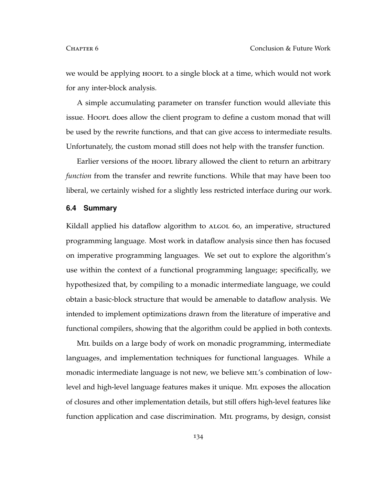we would be applying hoopt to a single block at a time, which would not work for any inter-block analysis.

A simple accumulating parameter on transfer function would alleviate this issue. Hoopl does allow the client program to define a custom monad that will be used by the rewrite functions, and that can give access to intermediate results. Unfortunately, the custom monad still does not help with the transfer function.

Earlier versions of the HOOPL library allowed the client to return an arbitrary *function* from the transfer and rewrite functions. While that may have been too liberal, we certainly wished for a slightly less restricted interface during our work.

### **6.4 Summary**

Kildall applied his dataflow algorithm to ALGOL 60, an imperative, structured programming language. Most work in dataflow analysis since then has focused on imperative programming languages. We set out to explore the algorithm's use within the context of a functional programming language; specifically, we hypothesized that, by compiling to a monadic intermediate language, we could obtain a basic-block structure that would be amenable to dataflow analysis. We intended to implement optimizations drawn from the literature of imperative and functional compilers, showing that the algorithm could be applied in both contexts.

MIL builds on a large body of work on monadic programming, intermediate languages, and implementation techniques for functional languages. While a monadic intermediate language is not new, we believe MIL's combination of lowlevel and high-level language features makes it unique. Mil exposes the allocation of closures and other implementation details, but still offers high-level features like function application and case discrimination. MIL programs, by design, consist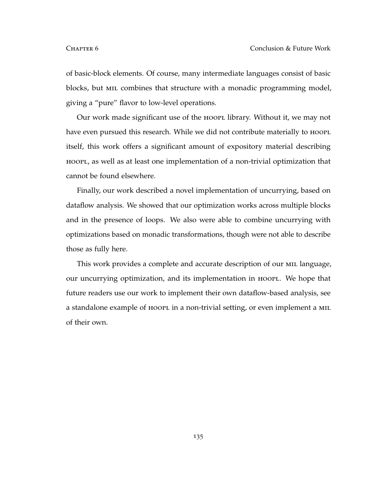of basic-block elements. Of course, many intermediate languages consist of basic blocks, but mil combines that structure with a monadic programming model, giving a "pure" flavor to low-level operations.

Our work made significant use of the HOOPL library. Without it, we may not have even pursued this research. While we did not contribute materially to hoople itself, this work offers a significant amount of expository material describing hoopl, as well as at least one implementation of a non-trivial optimization that cannot be found elsewhere.

Finally, our work described a novel implementation of uncurrying, based on dataflow analysis. We showed that our optimization works across multiple blocks and in the presence of loops. We also were able to combine uncurrying with optimizations based on monadic transformations, though were not able to describe those as fully here.

This work provides a complete and accurate description of our MIL language, our uncurrying optimization, and its implementation in hoopl. We hope that future readers use our work to implement their own dataflow-based analysis, see a standalone example of hoopl in a non-trivial setting, or even implement a MIL of their own.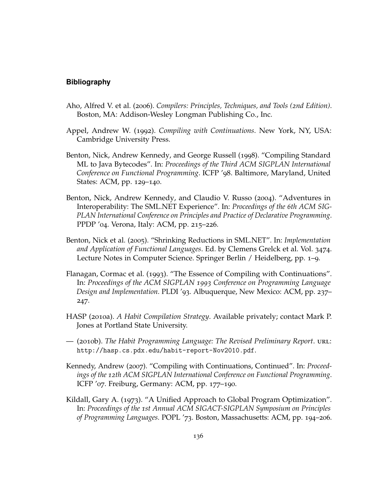## **Bibliography**

- Aho, Alfred V. et al. (2006). *Compilers: Principles, Techniques, and Tools (2nd Edition)*. Boston, MA: Addison-Wesley Longman Publishing Co., Inc.
- Appel, Andrew W. (1992). *Compiling with Continuations*. New York, NY, USA: Cambridge University Press.
- Benton, Nick, Andrew Kennedy, and George Russell (1998). "Compiling Standard ML to Java Bytecodes". In: *Proceedings of the Third ACM SIGPLAN International Conference on Functional Programming*. ICFP '98. Baltimore, Maryland, United States: ACM, pp. 129–140.
- Benton, Nick, Andrew Kennedy, and Claudio V. Russo (2004). "Adventures in Interoperability: The SML.NET Experience". In: *Proceedings of the 6th ACM SIG-PLAN International Conference on Principles and Practice of Declarative Programming*. PPDP '04. Verona, Italy: ACM, pp. 215–226.
- Benton, Nick et al. (2005). "Shrinking Reductions in SML.NET". In: *Implementation and Application of Functional Languages*. Ed. by Clemens Grelck et al. Vol. 3474. Lecture Notes in Computer Science. Springer Berlin / Heidelberg, pp. 1–9.
- Flanagan, Cormac et al. (1993). "The Essence of Compiling with Continuations". In: *Proceedings of the ACM SIGPLAN 1993 Conference on Programming Language Design and Implementation*. PLDI '93. Albuquerque, New Mexico: ACM, pp. 237– 247.
- HASP (2010a). *A Habit Compilation Strategy*. Available privately; contact Mark P. Jones at Portland State University.
- (2010b). *The Habit Programming Language: The Revised Preliminary Report*. url: http://hasp.cs.pdx.edu/habit-report-Nov2010.pdf.
- Kennedy, Andrew (2007). "Compiling with Continuations, Continued". In: *Proceedings of the 12th ACM SIGPLAN International Conference on Functional Programming*. ICFP '07. Freiburg, Germany: ACM, pp. 177–190.
- Kildall, Gary A. (1973). "A Unified Approach to Global Program Optimization". In: *Proceedings of the 1st Annual ACM SIGACT-SIGPLAN Symposium on Principles of Programming Languages*. POPL '73. Boston, Massachusetts: ACM, pp. 194–206.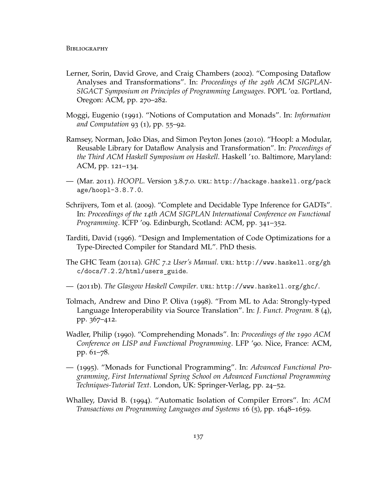- Lerner, Sorin, David Grove, and Craig Chambers (2002). "Composing Dataflow Analyses and Transformations". In: *Proceedings of the 29th ACM SIGPLAN-SIGACT Symposium on Principles of Programming Languages*. POPL '02. Portland, Oregon: ACM, pp. 270–282.
- Moggi, Eugenio (1991). "Notions of Computation and Monads". In: *Information and Computation* 93 (1), pp. 55–92.
- Ramsey, Norman, João Dias, and Simon Peyton Jones (2010). "Hoopl: a Modular, Reusable Library for Dataflow Analysis and Transformation". In: *Proceedings of the Third ACM Haskell Symposium on Haskell*. Haskell '10. Baltimore, Maryland: ACM, pp. 121–134.
- (Mar. 2011). *HOOPL*. Version 3.8.7.0. url: http://hackage.haskell.org/pack age/hoopl-3.8.7.0.
- Schrijvers, Tom et al. (2009). "Complete and Decidable Type Inference for GADTs". In: *Proceedings of the 14th ACM SIGPLAN International Conference on Functional Programming*. ICFP '09. Edinburgh, Scotland: ACM, pp. 341–352.
- Tarditi, David (1996). "Design and Implementation of Code Optimizations for a Type-Directed Compiler for Standard ML". PhD thesis.
- The GHC Team (2011a). *GHC 7.2 User's Manual*. url: http://www.haskell.org/gh c/docs/7.2.2/html/users\_guide.
- (2011b). *The Glasgow Haskell Compiler*. url: http://www.haskell.org/ghc/.
- Tolmach, Andrew and Dino P. Oliva (1998). "From ML to Ada: Strongly-typed Language Interoperability via Source Translation". In: *J. Funct. Program.* 8 (4), pp. 367–412.
- Wadler, Philip (1990). "Comprehending Monads". In: *Proceedings of the 1990 ACM Conference on LISP and Functional Programming*. LFP '90. Nice, France: ACM, pp. 61–78.
- (1995). "Monads for Functional Programming". In: *Advanced Functional Programming, First International Spring School on Advanced Functional Programming Techniques-Tutorial Text*. London, UK: Springer-Verlag, pp. 24–52.
- Whalley, David B. (1994). "Automatic Isolation of Compiler Errors". In: *ACM Transactions on Programming Languages and Systems* 16 (5), pp. 1648–1659.